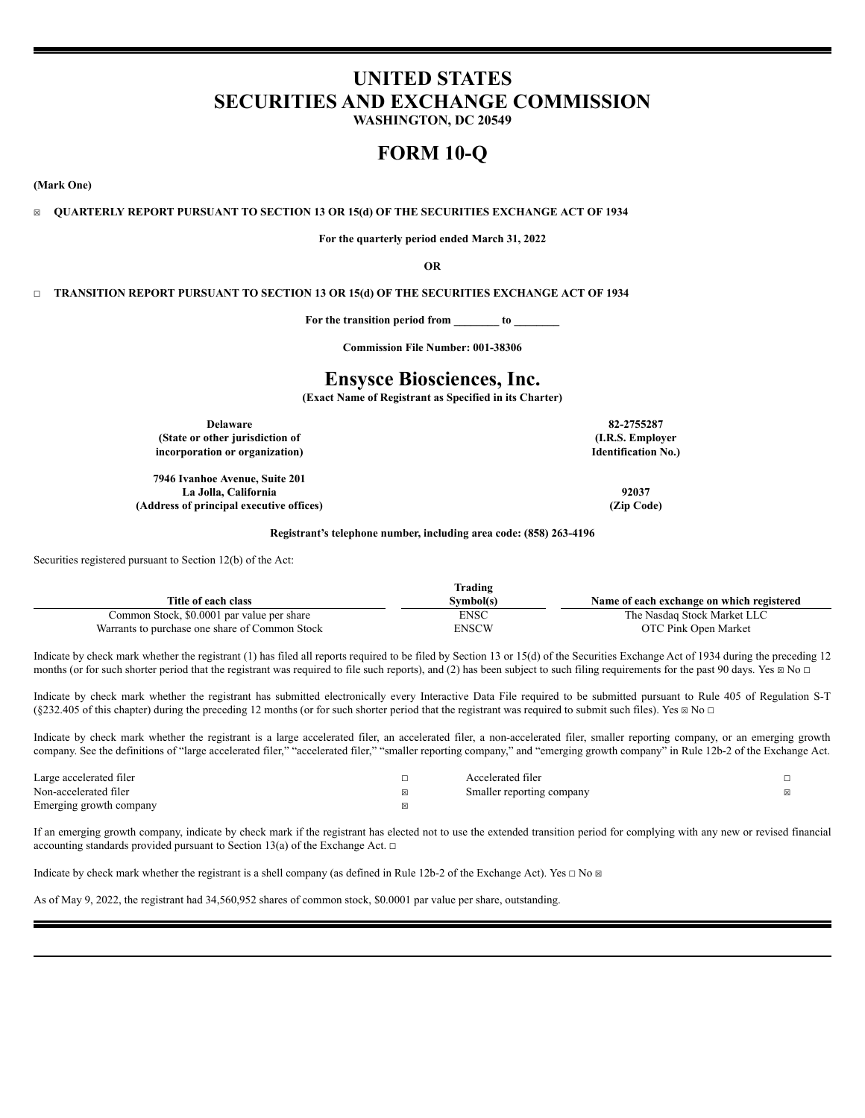# **UNITED STATES SECURITIES AND EXCHANGE COMMISSION**

**WASHINGTON, DC 20549**

# **FORM 10-Q**

**(Mark One)**

☒ **QUARTERLY REPORT PURSUANT TO SECTION 13 OR 15(d) OF THE SECURITIES EXCHANGE ACT OF 1934**

**For the quarterly period ended March 31, 2022**

**OR**

☐ **TRANSITION REPORT PURSUANT TO SECTION 13 OR 15(d) OF THE SECURITIES EXCHANGE ACT OF 1934**

**For the transition period from \_\_\_\_\_\_\_\_ to \_\_\_\_\_\_\_\_**

**Commission File Number: 001-38306**

# **Ensysce Biosciences, Inc.**

**(Exact Name of Registrant as Specified in its Charter)**

**Delaware 82-2755287 (State or other jurisdiction of incorporation or organization)**

**7946 Ivanhoe Avenue, Suite 201 La Jolla, California 92037 (Address of principal executive offices) (Zip Code)**

**(I.R.S. Employer Identification No.)**

**Registrant's telephone number, including area code: (858) 263-4196**

Securities registered pursuant to Section 12(b) of the Act:

|                                                | Trading     |                                           |
|------------------------------------------------|-------------|-------------------------------------------|
| Title of each class                            | Svmbol(s)   | Name of each exchange on which registered |
| Common Stock, \$0.0001 par value per share     | <b>ENSC</b> | The Nasdaq Stock Market LLC               |
| Warrants to purchase one share of Common Stock | ENSCW       | OTC Pink Open Market                      |

Indicate by check mark whether the registrant (1) has filed all reports required to be filed by Section 13 or 15(d) of the Securities Exchange Act of 1934 during the preceding 12 months (or for such shorter period that the registrant was required to file such reports), and (2) has been subject to such filing requirements for the past 90 days. Yes  $\boxtimes$  No  $\Box$ 

Indicate by check mark whether the registrant has submitted electronically every Interactive Data File required to be submitted pursuant to Rule 405 of Regulation S-T (§232.405 of this chapter) during the preceding 12 months (or for such shorter period that the registrant was required to submit such files). Yes  $\boxtimes$  No  $\Box$ 

Indicate by check mark whether the registrant is a large accelerated filer, an accelerated filer, a non-accelerated filer, smaller reporting company, or an emerging growth company. See the definitions of "large accelerated filer," "accelerated filer," "smaller reporting company," and "emerging growth company" in Rule 12b-2 of the Exchange Act.

| Large accelerated filer | Accelerated filer         |  |
|-------------------------|---------------------------|--|
| Non-accelerated filer   | Smaller reporting company |  |
| Emerging growth company |                           |  |

If an emerging growth company, indicate by check mark if the registrant has elected not to use the extended transition period for complying with any new or revised financial accounting standards provided pursuant to Section 13(a) of the Exchange Act.  $□$ 

Indicate by check mark whether the registrant is a shell company (as defined in Rule 12b-2 of the Exchange Act). Yes  $\Box$  No  $\Box$ 

As of May 9, 2022, the registrant had 34,560,952 shares of common stock, \$0.0001 par value per share, outstanding.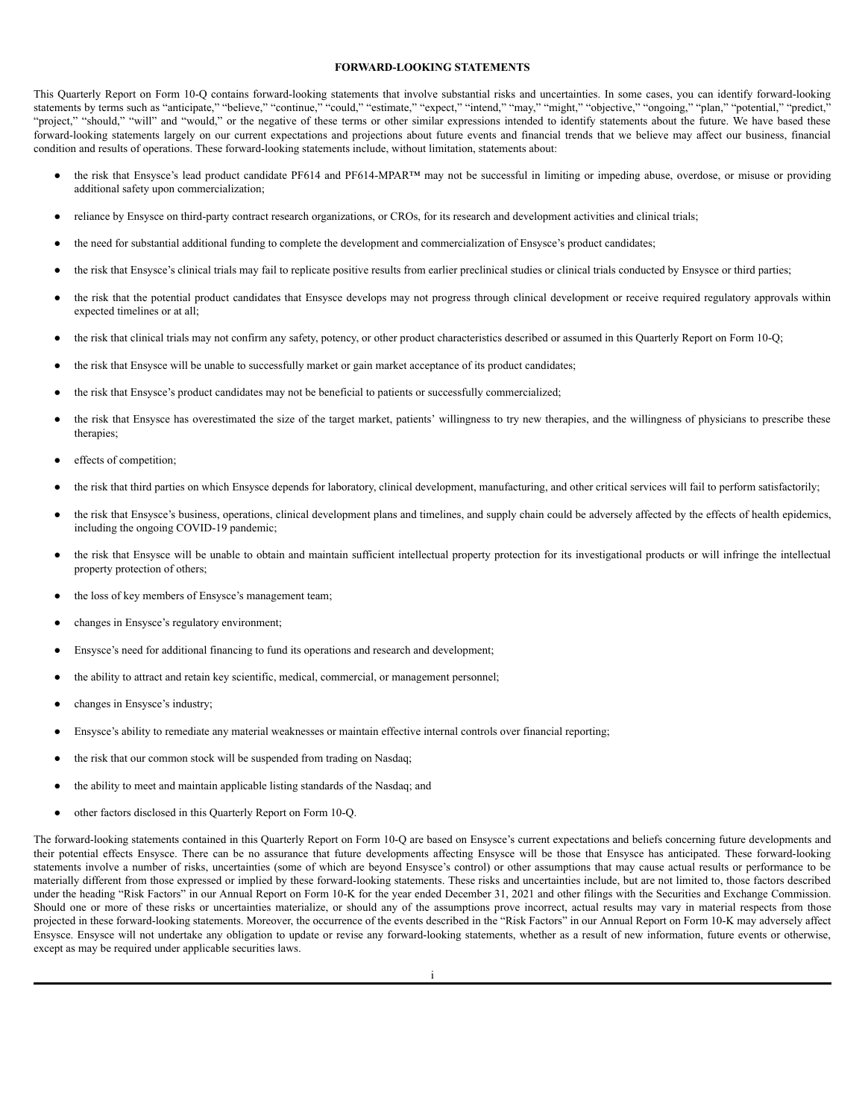## **FORWARD-LOOKING STATEMENTS**

<span id="page-1-0"></span>This Quarterly Report on Form 10-Q contains forward-looking statements that involve substantial risks and uncertainties. In some cases, you can identify forward-looking statements by terms such as "anticipate," "believe," "continue," "could," "estimate," "expect," "intend," "may," "might," "objective," "ongoing," "plan," "potential," "predict," "project," "should," "will" and "would," or the negative of these terms or other similar expressions intended to identify statements about the future. We have based these forward-looking statements largely on our current expectations and projections about future events and financial trends that we believe may affect our business, financial condition and results of operations. These forward-looking statements include, without limitation, statements about:

- the risk that Ensysce's lead product candidate PF614 and PF614-MPAR™ may not be successful in limiting or impeding abuse, overdose, or misuse or providing additional safety upon commercialization;
- reliance by Ensysce on third-party contract research organizations, or CROs, for its research and development activities and clinical trials;
- the need for substantial additional funding to complete the development and commercialization of Ensysce's product candidates;
- the risk that Ensysce's clinical trials may fail to replicate positive results from earlier preclinical studies or clinical trials conducted by Ensysce or third parties;
- the risk that the potential product candidates that Ensysce develops may not progress through clinical development or receive required regulatory approvals within expected timelines or at all;
- the risk that clinical trials may not confirm any safety, potency, or other product characteristics described or assumed in this Quarterly Report on Form 10-Q;
- the risk that Ensysce will be unable to successfully market or gain market acceptance of its product candidates;
- the risk that Ensysce's product candidates may not be beneficial to patients or successfully commercialized;
- the risk that Ensysce has overestimated the size of the target market, patients' willingness to try new therapies, and the willingness of physicians to prescribe these therapies;
- effects of competition;
- the risk that third parties on which Ensysce depends for laboratory, clinical development, manufacturing, and other critical services will fail to perform satisfactorily;
- the risk that Ensysce's business, operations, clinical development plans and timelines, and supply chain could be adversely affected by the effects of health epidemics, including the ongoing COVID-19 pandemic;
- the risk that Ensysce will be unable to obtain and maintain sufficient intellectual property protection for its investigational products or will infringe the intellectual property protection of others;
- the loss of key members of Ensysce's management team;
- changes in Ensysce's regulatory environment;
- Ensysce's need for additional financing to fund its operations and research and development;
- the ability to attract and retain key scientific, medical, commercial, or management personnel;
- changes in Ensysce's industry;
- Ensysce's ability to remediate any material weaknesses or maintain effective internal controls over financial reporting;
- the risk that our common stock will be suspended from trading on Nasdaq;
- the ability to meet and maintain applicable listing standards of the Nasdaq; and
- other factors disclosed in this Quarterly Report on Form 10-Q.

The forward-looking statements contained in this Quarterly Report on Form 10-Q are based on Ensysce's current expectations and beliefs concerning future developments and their potential effects Ensysce. There can be no assurance that future developments affecting Ensysce will be those that Ensysce has anticipated. These forward-looking statements involve a number of risks, uncertainties (some of which are beyond Ensysce's control) or other assumptions that may cause actual results or performance to be materially different from those expressed or implied by these forward-looking statements. These risks and uncertainties include, but are not limited to, those factors described under the heading "Risk Factors" in our Annual Report on Form 10-K for the year ended December 31, 2021 and other filings with the Securities and Exchange Commission. Should one or more of these risks or uncertainties materialize, or should any of the assumptions prove incorrect, actual results may vary in material respects from those projected in these forward-looking statements. Moreover, the occurrence of the events described in the "Risk Factors" in our Annual Report on Form 10-K may adversely affect Ensysce. Ensysce will not undertake any obligation to update or revise any forward-looking statements, whether as a result of new information, future events or otherwise, except as may be required under applicable securities laws.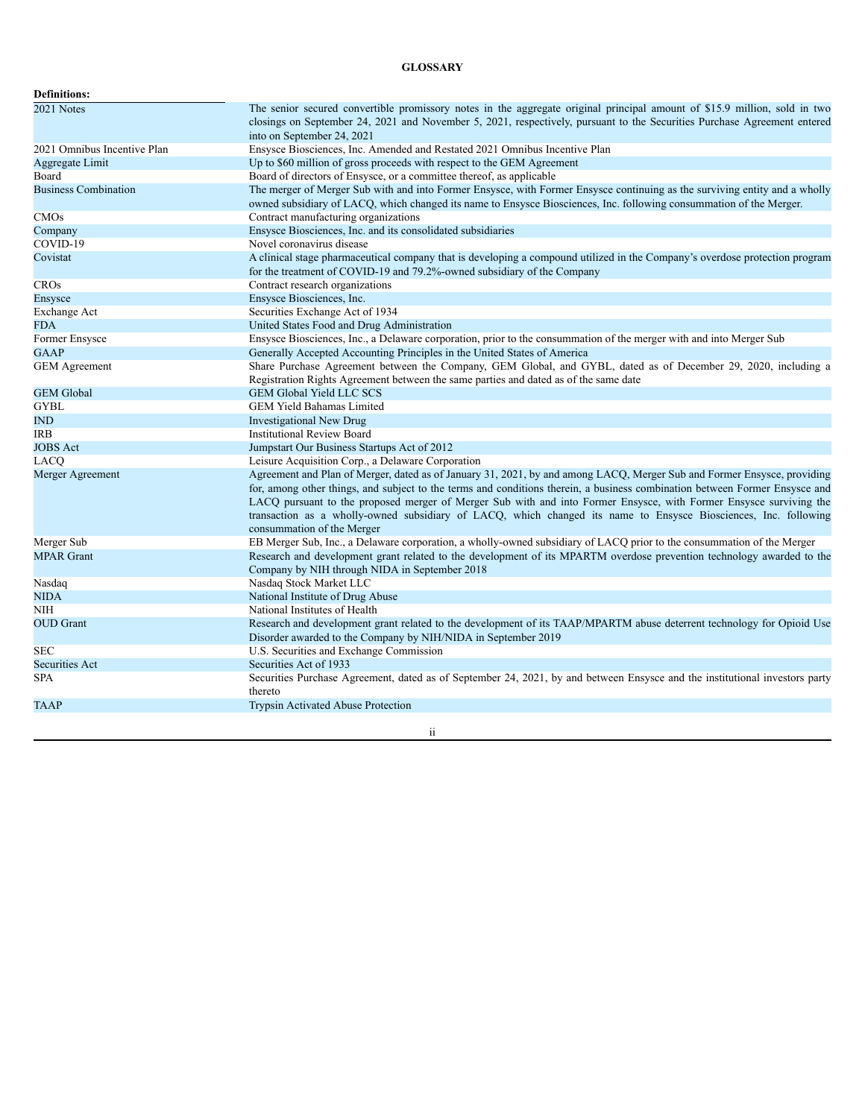# **GLOSSARY**

<span id="page-2-0"></span>

| <b>Definitions:</b>         |                                                                                                                                                                                                                                                                                                                                                                                                                                                                                                                               |
|-----------------------------|-------------------------------------------------------------------------------------------------------------------------------------------------------------------------------------------------------------------------------------------------------------------------------------------------------------------------------------------------------------------------------------------------------------------------------------------------------------------------------------------------------------------------------|
| 2021 Notes                  | The senior secured convertible promissory notes in the aggregate original principal amount of \$15.9 million, sold in two<br>closings on September 24, 2021 and November 5, 2021, respectively, pursuant to the Securities Purchase Agreement entered<br>into on September 24, 2021                                                                                                                                                                                                                                           |
| 2021 Omnibus Incentive Plan | Ensysce Biosciences, Inc. Amended and Restated 2021 Omnibus Incentive Plan                                                                                                                                                                                                                                                                                                                                                                                                                                                    |
| Aggregate Limit             | Up to \$60 million of gross proceeds with respect to the GEM Agreement                                                                                                                                                                                                                                                                                                                                                                                                                                                        |
| Board                       | Board of directors of Ensysce, or a committee thereof, as applicable                                                                                                                                                                                                                                                                                                                                                                                                                                                          |
| <b>Business Combination</b> | The merger of Merger Sub with and into Former Ensysce, with Former Ensysce continuing as the surviving entity and a wholly<br>owned subsidiary of LACQ, which changed its name to Ensysce Biosciences, Inc. following consummation of the Merger.                                                                                                                                                                                                                                                                             |
| <b>CMOs</b>                 | Contract manufacturing organizations                                                                                                                                                                                                                                                                                                                                                                                                                                                                                          |
| Company                     | Ensysce Biosciences, Inc. and its consolidated subsidiaries                                                                                                                                                                                                                                                                                                                                                                                                                                                                   |
| COVID-19                    | Novel coronavirus disease                                                                                                                                                                                                                                                                                                                                                                                                                                                                                                     |
| Covistat                    | A clinical stage pharmaceutical company that is developing a compound utilized in the Company's overdose protection program<br>for the treatment of COVID-19 and 79.2%-owned subsidiary of the Company                                                                                                                                                                                                                                                                                                                        |
| <b>CROs</b>                 | Contract research organizations                                                                                                                                                                                                                                                                                                                                                                                                                                                                                               |
| Ensysce                     | Ensysce Biosciences, Inc.                                                                                                                                                                                                                                                                                                                                                                                                                                                                                                     |
| Exchange Act                | Securities Exchange Act of 1934                                                                                                                                                                                                                                                                                                                                                                                                                                                                                               |
| <b>FDA</b>                  | United States Food and Drug Administration                                                                                                                                                                                                                                                                                                                                                                                                                                                                                    |
| Former Ensysce              | Ensysce Biosciences, Inc., a Delaware corporation, prior to the consummation of the merger with and into Merger Sub                                                                                                                                                                                                                                                                                                                                                                                                           |
| <b>GAAP</b>                 | Generally Accepted Accounting Principles in the United States of America                                                                                                                                                                                                                                                                                                                                                                                                                                                      |
| <b>GEM</b> Agreement        | Share Purchase Agreement between the Company, GEM Global, and GYBL, dated as of December 29, 2020, including a<br>Registration Rights Agreement between the same parties and dated as of the same date                                                                                                                                                                                                                                                                                                                        |
| <b>GEM</b> Global           | <b>GEM Global Yield LLC SCS</b>                                                                                                                                                                                                                                                                                                                                                                                                                                                                                               |
| <b>GYBL</b>                 | <b>GEM Yield Bahamas Limited</b>                                                                                                                                                                                                                                                                                                                                                                                                                                                                                              |
| IND                         | <b>Investigational New Drug</b>                                                                                                                                                                                                                                                                                                                                                                                                                                                                                               |
| <b>IRB</b>                  | <b>Institutional Review Board</b>                                                                                                                                                                                                                                                                                                                                                                                                                                                                                             |
| <b>JOBS</b> Act             | Jumpstart Our Business Startups Act of 2012                                                                                                                                                                                                                                                                                                                                                                                                                                                                                   |
| LACQ                        | Leisure Acquisition Corp., a Delaware Corporation                                                                                                                                                                                                                                                                                                                                                                                                                                                                             |
| Merger Agreement            | Agreement and Plan of Merger, dated as of January 31, 2021, by and among LACQ, Merger Sub and Former Ensysce, providing<br>for, among other things, and subject to the terms and conditions therein, a business combination between Former Ensysce and<br>LACQ pursuant to the proposed merger of Merger Sub with and into Former Ensysce, with Former Ensysce surviving the<br>transaction as a wholly-owned subsidiary of LACQ, which changed its name to Ensysce Biosciences, Inc. following<br>consummation of the Merger |
| Merger Sub                  | EB Merger Sub, Inc., a Delaware corporation, a wholly-owned subsidiary of LACQ prior to the consummation of the Merger                                                                                                                                                                                                                                                                                                                                                                                                        |
| <b>MPAR Grant</b>           | Research and development grant related to the development of its MPARTM overdose prevention technology awarded to the<br>Company by NIH through NIDA in September 2018                                                                                                                                                                                                                                                                                                                                                        |
| Nasdaq                      | Nasdaq Stock Market LLC                                                                                                                                                                                                                                                                                                                                                                                                                                                                                                       |
| NIDA                        | National Institute of Drug Abuse                                                                                                                                                                                                                                                                                                                                                                                                                                                                                              |
| <b>NIH</b>                  | National Institutes of Health                                                                                                                                                                                                                                                                                                                                                                                                                                                                                                 |
| <b>OUD</b> Grant            | Research and development grant related to the development of its TAAP/MPARTM abuse deterrent technology for Opioid Use<br>Disorder awarded to the Company by NIH/NIDA in September 2019                                                                                                                                                                                                                                                                                                                                       |
| <b>SEC</b>                  | U.S. Securities and Exchange Commission                                                                                                                                                                                                                                                                                                                                                                                                                                                                                       |
| <b>Securities Act</b>       | Securities Act of 1933                                                                                                                                                                                                                                                                                                                                                                                                                                                                                                        |
| <b>SPA</b>                  | Securities Purchase Agreement, dated as of September 24, 2021, by and between Ensysce and the institutional investors party<br>thereto                                                                                                                                                                                                                                                                                                                                                                                        |
| <b>TAAP</b>                 | <b>Trypsin Activated Abuse Protection</b>                                                                                                                                                                                                                                                                                                                                                                                                                                                                                     |

ii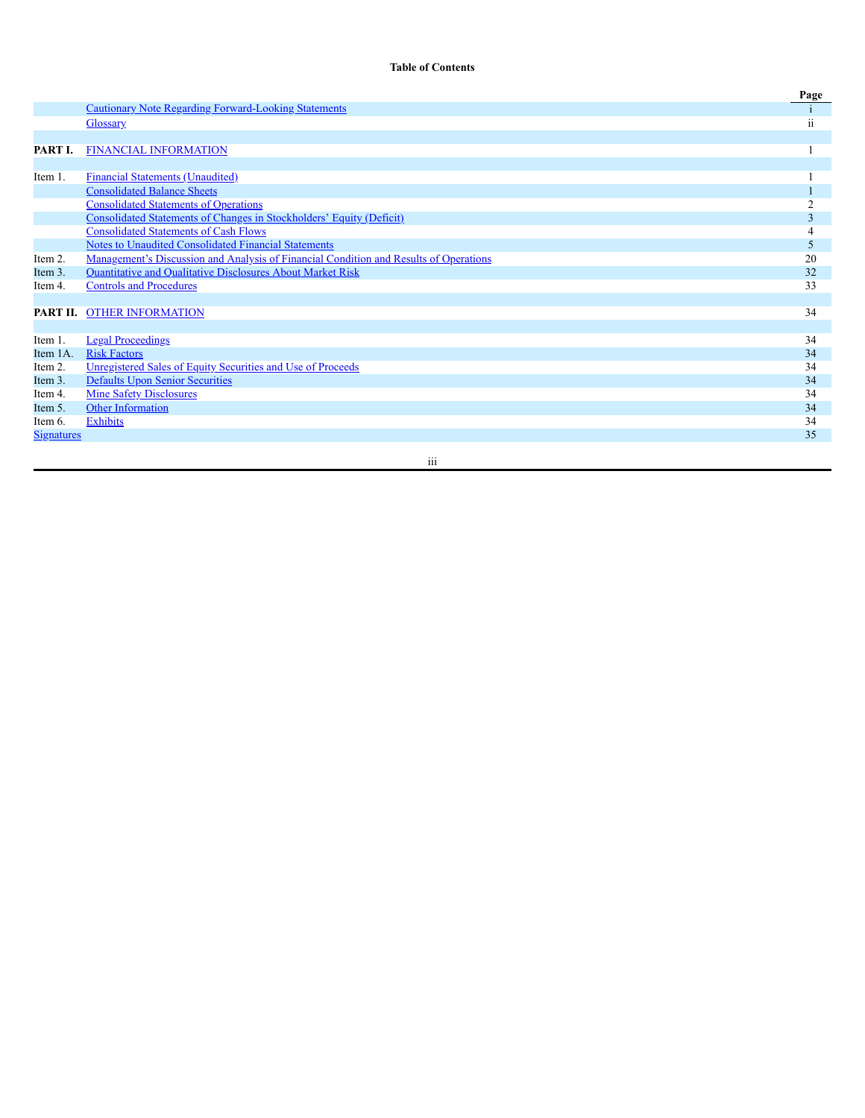# **Table of Contents**

|                   |                                                                                              | Page |
|-------------------|----------------------------------------------------------------------------------------------|------|
|                   | <b>Cautionary Note Regarding Forward-Looking Statements</b>                                  |      |
|                   | <b>Glossary</b>                                                                              | ii   |
|                   |                                                                                              |      |
| PART I.           | <b>FINANCIAL INFORMATION</b>                                                                 |      |
|                   |                                                                                              |      |
| Item 1.           | <b>Financial Statements (Unaudited)</b>                                                      |      |
|                   | <b>Consolidated Balance Sheets</b>                                                           |      |
|                   | <b>Consolidated Statements of Operations</b>                                                 |      |
|                   | Consolidated Statements of Changes in Stockholders' Equity (Deficit)                         | 3    |
|                   | <b>Consolidated Statements of Cash Flows</b>                                                 | 4    |
|                   | Notes to Unaudited Consolidated Financial Statements                                         | 5    |
| Item 2.           | <u>Management's Discussion and Analysis of Financial Condition and Results of Operations</u> | 20   |
| Item 3.           | Quantitative and Qualitative Disclosures About Market Risk                                   | 32   |
| Item 4.           | <b>Controls and Procedures</b>                                                               | 33   |
|                   |                                                                                              |      |
|                   | PART II. OTHER INFORMATION                                                                   | 34   |
|                   |                                                                                              |      |
| Item 1.           | <b>Legal Proceedings</b>                                                                     | 34   |
| Item 1A.          | <b>Risk Factors</b>                                                                          | 34   |
| Item 2.           | Unregistered Sales of Equity Securities and Use of Proceeds                                  | 34   |
| Item 3.           | <b>Defaults Upon Senior Securities</b>                                                       | 34   |
| Item 4.           | <b>Mine Safety Disclosures</b>                                                               | 34   |
| Item 5.           | Other Information                                                                            | 34   |
| Item 6.           | <b>Exhibits</b>                                                                              | 34   |
| <u>Signatures</u> |                                                                                              | 35   |
|                   |                                                                                              |      |

iii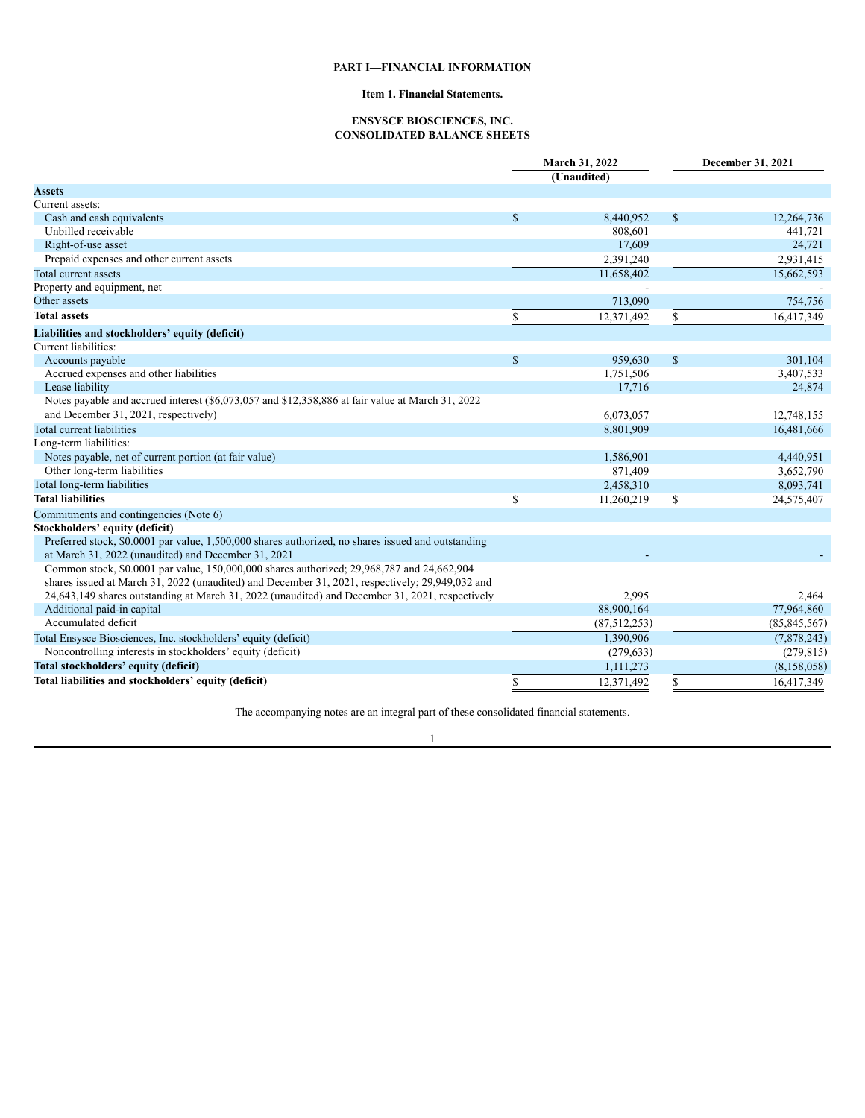# **PART I—FINANCIAL INFORMATION**

# **Item 1. Financial Statements.**

# **ENSYSCE BIOSCIENCES, INC. CONSOLIDATED BALANCE SHEETS**

<span id="page-4-2"></span><span id="page-4-1"></span><span id="page-4-0"></span>

|                                                                                                    |    | March 31, 2022<br>(Unaudited) | December 31, 2021 |                |  |
|----------------------------------------------------------------------------------------------------|----|-------------------------------|-------------------|----------------|--|
| <b>Assets</b>                                                                                      |    |                               |                   |                |  |
| Current assets:                                                                                    |    |                               |                   |                |  |
| Cash and cash equivalents                                                                          | \$ | 8,440,952                     | \$                | 12,264,736     |  |
| Unbilled receivable                                                                                |    | 808,601                       |                   | 441,721        |  |
| Right-of-use asset                                                                                 |    | 17,609                        |                   | 24,721         |  |
| Prepaid expenses and other current assets                                                          |    | 2,391,240                     |                   | 2.931.415      |  |
| Total current assets                                                                               |    | 11,658,402                    |                   | 15,662,593     |  |
| Property and equipment, net                                                                        |    |                               |                   |                |  |
| Other assets                                                                                       |    | 713,090                       |                   | 754,756        |  |
| <b>Total assets</b>                                                                                | \$ | 12,371,492                    | \$                | 16,417,349     |  |
| Liabilities and stockholders' equity (deficit)                                                     |    |                               |                   |                |  |
| Current liabilities:                                                                               |    |                               |                   |                |  |
| Accounts payable                                                                                   | \$ | 959,630                       | $\mathbb{S}$      | 301,104        |  |
| Accrued expenses and other liabilities                                                             |    | 1,751,506                     |                   | 3,407,533      |  |
| Lease liability                                                                                    |    | 17,716                        |                   | 24,874         |  |
| Notes payable and accrued interest (\$6,073,057 and \$12,358,886 at fair value at March 31, 2022   |    |                               |                   |                |  |
| and December 31, 2021, respectively)                                                               |    | 6,073,057                     |                   | 12,748,155     |  |
| Total current liabilities                                                                          |    | 8,801,909                     |                   | 16,481,666     |  |
| Long-term liabilities:                                                                             |    |                               |                   |                |  |
| Notes payable, net of current portion (at fair value)                                              |    | 1,586,901                     |                   | 4,440,951      |  |
| Other long-term liabilities                                                                        |    | 871,409                       |                   | 3,652,790      |  |
| Total long-term liabilities                                                                        |    | 2,458,310                     |                   | 8,093,741      |  |
| <b>Total liabilities</b>                                                                           | \$ | 11,260,219                    | \$                | 24,575,407     |  |
| Commitments and contingencies (Note 6)                                                             |    |                               |                   |                |  |
| Stockholders' equity (deficit)                                                                     |    |                               |                   |                |  |
| Preferred stock, \$0.0001 par value, 1,500,000 shares authorized, no shares issued and outstanding |    |                               |                   |                |  |
| at March 31, 2022 (unaudited) and December 31, 2021                                                |    |                               |                   |                |  |
| Common stock, \$0.0001 par value, 150,000,000 shares authorized; 29,968,787 and 24,662,904         |    |                               |                   |                |  |
| shares issued at March 31, 2022 (unaudited) and December 31, 2021, respectively; 29,949,032 and    |    |                               |                   |                |  |
| 24,643,149 shares outstanding at March 31, 2022 (unaudited) and December 31, 2021, respectively    |    | 2,995                         |                   | 2,464          |  |
| Additional paid-in capital                                                                         |    | 88,900,164                    |                   | 77,964,860     |  |
| Accumulated deficit                                                                                |    | (87,512,253)                  |                   | (85, 845, 567) |  |
| Total Ensysce Biosciences, Inc. stockholders' equity (deficit)                                     |    | 1,390,906                     |                   | (7,878,243)    |  |
| Noncontrolling interests in stockholders' equity (deficit)                                         |    | (279, 633)                    |                   | (279, 815)     |  |
| Total stockholders' equity (deficit)                                                               |    | 1,111,273                     |                   | (8, 158, 058)  |  |
| Total liabilities and stockholders' equity (deficit)                                               | \$ | 12.371.492                    | \$                | 16.417.349     |  |

The accompanying notes are an integral part of these consolidated financial statements.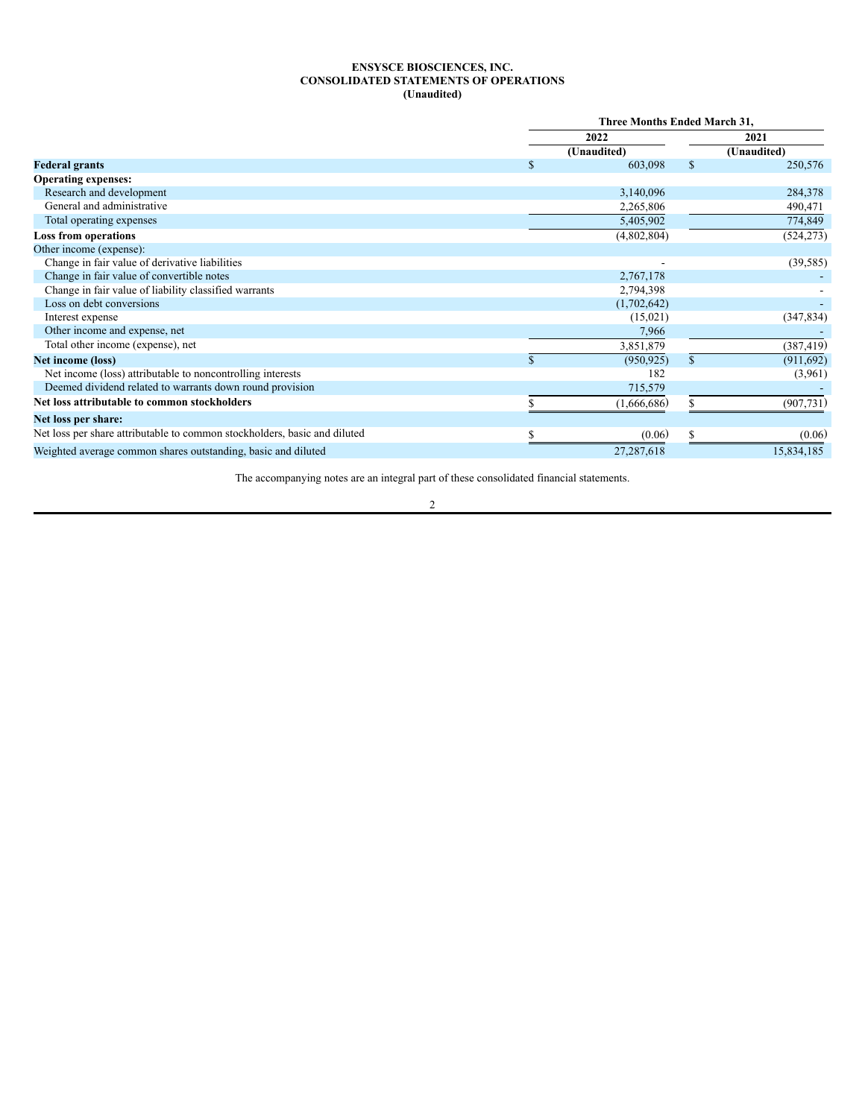# **ENSYSCE BIOSCIENCES, INC. CONSOLIDATED STATEMENTS OF OPERATIONS (Unaudited)**

<span id="page-5-0"></span>

|                                                                           |             | <b>Three Months Ended March 31,</b> |               |             |  |  |
|---------------------------------------------------------------------------|-------------|-------------------------------------|---------------|-------------|--|--|
|                                                                           |             | 2022                                |               | 2021        |  |  |
|                                                                           |             | (Unaudited)                         |               | (Unaudited) |  |  |
| <b>Federal grants</b>                                                     | $\mathbf S$ | 603,098                             | <sup>\$</sup> | 250,576     |  |  |
| <b>Operating expenses:</b>                                                |             |                                     |               |             |  |  |
| Research and development                                                  |             | 3,140,096                           |               | 284,378     |  |  |
| General and administrative                                                |             | 2,265,806                           |               | 490,471     |  |  |
| Total operating expenses                                                  |             | 5,405,902                           |               | 774,849     |  |  |
| <b>Loss from operations</b>                                               |             | (4,802,804)                         |               | (524, 273)  |  |  |
| Other income (expense):                                                   |             |                                     |               |             |  |  |
| Change in fair value of derivative liabilities                            |             |                                     |               | (39, 585)   |  |  |
| Change in fair value of convertible notes                                 |             | 2,767,178                           |               |             |  |  |
| Change in fair value of liability classified warrants                     |             | 2,794,398                           |               |             |  |  |
| Loss on debt conversions                                                  |             | (1,702,642)                         |               |             |  |  |
| Interest expense                                                          |             | (15,021)                            |               | (347, 834)  |  |  |
| Other income and expense, net                                             |             | 7,966                               |               |             |  |  |
| Total other income (expense), net                                         |             | 3,851,879                           |               | (387, 419)  |  |  |
| Net income (loss)                                                         |             | (950.925)                           | $\mathbb{S}$  | (911, 692)  |  |  |
| Net income (loss) attributable to noncontrolling interests                |             | 182                                 |               | (3,961)     |  |  |
| Deemed dividend related to warrants down round provision                  |             | 715,579                             |               |             |  |  |
| Net loss attributable to common stockholders                              |             | (1,666,686)                         |               | (907, 731)  |  |  |
| Net loss per share:                                                       |             |                                     |               |             |  |  |
| Net loss per share attributable to common stockholders, basic and diluted |             | (0.06)                              |               | (0.06)      |  |  |
| Weighted average common shares outstanding, basic and diluted             |             | 27,287,618                          |               | 15,834,185  |  |  |

The accompanying notes are an integral part of these consolidated financial statements.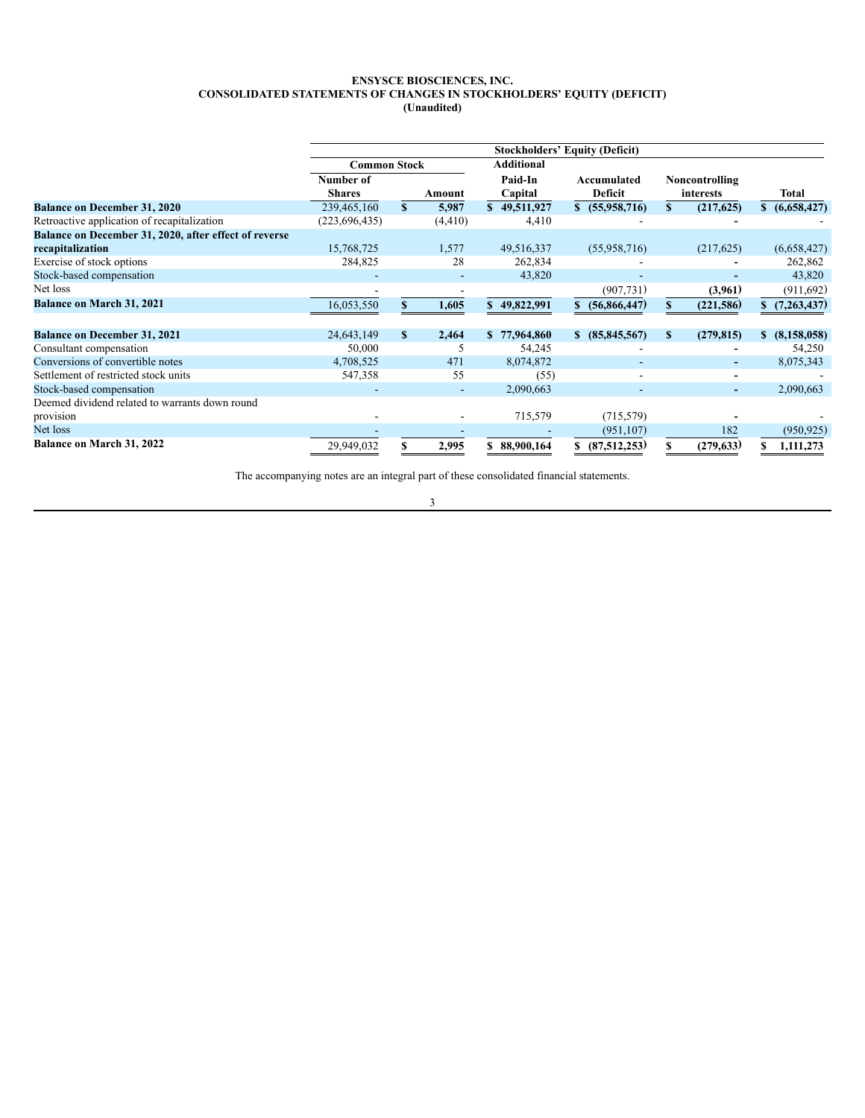### **ENSYSCE BIOSCIENCES, INC. CONSOLIDATED STATEMENTS OF CHANGES IN STOCKHOLDERS' EQUITY (DEFICIT) (Unaudited)**

<span id="page-6-0"></span>

|                                                       | <b>Stockholders' Equity (Deficit)</b> |               |          |                    |                               |     |                             |    |               |
|-------------------------------------------------------|---------------------------------------|---------------|----------|--------------------|-------------------------------|-----|-----------------------------|----|---------------|
|                                                       | <b>Common Stock</b>                   |               |          | <b>Additional</b>  |                               |     |                             |    |               |
|                                                       | Number of<br><b>Shares</b>            |               | Amount   | Paid-In<br>Capital | Accumulated<br><b>Deficit</b> |     | Noncontrolling<br>interests |    | Total         |
| <b>Balance on December 31, 2020</b>                   | 239,465,160                           | $\mathbf{s}$  | 5,987    | \$49,511,927       | \$ (55,958,716)               | \$. | (217, 625)                  |    | \$(6,658,427) |
| Retroactive application of recapitalization           | (223, 696, 435)                       |               | (4, 410) | 4,410              |                               |     |                             |    |               |
| Balance on December 31, 2020, after effect of reverse |                                       |               |          |                    |                               |     |                             |    |               |
| recapitalization                                      | 15,768,725                            |               | 1,577    | 49,516,337         | (55,958,716)                  |     | (217,625)                   |    | (6,658,427)   |
| Exercise of stock options                             | 284,825                               |               | 28       | 262,834            |                               |     |                             |    | 262,862       |
| Stock-based compensation                              |                                       |               |          | 43,820             |                               |     |                             |    | 43,820        |
| Net loss                                              |                                       |               |          |                    | (907, 731)                    |     | (3,961)                     |    | (911, 692)    |
| Balance on March 31, 2021                             | 16,053,550                            |               | 1,605    | \$49,822,991       | (56,866,447)                  |     | (221, 586)                  |    | \$(7,263,437) |
| <b>Balance on December 31, 2021</b>                   | 24,643,149                            | <sup>\$</sup> | 2,464    | \$77,964,860       | (85, 845, 567)<br>S.          | S   | (279, 815)                  | \$ | (8,158,058)   |
| Consultant compensation                               | 50,000                                |               | 5        | 54,245             |                               |     |                             |    | 54,250        |
| Conversions of convertible notes                      | 4,708,525                             |               | 471      | 8,074,872          |                               |     |                             |    | 8,075,343     |
| Settlement of restricted stock units                  | 547,358                               |               | 55       | (55)               |                               |     |                             |    |               |
| Stock-based compensation                              |                                       |               |          | 2,090,663          |                               |     | $\overline{\phantom{a}}$    |    | 2,090,663     |
| Deemed dividend related to warrants down round        |                                       |               |          |                    |                               |     |                             |    |               |
| provision                                             |                                       |               |          | 715,579            | (715, 579)                    |     |                             |    |               |
| Net loss                                              |                                       |               |          |                    | (951, 107)                    |     | 182                         |    | (950, 925)    |
| <b>Balance on March 31, 2022</b>                      | 29,949,032                            |               | 2,995    | 88,900,164         | (87, 512, 253)                |     | (279, 633)                  |    | 1,111,273     |

The accompanying notes are an integral part of these consolidated financial statements.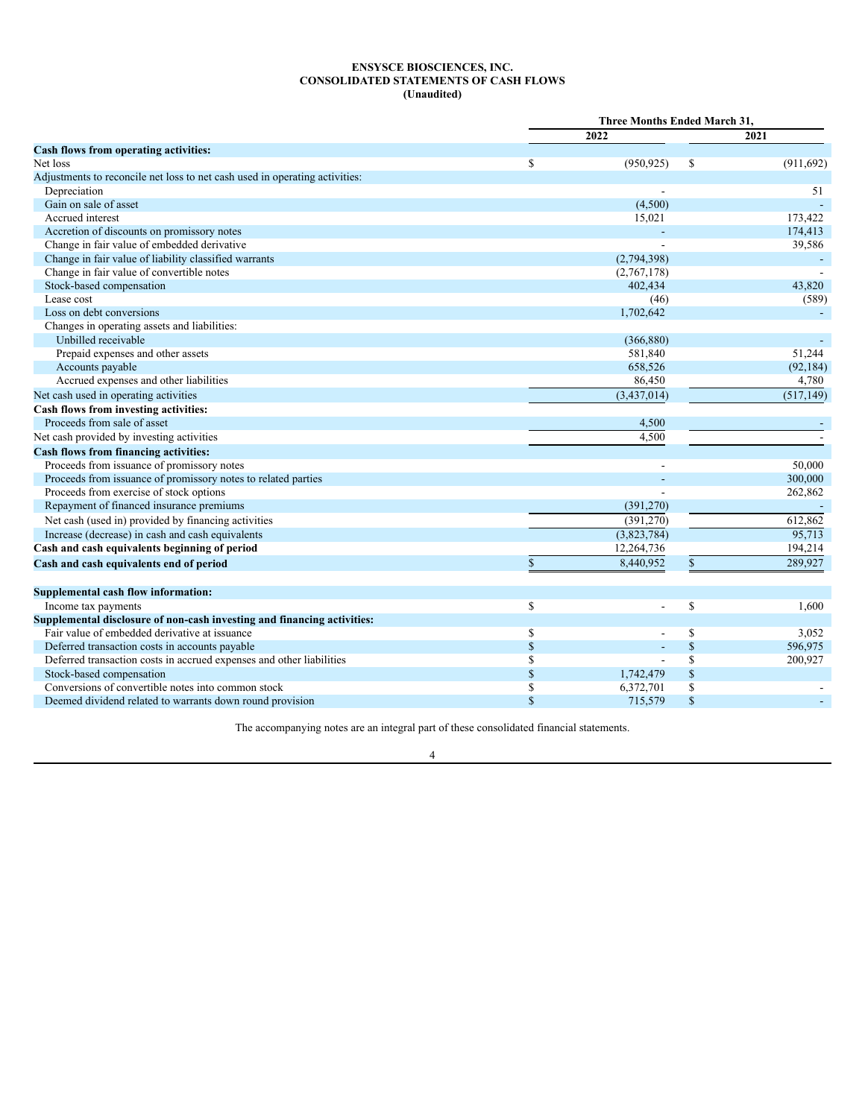# **ENSYSCE BIOSCIENCES, INC. CONSOLIDATED STATEMENTS OF CASH FLOWS (Unaudited)**

<span id="page-7-0"></span>

|                                                                             | <b>Three Months Ended March 31,</b> |             |              |            |  |
|-----------------------------------------------------------------------------|-------------------------------------|-------------|--------------|------------|--|
|                                                                             |                                     | 2022        |              | 2021       |  |
| <b>Cash flows from operating activities:</b>                                |                                     |             |              |            |  |
| Net loss                                                                    | S                                   | (950, 925)  | \$           | (911, 692) |  |
| Adjustments to reconcile net loss to net cash used in operating activities: |                                     |             |              |            |  |
| Depreciation                                                                |                                     |             |              | 51         |  |
| Gain on sale of asset                                                       |                                     | (4,500)     |              |            |  |
| Accrued interest                                                            |                                     | 15,021      |              | 173,422    |  |
| Accretion of discounts on promissory notes                                  |                                     |             |              | 174,413    |  |
| Change in fair value of embedded derivative                                 |                                     |             |              | 39,586     |  |
| Change in fair value of liability classified warrants                       |                                     | (2,794,398) |              |            |  |
| Change in fair value of convertible notes                                   |                                     | (2,767,178) |              |            |  |
| Stock-based compensation                                                    |                                     | 402,434     |              | 43.820     |  |
| Lease cost                                                                  |                                     | (46)        |              | (589)      |  |
| Loss on debt conversions                                                    |                                     | 1,702,642   |              |            |  |
| Changes in operating assets and liabilities:                                |                                     |             |              |            |  |
| Unbilled receivable                                                         |                                     | (366, 880)  |              |            |  |
| Prepaid expenses and other assets                                           |                                     | 581,840     |              | 51,244     |  |
| Accounts payable                                                            |                                     | 658,526     |              | (92, 184)  |  |
| Accrued expenses and other liabilities                                      |                                     | 86,450      |              | 4,780      |  |
| Net cash used in operating activities                                       |                                     | (3,437,014) |              | (517, 149) |  |
| Cash flows from investing activities:                                       |                                     |             |              |            |  |
| Proceeds from sale of asset                                                 |                                     | 4,500       |              |            |  |
| Net cash provided by investing activities                                   |                                     | 4,500       |              |            |  |
| <b>Cash flows from financing activities:</b>                                |                                     |             |              |            |  |
| Proceeds from issuance of promissory notes                                  |                                     |             |              | 50,000     |  |
| Proceeds from issuance of promissory notes to related parties               |                                     |             |              | 300,000    |  |
| Proceeds from exercise of stock options                                     |                                     |             |              | 262,862    |  |
| Repayment of financed insurance premiums                                    |                                     | (391, 270)  |              |            |  |
| Net cash (used in) provided by financing activities                         |                                     | (391, 270)  |              | 612,862    |  |
| Increase (decrease) in cash and cash equivalents                            |                                     | (3,823,784) |              | 95,713     |  |
| Cash and cash equivalents beginning of period                               |                                     | 12,264,736  |              | 194,214    |  |
| Cash and cash equivalents end of period                                     | \$                                  | 8,440,952   | $\mathbb{S}$ | 289,927    |  |
|                                                                             |                                     |             |              |            |  |
| Supplemental cash flow information:                                         |                                     |             |              |            |  |
| Income tax payments                                                         | \$                                  |             | \$           | 1,600      |  |
| Supplemental disclosure of non-cash investing and financing activities:     |                                     |             |              |            |  |
| Fair value of embedded derivative at issuance                               | \$                                  |             | \$           | 3,052      |  |
| Deferred transaction costs in accounts payable                              | $\mathbb{S}$                        |             | $\$$         | 596,975    |  |
| Deferred transaction costs in accrued expenses and other liabilities        | \$                                  |             | \$           | 200,927    |  |
| Stock-based compensation                                                    | $\mathcal{S}$                       | 1,742,479   | $\$$         |            |  |
| Conversions of convertible notes into common stock                          | S                                   | 6,372,701   | \$           |            |  |
| Deemed dividend related to warrants down round provision                    | $\mathcal{S}$                       | 715,579     | $\mathbf S$  |            |  |

The accompanying notes are an integral part of these consolidated financial statements.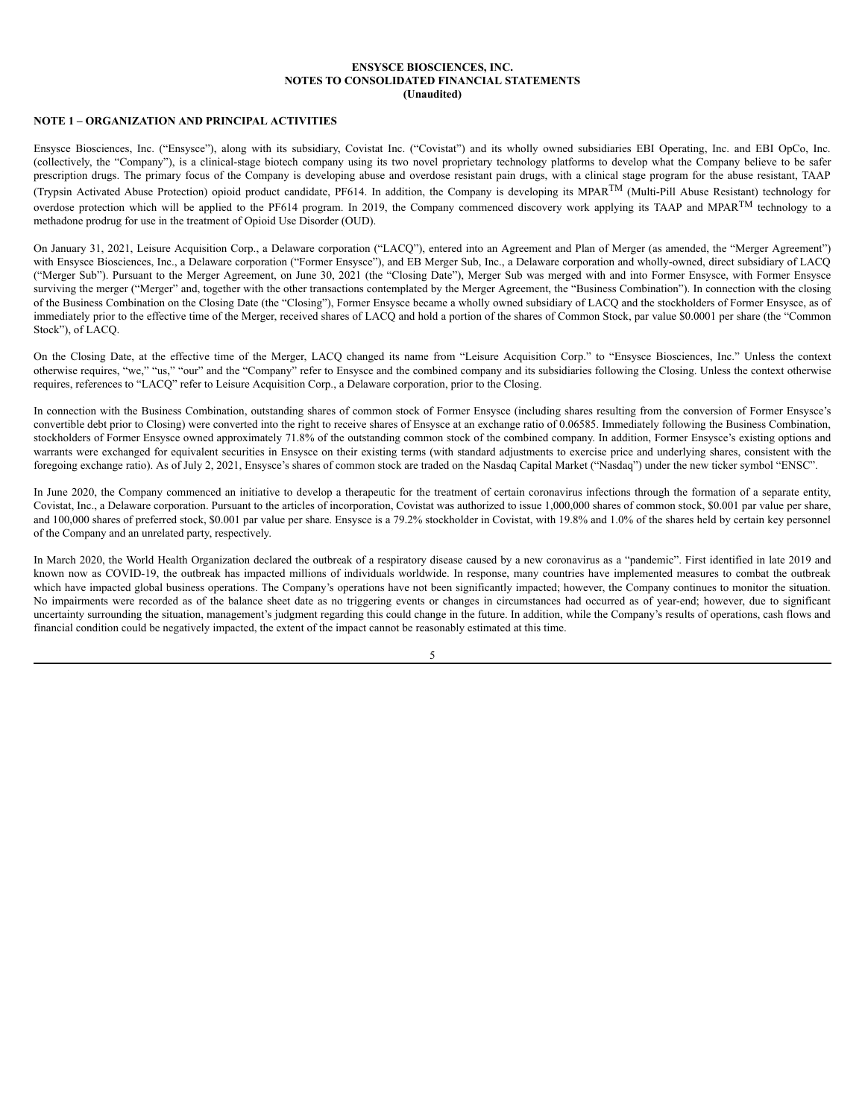### **ENSYSCE BIOSCIENCES, INC. NOTES TO CONSOLIDATED FINANCIAL STATEMENTS (Unaudited)**

# <span id="page-8-0"></span>**NOTE 1 – ORGANIZATION AND PRINCIPAL ACTIVITIES**

Ensysce Biosciences, Inc. ("Ensysce"), along with its subsidiary, Covistat Inc. ("Covistat") and its wholly owned subsidiaries EBI Operating, Inc. and EBI OpCo, Inc. (collectively, the "Company"), is a clinical-stage biotech company using its two novel proprietary technology platforms to develop what the Company believe to be safer prescription drugs. The primary focus of the Company is developing abuse and overdose resistant pain drugs, with a clinical stage program for the abuse resistant, TAAP (Trypsin Activated Abuse Protection) opioid product candidate, PF614. In addition, the Company is developing its MPAR<sup>TM</sup> (Multi-Pill Abuse Resistant) technology for overdose protection which will be applied to the PF614 program. In 2019, the Company commenced discovery work applying its TAAP and MPAR<sup>TM</sup> technology to a methadone prodrug for use in the treatment of Opioid Use Disorder (OUD).

On January 31, 2021, Leisure Acquisition Corp., a Delaware corporation ("LACQ"), entered into an Agreement and Plan of Merger (as amended, the "Merger Agreement") with Ensysce Biosciences, Inc., a Delaware corporation ("Former Ensysce"), and EB Merger Sub, Inc., a Delaware corporation and wholly-owned, direct subsidiary of LACQ ("Merger Sub"). Pursuant to the Merger Agreement, on June 30, 2021 (the "Closing Date"), Merger Sub was merged with and into Former Ensysce, with Former Ensysce surviving the merger ("Merger" and, together with the other transactions contemplated by the Merger Agreement, the "Business Combination"). In connection with the closing of the Business Combination on the Closing Date (the "Closing"), Former Ensysce became a wholly owned subsidiary of LACQ and the stockholders of Former Ensysce, as of immediately prior to the effective time of the Merger, received shares of LACQ and hold a portion of the shares of Common Stock, par value \$0.0001 per share (the "Common Stock"), of LACQ.

On the Closing Date, at the effective time of the Merger, LACQ changed its name from "Leisure Acquisition Corp." to "Ensysce Biosciences, Inc." Unless the context otherwise requires, "we," "us," "our" and the "Company" refer to Ensysce and the combined company and its subsidiaries following the Closing. Unless the context otherwise requires, references to "LACQ" refer to Leisure Acquisition Corp., a Delaware corporation, prior to the Closing.

In connection with the Business Combination, outstanding shares of common stock of Former Ensysce (including shares resulting from the conversion of Former Ensysce's convertible debt prior to Closing) were converted into the right to receive shares of Ensysce at an exchange ratio of 0.06585. Immediately following the Business Combination, stockholders of Former Ensysce owned approximately 71.8% of the outstanding common stock of the combined company. In addition, Former Ensysce's existing options and warrants were exchanged for equivalent securities in Ensysce on their existing terms (with standard adjustments to exercise price and underlying shares, consistent with the foregoing exchange ratio). As of July 2, 2021, Ensysce's shares of common stock are traded on the Nasdaq Capital Market ("Nasdaq") under the new ticker symbol "ENSC".

In June 2020, the Company commenced an initiative to develop a therapeutic for the treatment of certain coronavirus infections through the formation of a separate entity, Covistat, Inc., a Delaware corporation. Pursuant to the articles of incorporation, Covistat was authorized to issue 1,000,000 shares of common stock, \$0.001 par value per share, and 100,000 shares of preferred stock, \$0,001 par value per share. Ensysce is a 79.2% stockholder in Covistat, with 19.8% and 1.0% of the shares held by certain key personnel of the Company and an unrelated party, respectively.

In March 2020, the World Health Organization declared the outbreak of a respiratory disease caused by a new coronavirus as a "pandemic". First identified in late 2019 and known now as COVID-19, the outbreak has impacted millions of individuals worldwide. In response, many countries have implemented measures to combat the outbreak which have impacted global business operations. The Company's operations have not been significantly impacted; however, the Company continues to monitor the situation. No impairments were recorded as of the balance sheet date as no triggering events or changes in circumstances had occurred as of year-end; however, due to significant uncertainty surrounding the situation, management's judgment regarding this could change in the future. In addition, while the Company's results of operations, cash flows and financial condition could be negatively impacted, the extent of the impact cannot be reasonably estimated at this time.

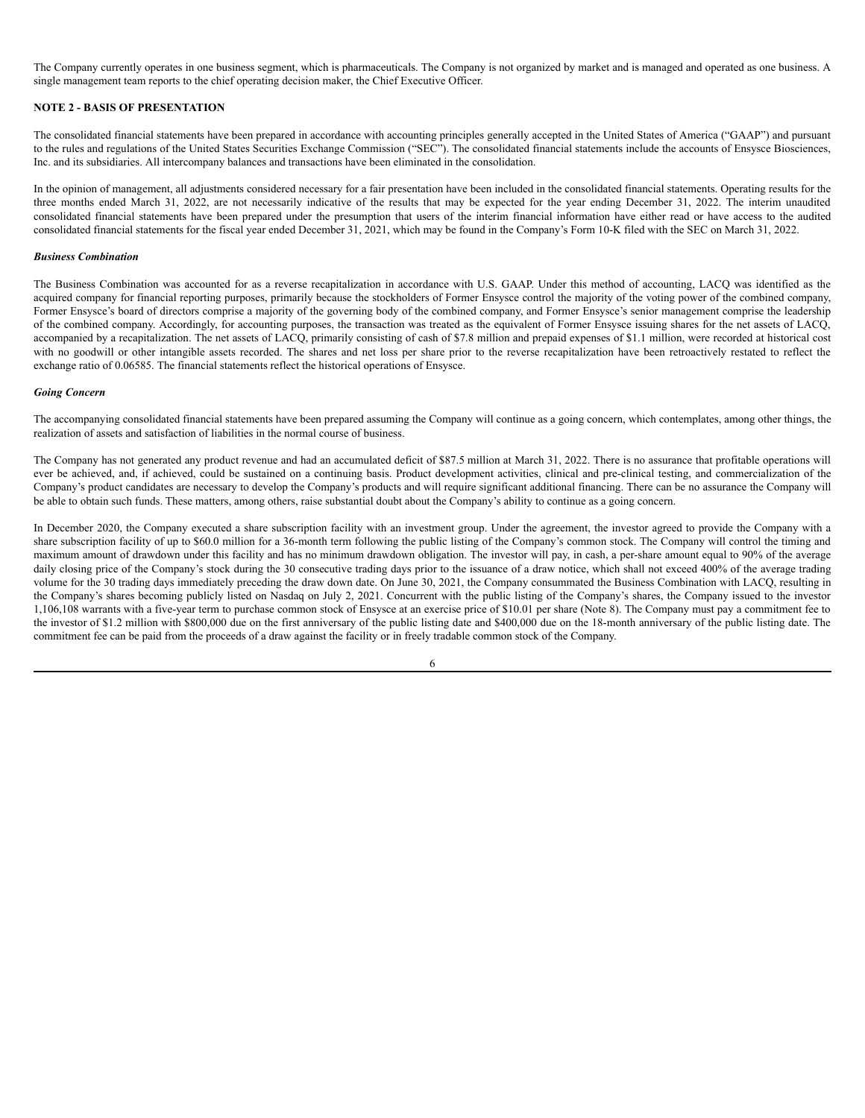The Company currently operates in one business segment, which is pharmaceuticals. The Company is not organized by market and is managed and operated as one business. A single management team reports to the chief operating decision maker, the Chief Executive Officer.

# **NOTE 2 - BASIS OF PRESENTATION**

The consolidated financial statements have been prepared in accordance with accounting principles generally accepted in the United States of America ("GAAP") and pursuant to the rules and regulations of the United States Securities Exchange Commission ("SEC"). The consolidated financial statements include the accounts of Ensysce Biosciences, Inc. and its subsidiaries. All intercompany balances and transactions have been eliminated in the consolidation.

In the opinion of management, all adjustments considered necessary for a fair presentation have been included in the consolidated financial statements. Operating results for the three months ended March 31, 2022, are not necessarily indicative of the results that may be expected for the year ending December 31, 2022. The interim unaudited consolidated financial statements have been prepared under the presumption that users of the interim financial information have either read or have access to the audited consolidated financial statements for the fiscal year ended December 31, 2021, which may be found in the Company's Form 10-K filed with the SEC on March 31, 2022.

### *Business Combination*

The Business Combination was accounted for as a reverse recapitalization in accordance with U.S. GAAP. Under this method of accounting, LACQ was identified as the acquired company for financial reporting purposes, primarily because the stockholders of Former Ensysce control the majority of the voting power of the combined company, Former Ensysce's board of directors comprise a majority of the governing body of the combined company, and Former Ensysce's senior management comprise the leadership of the combined company. Accordingly, for accounting purposes, the transaction was treated as the equivalent of Former Ensysce issuing shares for the net assets of LACQ, accompanied by a recapitalization. The net assets of LACQ, primarily consisting of cash of \$7.8 million and prepaid expenses of \$1.1 million, were recorded at historical cost with no goodwill or other intangible assets recorded. The shares and net loss per share prior to the reverse recapitalization have been retroactively restated to reflect the exchange ratio of 0.06585. The financial statements reflect the historical operations of Ensysce.

#### *Going Concern*

The accompanying consolidated financial statements have been prepared assuming the Company will continue as a going concern, which contemplates, among other things, the realization of assets and satisfaction of liabilities in the normal course of business.

The Company has not generated any product revenue and had an accumulated deficit of \$87.5 million at March 31, 2022. There is no assurance that profitable operations will ever be achieved, and, if achieved, could be sustained on a continuing basis. Product development activities, clinical and pre-clinical testing, and commercialization of the Company's product candidates are necessary to develop the Company's products and will require significant additional financing. There can be no assurance the Company will be able to obtain such funds. These matters, among others, raise substantial doubt about the Company's ability to continue as a going concern.

In December 2020, the Company executed a share subscription facility with an investment group. Under the agreement, the investor agreed to provide the Company with a share subscription facility of up to \$60.0 million for a 36-month term following the public listing of the Company's common stock. The Company will control the timing and maximum amount of drawdown under this facility and has no minimum drawdown obligation. The investor will pay, in cash, a per-share amount equal to 90% of the average daily closing price of the Company's stock during the 30 consecutive trading days prior to the issuance of a draw notice, which shall not exceed 400% of the average trading volume for the 30 trading days immediately preceding the draw down date. On June 30, 2021, the Company consummated the Business Combination with LACQ, resulting in the Company's shares becoming publicly listed on Nasdaq on July 2, 2021. Concurrent with the public listing of the Company's shares, the Company issued to the investor 1,106,108 warrants with a five-year term to purchase common stock of Ensysce at an exercise price of \$10.01 per share (Note 8). The Company must pay a commitment fee to the investor of \$1.2 million with \$800,000 due on the first anniversary of the public listing date and \$400,000 due on the 18-month anniversary of the public listing date. The commitment fee can be paid from the proceeds of a draw against the facility or in freely tradable common stock of the Company.

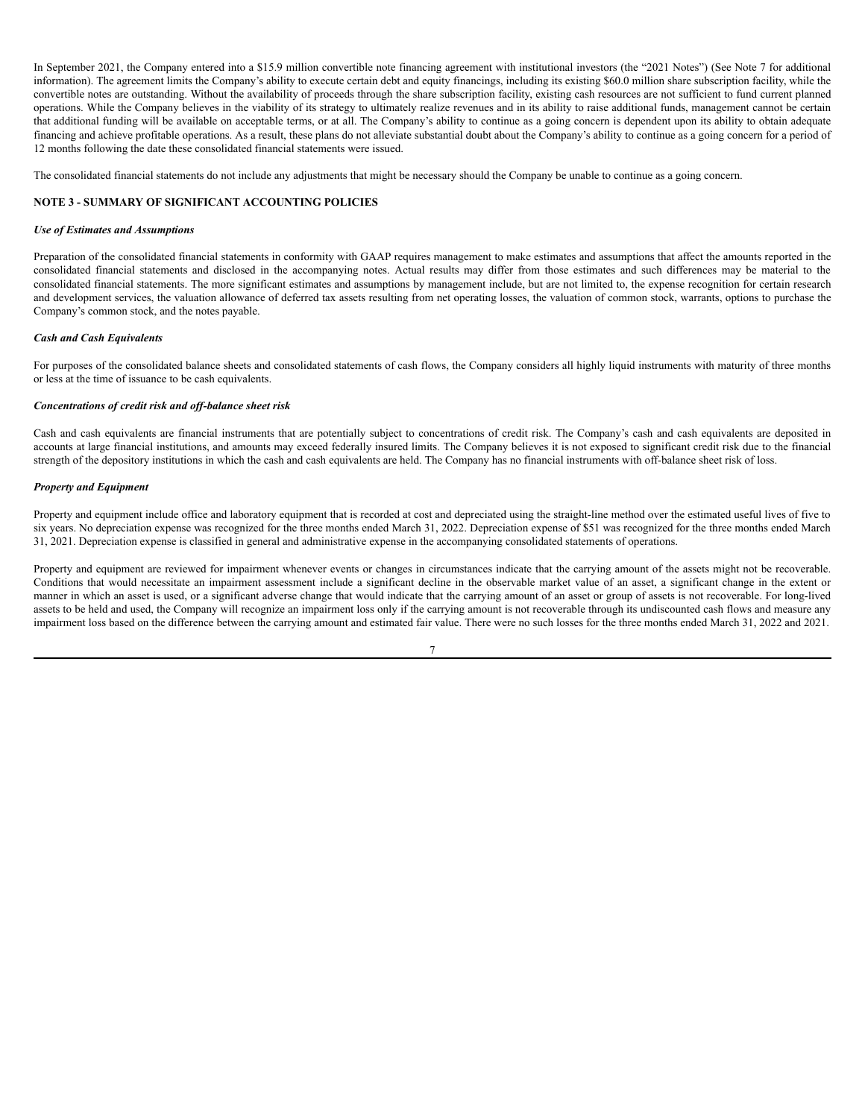In September 2021, the Company entered into a \$15.9 million convertible note financing agreement with institutional investors (the "2021 Notes") (See Note 7 for additional information). The agreement limits the Company's ability to execute certain debt and equity financings, including its existing \$60.0 million share subscription facility, while the convertible notes are outstanding. Without the availability of proceeds through the share subscription facility, existing cash resources are not sufficient to fund current planned operations. While the Company believes in the viability of its strategy to ultimately realize revenues and in its ability to raise additional funds, management cannot be certain that additional funding will be available on acceptable terms, or at all. The Company's ability to continue as a going concern is dependent upon its ability to obtain adequate financing and achieve profitable operations. As a result, these plans do not alleviate substantial doubt about the Company's ability to continue as a going concern for a period of 12 months following the date these consolidated financial statements were issued.

The consolidated financial statements do not include any adjustments that might be necessary should the Company be unable to continue as a going concern.

# **NOTE 3 - SUMMARY OF SIGNIFICANT ACCOUNTING POLICIES**

# *Use of Estimates and Assumptions*

Preparation of the consolidated financial statements in conformity with GAAP requires management to make estimates and assumptions that affect the amounts reported in the consolidated financial statements and disclosed in the accompanying notes. Actual results may differ from those estimates and such differences may be material to the consolidated financial statements. The more significant estimates and assumptions by management include, but are not limited to, the expense recognition for certain research and development services, the valuation allowance of deferred tax assets resulting from net operating losses, the valuation of common stock, warrants, options to purchase the Company's common stock, and the notes payable.

#### *Cash and Cash Equivalents*

For purposes of the consolidated balance sheets and consolidated statements of cash flows, the Company considers all highly liquid instruments with maturity of three months or less at the time of issuance to be cash equivalents.

# *Concentrations of credit risk and of -balance sheet risk*

Cash and cash equivalents are financial instruments that are potentially subject to concentrations of credit risk. The Company's cash and cash equivalents are deposited in accounts at large financial institutions, and amounts may exceed federally insured limits. The Company believes it is not exposed to significant credit risk due to the financial strength of the depository institutions in which the cash and cash equivalents are held. The Company has no financial instruments with off-balance sheet risk of loss.

### *Property and Equipment*

Property and equipment include office and laboratory equipment that is recorded at cost and depreciated using the straight-line method over the estimated useful lives of five to six years. No depreciation expense was recognized for the three months ended March 31, 2022. Depreciation expense of \$51 was recognized for the three months ended March 31, 2021. Depreciation expense is classified in general and administrative expense in the accompanying consolidated statements of operations.

Property and equipment are reviewed for impairment whenever events or changes in circumstances indicate that the carrying amount of the assets might not be recoverable. Conditions that would necessitate an impairment assessment include a significant decline in the observable market value of an asset, a significant change in the extent or manner in which an asset is used, or a significant adverse change that would indicate that the carrying amount of an asset or group of assets is not recoverable. For long-lived assets to be held and used, the Company will recognize an impairment loss only if the carrying amount is not recoverable through its undiscounted cash flows and measure any impairment loss based on the difference between the carrying amount and estimated fair value. There were no such losses for the three months ended March 31, 2022 and 2021.

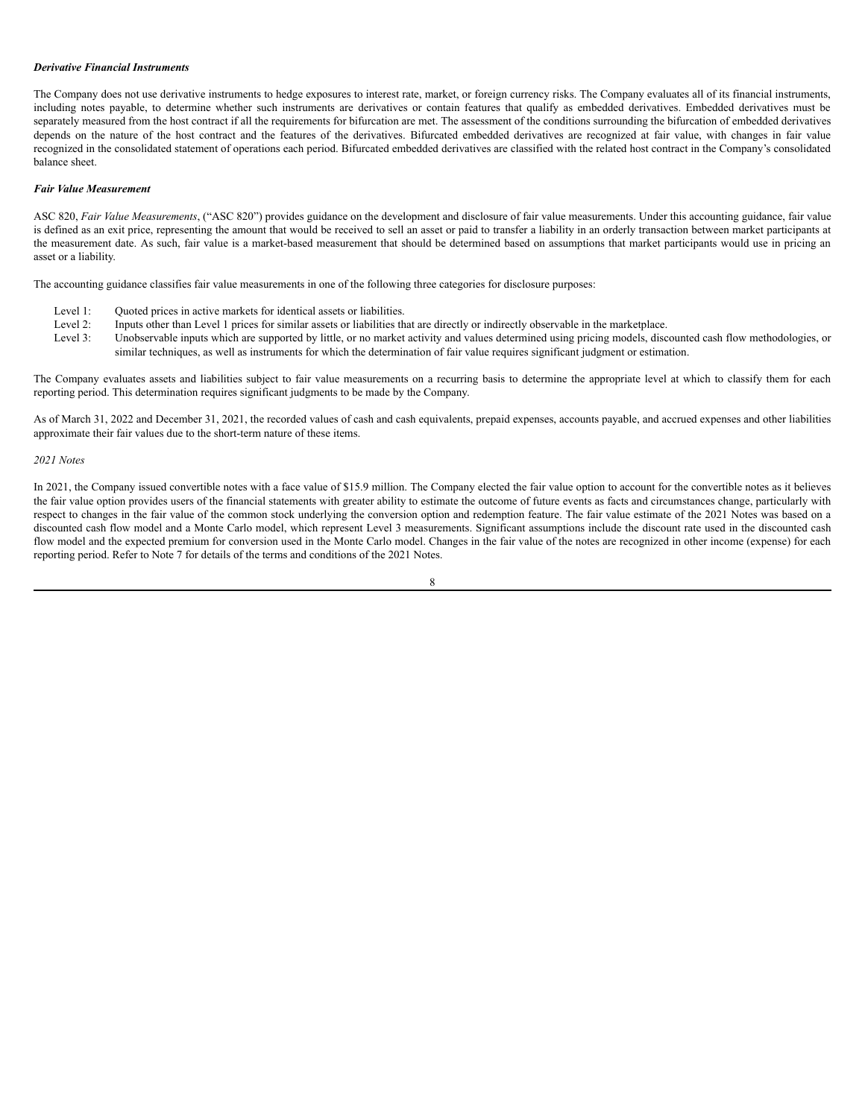# *Derivative Financial Instruments*

The Company does not use derivative instruments to hedge exposures to interest rate, market, or foreign currency risks. The Company evaluates all of its financial instruments, including notes payable, to determine whether such instruments are derivatives or contain features that qualify as embedded derivatives. Embedded derivatives must be separately measured from the host contract if all the requirements for bifurcation are met. The assessment of the conditions surrounding the bifurcation of embedded derivatives depends on the nature of the host contract and the features of the derivatives. Bifurcated embedded derivatives are recognized at fair value, with changes in fair value recognized in the consolidated statement of operations each period. Bifurcated embedded derivatives are classified with the related host contract in the Company's consolidated balance sheet.

#### *Fair Value Measurement*

ASC 820, *Fair Value Measurements*, ("ASC 820") provides guidance on the development and disclosure of fair value measurements. Under this accounting guidance, fair value is defined as an exit price, representing the amount that would be received to sell an asset or paid to transfer a liability in an orderly transaction between market participants at the measurement date. As such, fair value is a market-based measurement that should be determined based on assumptions that market participants would use in pricing an asset or a liability.

The accounting guidance classifies fair value measurements in one of the following three categories for disclosure purposes:

- Level 1: Ouoted prices in active markets for identical assets or liabilities.
- Level 2: Inputs other than Level 1 prices for similar assets or liabilities that are directly or indirectly observable in the marketplace.
- Level 3: Unobservable inputs which are supported by little, or no market activity and values determined using pricing models, discounted cash flow methodologies, or similar techniques, as well as instruments for which the determination of fair value requires significant judgment or estimation.

The Company evaluates assets and liabilities subject to fair value measurements on a recurring basis to determine the appropriate level at which to classify them for each reporting period. This determination requires significant judgments to be made by the Company.

As of March 31, 2022 and December 31, 2021, the recorded values of cash and cash equivalents, prepaid expenses, accounts payable, and accrued expenses and other liabilities approximate their fair values due to the short-term nature of these items.

# *2021 Notes*

In 2021, the Company issued convertible notes with a face value of \$15.9 million. The Company elected the fair value option to account for the convertible notes as it believes the fair value option provides users of the financial statements with greater ability to estimate the outcome of future events as facts and circumstances change, particularly with respect to changes in the fair value of the common stock underlying the conversion option and redemption feature. The fair value estimate of the 2021 Notes was based on a discounted cash flow model and a Monte Carlo model, which represent Level 3 measurements. Significant assumptions include the discount rate used in the discounted cash flow model and the expected premium for conversion used in the Monte Carlo model. Changes in the fair value of the notes are recognized in other income (expense) for each reporting period. Refer to Note 7 for details of the terms and conditions of the 2021 Notes.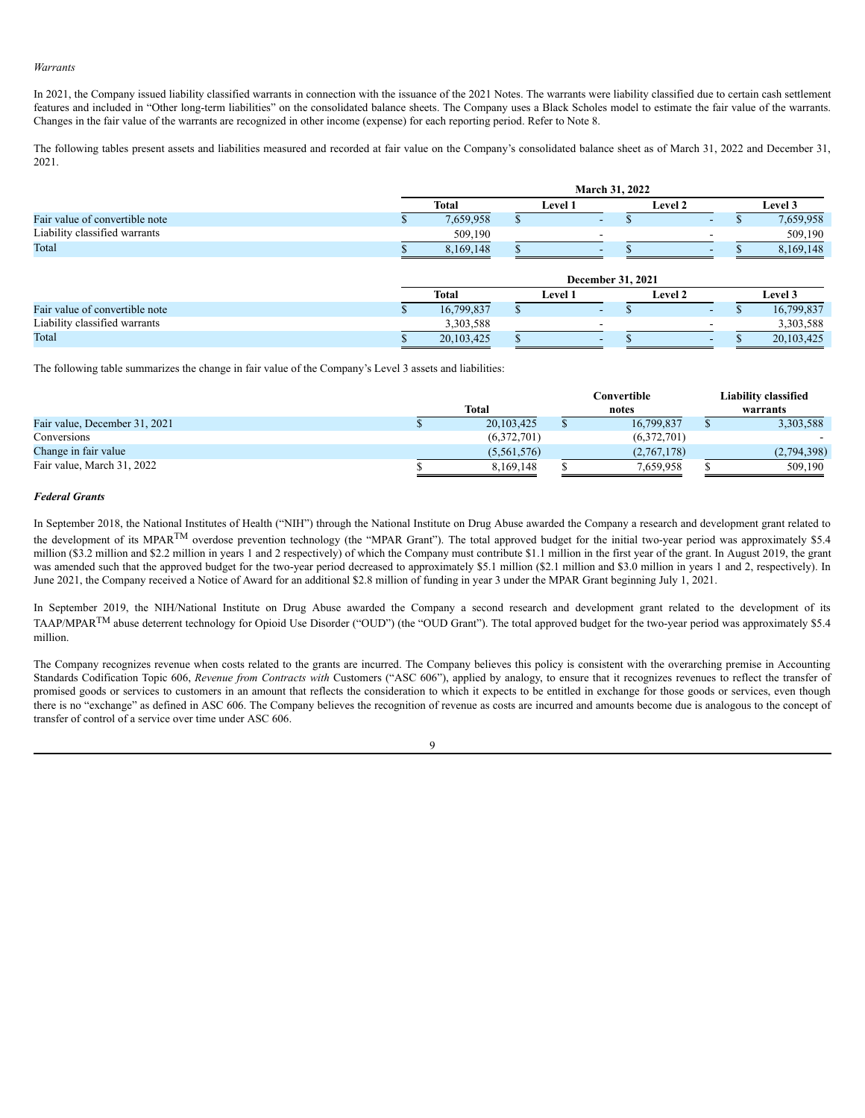### *Warrants*

In 2021, the Company issued liability classified warrants in connection with the issuance of the 2021 Notes. The warrants were liability classified due to certain cash settlement features and included in "Other long-term liabilities" on the consolidated balance sheets. The Company uses a Black Scholes model to estimate the fair value of the warrants. Changes in the fair value of the warrants are recognized in other income (expense) for each reporting period. Refer to Note 8.

The following tables present assets and liabilities measured and recorded at fair value on the Company's consolidated balance sheet as of March 31, 2022 and December 31, 2021.

|                                | March 31, 2022    |  |         |                          |  |            |  |
|--------------------------------|-------------------|--|---------|--------------------------|--|------------|--|
|                                | <b>Total</b>      |  | Level 1 | <b>Level 2</b>           |  | Level 3    |  |
| Fair value of convertible note | 7,659,958         |  |         | $\sim$                   |  | 7,659,958  |  |
| Liability classified warrants  | 509,190           |  | -       |                          |  | 509,190    |  |
| Total                          | 8,169,148         |  |         |                          |  | 8,169,148  |  |
|                                | December 31, 2021 |  |         |                          |  |            |  |
|                                | <b>Total</b>      |  | Level 1 | <b>Level 2</b>           |  | Level 3    |  |
| Fair value of convertible note | 16,799,837        |  |         | $\sim$                   |  | 16,799,837 |  |
| Liability classified warrants  | 3,303,588         |  |         |                          |  | 3,303,588  |  |
| Total                          | 20,103,425        |  |         | $\overline{\phantom{0}}$ |  | 20,103,425 |  |

The following table summarizes the change in fair value of the Company's Level 3 assets and liabilities:

|                               |                |  | Convertible |  | <b>Liability classified</b> |
|-------------------------------|----------------|--|-------------|--|-----------------------------|
|                               | Total<br>notes |  | warrants    |  |                             |
| Fair value, December 31, 2021 | 20,103,425     |  | 16,799,837  |  | 3,303,588                   |
| Conversions                   | (6,372,701)    |  | (6,372,701) |  | $\overline{\phantom{0}}$    |
| Change in fair value          | (5,561,576)    |  | (2,767,178) |  | (2,794,398)                 |
| Fair value, March 31, 2022    | 8.169.148      |  | 7.659.958   |  | 509,190                     |

# *Federal Grants*

In September 2018, the National Institutes of Health ("NIH") through the National Institute on Drug Abuse awarded the Company a research and development grant related to the development of its MPAR<sup>TM</sup> overdose prevention technology (the "MPAR Grant"). The total approved budget for the initial two-year period was approximately \$5.4 million (\$3.2 million and \$2.2 million in years 1 and 2 respectively) of which the Company must contribute \$1.1 million in the first year of the grant. In August 2019, the grant was amended such that the approved budget for the two-year period decreased to approximately \$5.1 million (\$2.1 million and \$3.0 million in years 1 and 2, respectively). In June 2021, the Company received a Notice of Award for an additional \$2.8 million of funding in year 3 under the MPAR Grant beginning July 1, 2021.

In September 2019, the NIH/National Institute on Drug Abuse awarded the Company a second research and development grant related to the development of its TAAP/MPAR<sup>TM</sup> abuse deterrent technology for Opioid Use Disorder ("OUD") (the "OUD Grant"). The total approved budget for the two-year period was approximately \$5.4 million.

The Company recognizes revenue when costs related to the grants are incurred. The Company believes this policy is consistent with the overarching premise in Accounting Standards Codification Topic 606, *Revenue from Contracts with* Customers ("ASC 606"), applied by analogy, to ensure that it recognizes revenues to reflect the transfer of promised goods or services to customers in an amount that reflects the consideration to which it expects to be entitled in exchange for those goods or services, even though there is no "exchange" as defined in ASC 606. The Company believes the recognition of revenue as costs are incurred and amounts become due is analogous to the concept of transfer of control of a service over time under ASC 606.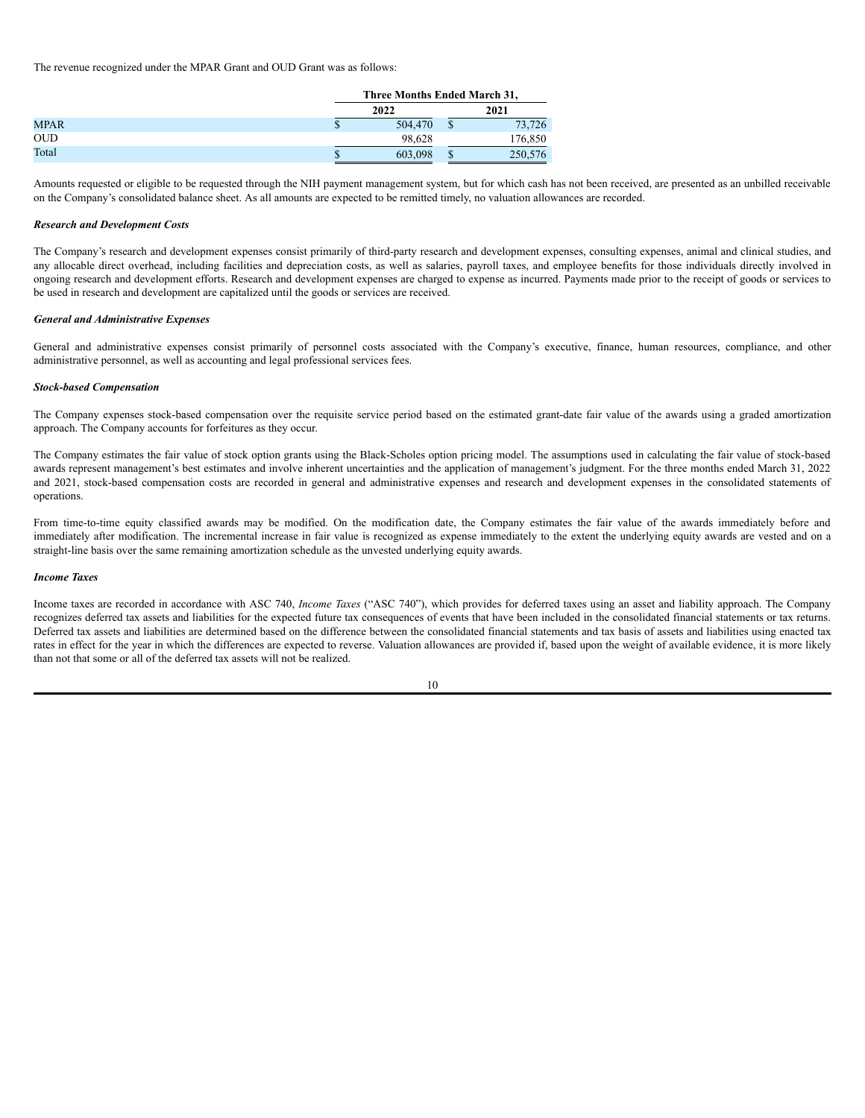The revenue recognized under the MPAR Grant and OUD Grant was as follows:

|             |   | Three Months Ended March 31, |      |         |  |  |
|-------------|---|------------------------------|------|---------|--|--|
| 2022        |   |                              | 2021 |         |  |  |
| <b>MPAR</b> | Ф | 504,470                      |      | 73.726  |  |  |
| <b>OUD</b>  |   | 98.628                       |      | 176,850 |  |  |
| Total       |   | 603.098                      |      | 250,576 |  |  |

Amounts requested or eligible to be requested through the NIH payment management system, but for which cash has not been received, are presented as an unbilled receivable on the Company's consolidated balance sheet. As all amounts are expected to be remitted timely, no valuation allowances are recorded.

# *Research and Development Costs*

The Company's research and development expenses consist primarily of third-party research and development expenses, consulting expenses, animal and clinical studies, and any allocable direct overhead, including facilities and depreciation costs, as well as salaries, payroll taxes, and employee benefits for those individuals directly involved in ongoing research and development efforts. Research and development expenses are charged to expense as incurred. Payments made prior to the receipt of goods or services to be used in research and development are capitalized until the goods or services are received.

#### *General and Administrative Expenses*

General and administrative expenses consist primarily of personnel costs associated with the Company's executive, finance, human resources, compliance, and other administrative personnel, as well as accounting and legal professional services fees.

# *Stock-based Compensation*

The Company expenses stock-based compensation over the requisite service period based on the estimated grant-date fair value of the awards using a graded amortization approach. The Company accounts for forfeitures as they occur.

The Company estimates the fair value of stock option grants using the Black-Scholes option pricing model. The assumptions used in calculating the fair value of stock-based awards represent management's best estimates and involve inherent uncertainties and the application of management's judgment. For the three months ended March 31, 2022 and 2021, stock-based compensation costs are recorded in general and administrative expenses and research and development expenses in the consolidated statements of operations.

From time-to-time equity classified awards may be modified. On the modification date, the Company estimates the fair value of the awards immediately before and immediately after modification. The incremental increase in fair value is recognized as expense immediately to the extent the underlying equity awards are vested and on a straight-line basis over the same remaining amortization schedule as the unvested underlying equity awards.

### *Income Taxes*

Income taxes are recorded in accordance with ASC 740, *Income Taxes* ("ASC 740"), which provides for deferred taxes using an asset and liability approach. The Company recognizes deferred tax assets and liabilities for the expected future tax consequences of events that have been included in the consolidated financial statements or tax returns. Deferred tax assets and liabilities are determined based on the difference between the consolidated financial statements and tax basis of assets and liabilities using enacted tax rates in effect for the year in which the differences are expected to reverse. Valuation allowances are provided if, based upon the weight of available evidence, it is more likely than not that some or all of the deferred tax assets will not be realized.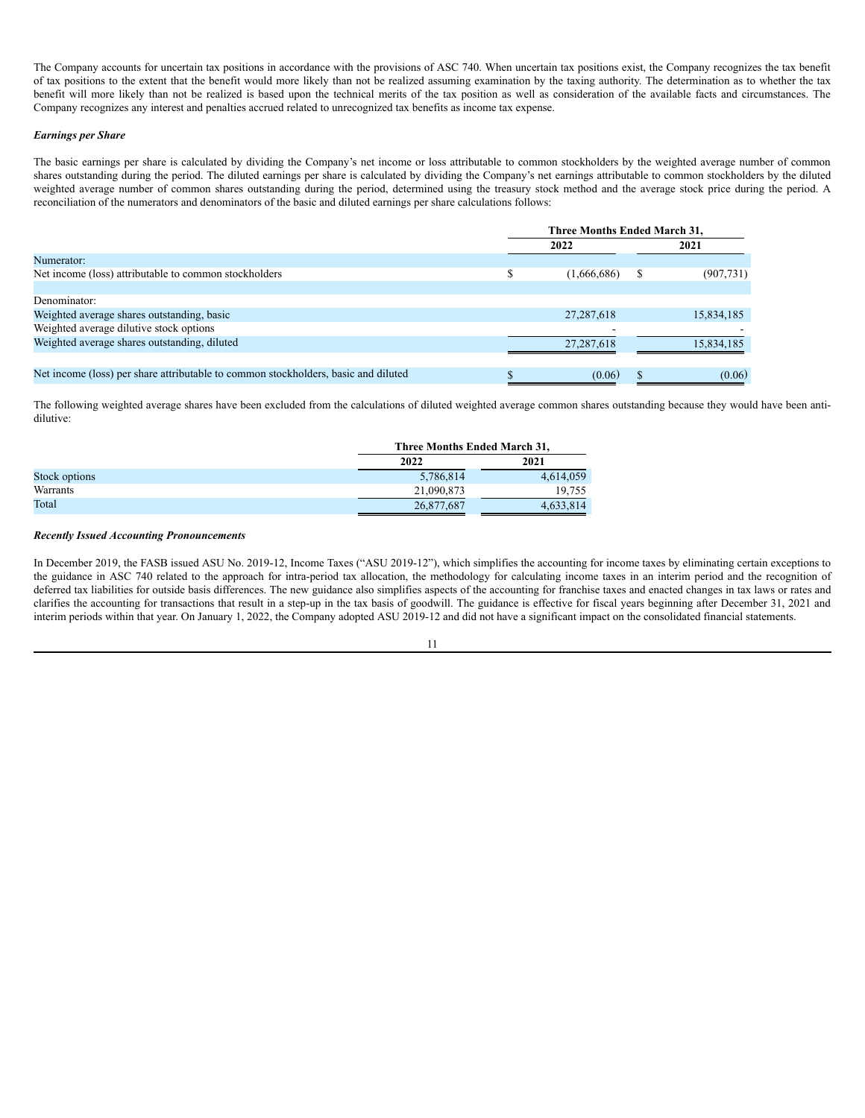The Company accounts for uncertain tax positions in accordance with the provisions of ASC 740. When uncertain tax positions exist, the Company recognizes the tax benefit of tax positions to the extent that the benefit would more likely than not be realized assuming examination by the taxing authority. The determination as to whether the tax benefit will more likely than not be realized is based upon the technical merits of the tax position as well as consideration of the available facts and circumstances. The Company recognizes any interest and penalties accrued related to unrecognized tax benefits as income tax expense.

# *Earnings per Share*

The basic earnings per share is calculated by dividing the Company's net income or loss attributable to common stockholders by the weighted average number of common shares outstanding during the period. The diluted earnings per share is calculated by dividing the Company's net earnings attributable to common stockholders by the diluted weighted average number of common shares outstanding during the period, determined using the treasury stock method and the average stock price during the period. A reconciliation of the numerators and denominators of the basic and diluted earnings per share calculations follows:

|                                                                                    | <b>Three Months Ended March 31,</b> |                          |  |            |
|------------------------------------------------------------------------------------|-------------------------------------|--------------------------|--|------------|
|                                                                                    |                                     | 2022                     |  | 2021       |
| Numerator:                                                                         |                                     |                          |  |            |
| Net income (loss) attributable to common stockholders                              |                                     | (1,666,686)              |  | (907, 731) |
|                                                                                    |                                     |                          |  |            |
| Denominator:                                                                       |                                     |                          |  |            |
| Weighted average shares outstanding, basic                                         |                                     | 27, 287, 618             |  | 15,834,185 |
| Weighted average dilutive stock options                                            |                                     | $\overline{\phantom{a}}$ |  |            |
| Weighted average shares outstanding, diluted                                       |                                     | 27,287,618               |  | 15,834,185 |
|                                                                                    |                                     |                          |  |            |
| Net income (loss) per share attributable to common stockholders, basic and diluted |                                     | (0.06)                   |  | (0.06)     |

The following weighted average shares have been excluded from the calculations of diluted weighted average common shares outstanding because they would have been antidilutive:

|               |            | Three Months Ended March 31, |  |  |  |
|---------------|------------|------------------------------|--|--|--|
|               | 2022       | 2021                         |  |  |  |
| Stock options | 5,786,814  | 4,614,059                    |  |  |  |
| Warrants      | 21,090,873 | 19.755                       |  |  |  |
| Total         | 26,877,687 | 4.633.814                    |  |  |  |

### *Recently Issued Accounting Pronouncements*

In December 2019, the FASB issued ASU No. 2019-12, Income Taxes ("ASU 2019-12"), which simplifies the accounting for income taxes by eliminating certain exceptions to the guidance in ASC 740 related to the approach for intra-period tax allocation, the methodology for calculating income taxes in an interim period and the recognition of deferred tax liabilities for outside basis differences. The new guidance also simplifies aspects of the accounting for franchise taxes and enacted changes in tax laws or rates and clarifies the accounting for transactions that result in a step-up in the tax basis of goodwill. The guidance is effective for fiscal years beginning after December 31, 2021 and interim periods within that year. On January 1, 2022, the Company adopted ASU 2019-12 and did not have a significant impact on the consolidated financial statements.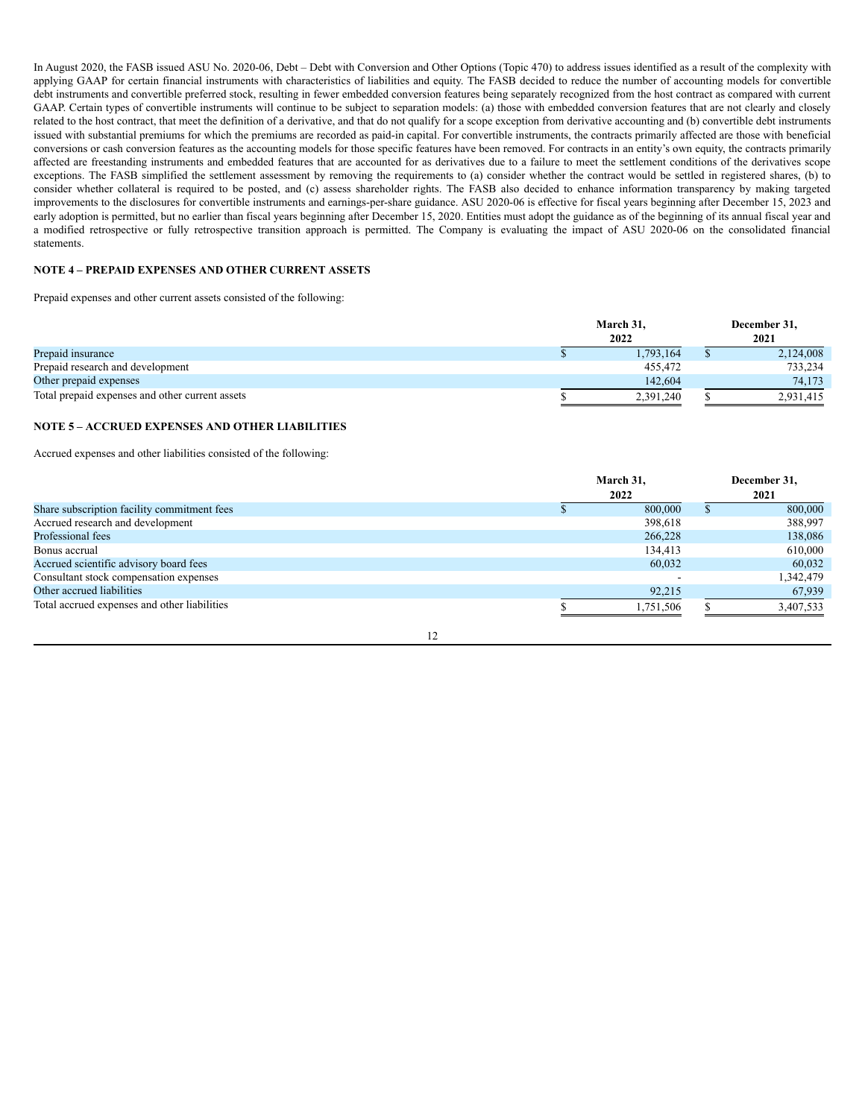In August 2020, the FASB issued ASU No. 2020-06, Debt – Debt with Conversion and Other Options (Topic 470) to address issues identified as a result of the complexity with applying GAAP for certain financial instruments with characteristics of liabilities and equity. The FASB decided to reduce the number of accounting models for convertible debt instruments and convertible preferred stock, resulting in fewer embedded conversion features being separately recognized from the host contract as compared with current GAAP. Certain types of convertible instruments will continue to be subject to separation models: (a) those with embedded conversion features that are not clearly and closely related to the host contract, that meet the definition of a derivative, and that do not qualify for a scope exception from derivative accounting and (b) convertible debt instruments issued with substantial premiums for which the premiums are recorded as paid-in capital. For convertible instruments, the contracts primarily affected are those with beneficial conversions or cash conversion features as the accounting models for those specific features have been removed. For contracts in an entity's own equity, the contracts primarily affected are freestanding instruments and embedded features that are accounted for as derivatives due to a failure to meet the settlement conditions of the derivatives scope exceptions. The FASB simplified the settlement assessment by removing the requirements to (a) consider whether the contract would be settled in registered shares, (b) to consider whether collateral is required to be posted, and (c) assess shareholder rights. The FASB also decided to enhance information transparency by making targeted improvements to the disclosures for convertible instruments and earnings-per-share guidance. ASU 2020-06 is effective for fiscal years beginning after December 15, 2023 and early adoption is permitted, but no earlier than fiscal years beginning after December 15, 2020. Entities must adopt the guidance as of the beginning of its annual fiscal year and a modified retrospective or fully retrospective transition approach is permitted. The Company is evaluating the impact of ASU 2020-06 on the consolidated financial statements.

# **NOTE 4 – PREPAID EXPENSES AND OTHER CURRENT ASSETS**

Prepaid expenses and other current assets consisted of the following:

|                                                 | March 31, | December 31, |
|-------------------------------------------------|-----------|--------------|
|                                                 | 2022      | 2021         |
| Prepaid insurance                               | 1,793,164 | 2,124,008    |
| Prepaid research and development                | 455.472   | 733.234      |
| Other prepaid expenses                          | 142,604   | 74.173       |
| Total prepaid expenses and other current assets | 2.391.240 | 2.931.415    |

# **NOTE 5 – ACCRUED EXPENSES AND OTHER LIABILITIES**

Accrued expenses and other liabilities consisted of the following:

|                                              |  | March 31, | December 31, |
|----------------------------------------------|--|-----------|--------------|
|                                              |  | 2021      |              |
| Share subscription facility commitment fees  |  | 800,000   | 800,000      |
| Accrued research and development             |  | 398,618   | 388,997      |
| Professional fees                            |  | 266,228   | 138,086      |
| Bonus accrual                                |  | 134,413   | 610,000      |
| Accrued scientific advisory board fees       |  | 60,032    | 60,032       |
| Consultant stock compensation expenses       |  |           | 1,342,479    |
| Other accrued liabilities                    |  | 92,215    | 67,939       |
| Total accrued expenses and other liabilities |  | 1,751,506 | 3,407,533    |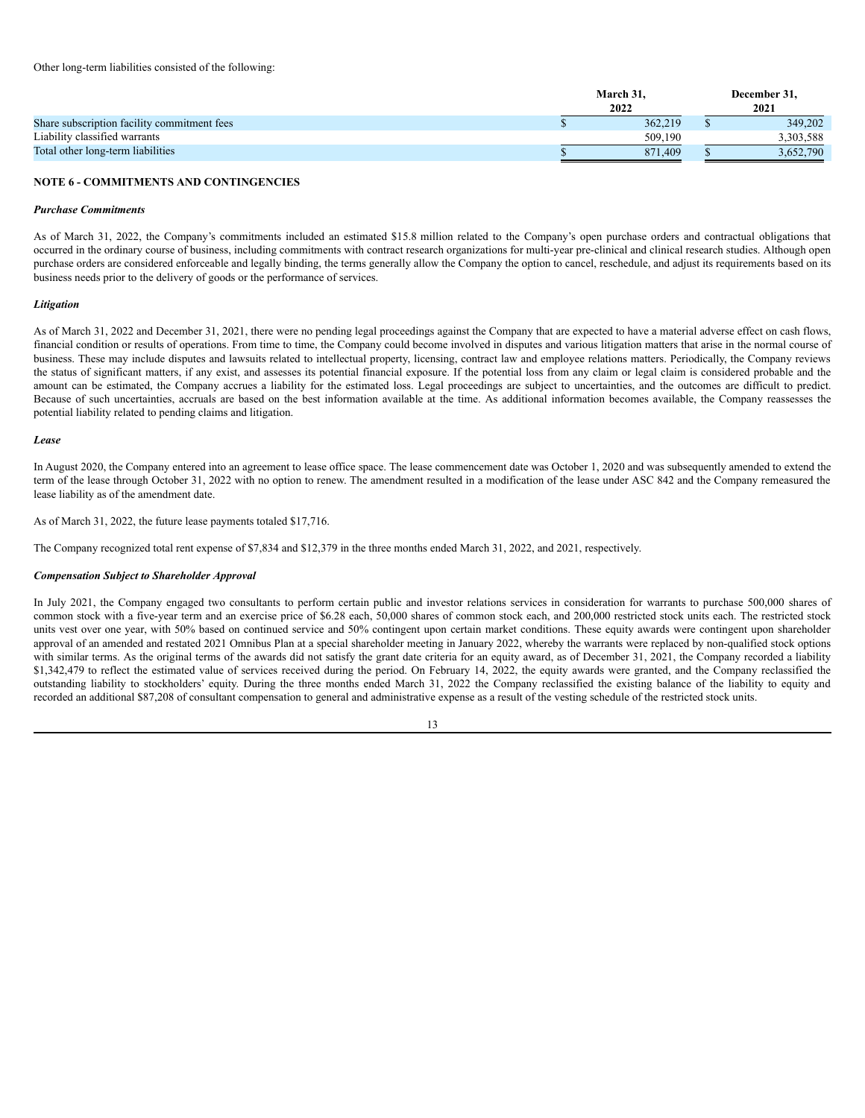|                                             | March 31. | December 31. |
|---------------------------------------------|-----------|--------------|
|                                             | 2022      | 2021         |
| Share subscription facility commitment fees | 362,219   | 349.202      |
| Liability classified warrants               | 509.190   | 3,303,588    |
| Total other long-term liabilities           | 871.409   | 3,652,790    |

### **NOTE 6 - COMMITMENTS AND CONTINGENCIES**

### *Purchase Commitments*

As of March 31, 2022, the Company's commitments included an estimated \$15.8 million related to the Company's open purchase orders and contractual obligations that occurred in the ordinary course of business, including commitments with contract research organizations for multi-year pre-clinical and clinical research studies. Although open purchase orders are considered enforceable and legally binding, the terms generally allow the Company the option to cancel, reschedule, and adjust its requirements based on its business needs prior to the delivery of goods or the performance of services.

#### *Litigation*

As of March 31, 2022 and December 31, 2021, there were no pending legal proceedings against the Company that are expected to have a material adverse effect on cash flows, financial condition or results of operations. From time to time, the Company could become involved in disputes and various litigation matters that arise in the normal course of business. These may include disputes and lawsuits related to intellectual property, licensing, contract law and employee relations matters. Periodically, the Company reviews the status of significant matters, if any exist, and assesses its potential financial exposure. If the potential loss from any claim or legal claim is considered probable and the amount can be estimated, the Company accrues a liability for the estimated loss. Legal proceedings are subject to uncertainties, and the outcomes are difficult to predict. Because of such uncertainties, accruals are based on the best information available at the time. As additional information becomes available, the Company reassesses the potential liability related to pending claims and litigation.

### *Lease*

In August 2020, the Company entered into an agreement to lease office space. The lease commencement date was October 1, 2020 and was subsequently amended to extend the term of the lease through October 31, 2022 with no option to renew. The amendment resulted in a modification of the lease under ASC 842 and the Company remeasured the lease liability as of the amendment date.

As of March 31, 2022, the future lease payments totaled \$17,716.

The Company recognized total rent expense of \$7,834 and \$12,379 in the three months ended March 31, 2022, and 2021, respectively.

### *Compensation Subject to Shareholder Approval*

In July 2021, the Company engaged two consultants to perform certain public and investor relations services in consideration for warrants to purchase 500,000 shares of common stock with a five-year term and an exercise price of \$6.28 each, 50,000 shares of common stock each, and 200,000 restricted stock units each. The restricted stock units vest over one year, with 50% based on continued service and 50% contingent upon certain market conditions. These equity awards were contingent upon shareholder approval of an amended and restated 2021 Omnibus Plan at a special shareholder meeting in January 2022, whereby the warrants were replaced by non-qualified stock options with similar terms. As the original terms of the awards did not satisfy the grant date criteria for an equity award, as of December 31, 2021, the Company recorded a liability \$1,342,479 to reflect the estimated value of services received during the period. On February 14, 2022, the equity awards were granted, and the Company reclassified the outstanding liability to stockholders' equity. During the three months ended March 31, 2022 the Company reclassified the existing balance of the liability to equity and recorded an additional \$87,208 of consultant compensation to general and administrative expense as a result of the vesting schedule of the restricted stock units.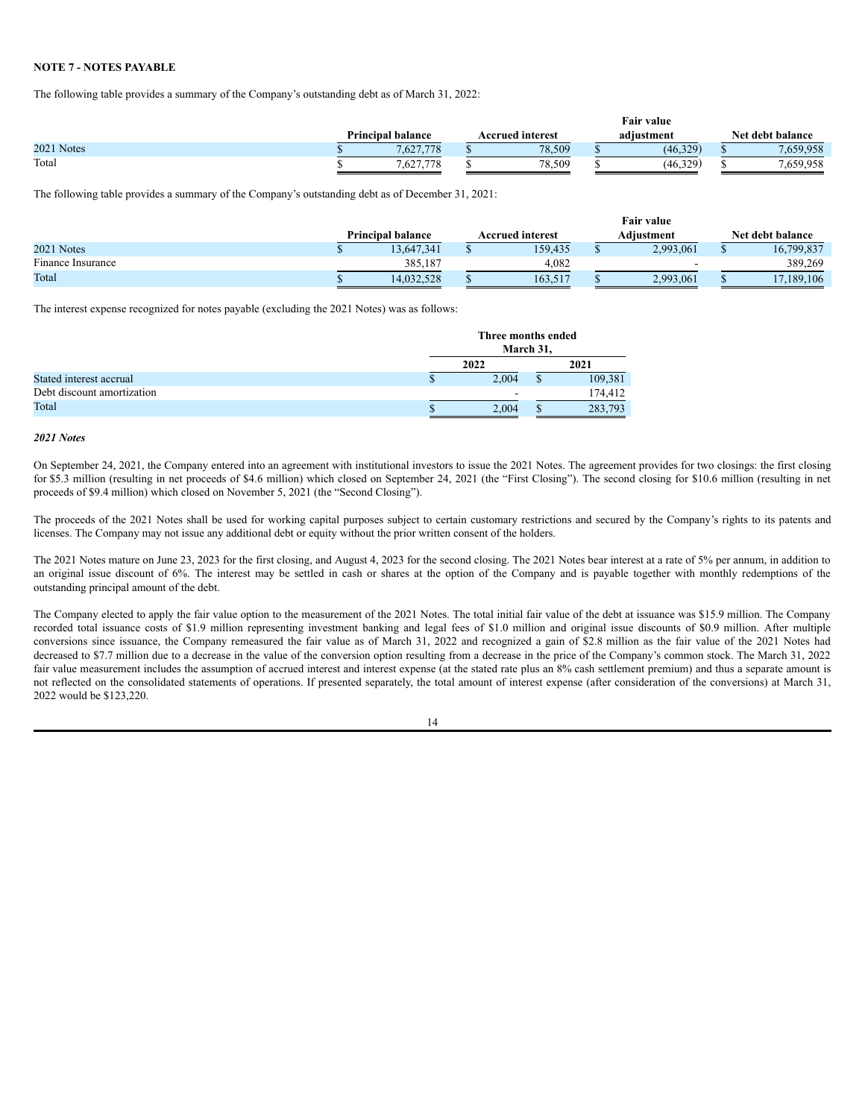# **NOTE 7 - NOTES PAYABLE**

The following table provides a summary of the Company's outstanding debt as of March 31, 2022:

|            |                          |  | Fair value       |  |            |  |                  |  |  |
|------------|--------------------------|--|------------------|--|------------|--|------------------|--|--|
|            | <b>Principal balance</b> |  | Accrued interest |  | adiustment |  | Net debt balance |  |  |
| 2021 Notes | 7,627,778                |  | 78.509           |  | (46,329)   |  | .659,958         |  |  |
| Total      | .627,778                 |  | 78.509           |  | (46, 329)  |  | .659,958         |  |  |

The following table provides a summary of the Company's outstanding debt as of December 31, 2021:

|                              |                          | <b>Fair value</b> |                         |  |            |  |                  |  |  |
|------------------------------|--------------------------|-------------------|-------------------------|--|------------|--|------------------|--|--|
|                              | <b>Principal balance</b> |                   | <b>Accrued interest</b> |  | Adiustment |  | Net debt balance |  |  |
| 2021 Notes                   | 13,647,341               |                   | 159.435                 |  | 2,993,061  |  | 16,799,837       |  |  |
| <b></b><br>Finance Insurance | 385,187                  |                   | 4.082                   |  |            |  | 389,269          |  |  |
| Total                        | 14,032,528               |                   | 163,517                 |  | 2,993,061  |  | 17,189,106       |  |  |

The interest expense recognized for notes payable (excluding the 2021 Notes) was as follows:

|                            | Three months ended | March 31, |         |  |  |
|----------------------------|--------------------|-----------|---------|--|--|
|                            | 2022               |           | 2021    |  |  |
| Stated interest accrual    | 2.004              | ¢         | 109,381 |  |  |
| Debt discount amortization |                    |           | 174.412 |  |  |
| Total                      | 2.004<br>283,793   |           |         |  |  |

# *2021 Notes*

On September 24, 2021, the Company entered into an agreement with institutional investors to issue the 2021 Notes. The agreement provides for two closings: the first closing for \$5.3 million (resulting in net proceeds of \$4.6 million) which closed on September 24, 2021 (the "First Closing"). The second closing for \$10.6 million (resulting in net proceeds of \$9.4 million) which closed on November 5, 2021 (the "Second Closing").

The proceeds of the 2021 Notes shall be used for working capital purposes subject to certain customary restrictions and secured by the Company's rights to its patents and licenses. The Company may not issue any additional debt or equity without the prior written consent of the holders.

The 2021 Notes mature on June 23, 2023 for the first closing, and August 4, 2023 for the second closing. The 2021 Notes bear interest at a rate of 5% per annum, in addition to an original issue discount of 6%. The interest may be settled in cash or shares at the option of the Company and is payable together with monthly redemptions of the outstanding principal amount of the debt.

The Company elected to apply the fair value option to the measurement of the 2021 Notes. The total initial fair value of the debt at issuance was \$15.9 million. The Company recorded total issuance costs of \$1.9 million representing investment banking and legal fees of \$1.0 million and original issue discounts of \$0.9 million. After multiple conversions since issuance, the Company remeasured the fair value as of March 31, 2022 and recognized a gain of \$2.8 million as the fair value of the 2021 Notes had decreased to \$7.7 million due to a decrease in the value of the conversion option resulting from a decrease in the price of the Company's common stock. The March 31, 2022 fair value measurement includes the assumption of accrued interest and interest expense (at the stated rate plus an 8% cash settlement premium) and thus a separate amount is not reflected on the consolidated statements of operations. If presented separately, the total amount of interest expense (after consideration of the conversions) at March 31, 2022 would be \$123,220.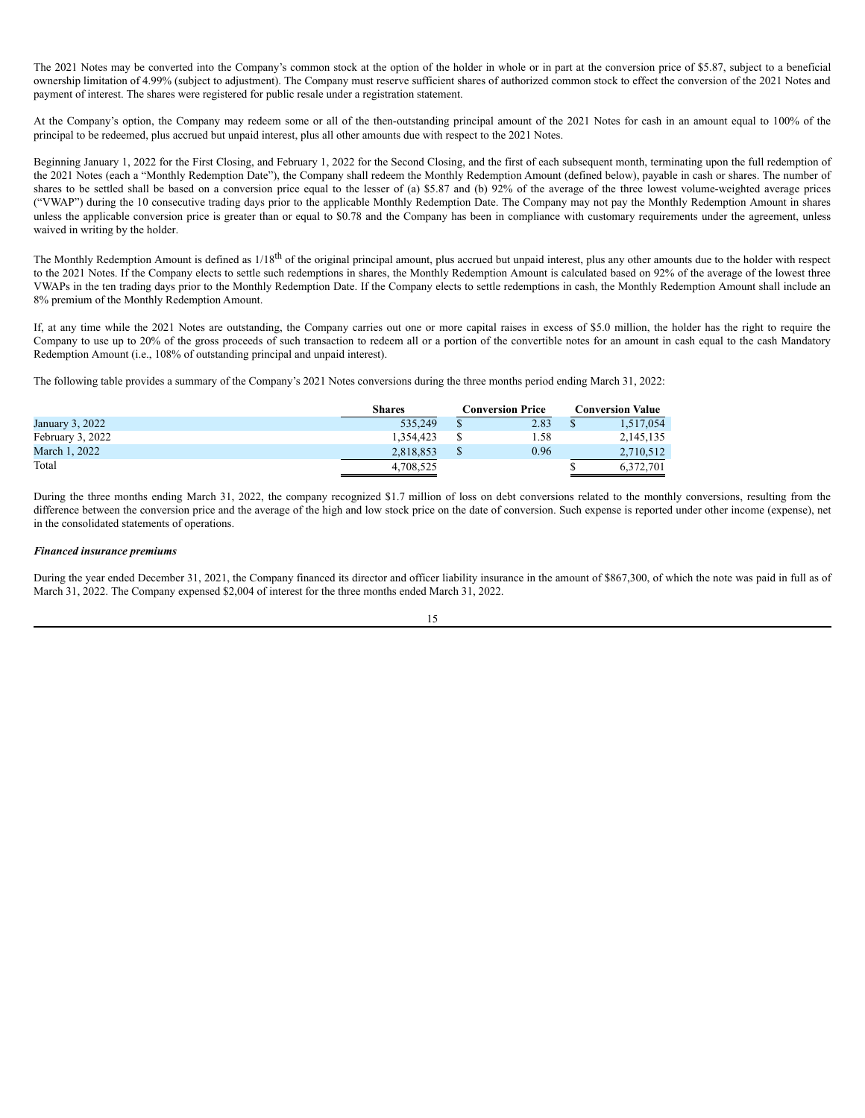The 2021 Notes may be converted into the Company's common stock at the option of the holder in whole or in part at the conversion price of \$5.87, subject to a beneficial ownership limitation of 4.99% (subject to adjustment). The Company must reserve sufficient shares of authorized common stock to effect the conversion of the 2021 Notes and payment of interest. The shares were registered for public resale under a registration statement.

At the Company's option, the Company may redeem some or all of the then-outstanding principal amount of the 2021 Notes for cash in an amount equal to 100% of the principal to be redeemed, plus accrued but unpaid interest, plus all other amounts due with respect to the 2021 Notes.

Beginning January 1, 2022 for the First Closing, and February 1, 2022 for the Second Closing, and the first of each subsequent month, terminating upon the full redemption of the 2021 Notes (each a "Monthly Redemption Date"), the Company shall redeem the Monthly Redemption Amount (defined below), payable in cash or shares. The number of shares to be settled shall be based on a conversion price equal to the lesser of (a) \$5.87 and (b) 92% of the average of the three lowest volume-weighted average prices ("VWAP") during the 10 consecutive trading days prior to the applicable Monthly Redemption Date. The Company may not pay the Monthly Redemption Amount in shares unless the applicable conversion price is greater than or equal to \$0.78 and the Company has been in compliance with customary requirements under the agreement, unless waived in writing by the holder.

The Monthly Redemption Amount is defined as 1/18<sup>th</sup> of the original principal amount, plus accrued but unpaid interest, plus any other amounts due to the holder with respect to the 2021 Notes. If the Company elects to settle such redemptions in shares, the Monthly Redemption Amount is calculated based on 92% of the average of the lowest three VWAPs in the ten trading days prior to the Monthly Redemption Date. If the Company elects to settle redemptions in cash, the Monthly Redemption Amount shall include an 8% premium of the Monthly Redemption Amount.

If, at any time while the 2021 Notes are outstanding, the Company carries out one or more capital raises in excess of \$5.0 million, the holder has the right to require the Company to use up to 20% of the gross proceeds of such transaction to redeem all or a portion of the convertible notes for an amount in cash equal to the cash Mandatory Redemption Amount (i.e., 108% of outstanding principal and unpaid interest).

The following table provides a summary of the Company's 2021 Notes conversions during the three months period ending March 31, 2022:

|                  | <b>Shares</b><br>Conversion Price |  |      | <b>Conversion Value</b> |           |  |
|------------------|-----------------------------------|--|------|-------------------------|-----------|--|
| January 3, 2022  | 535.249                           |  | 2.83 |                         | 1,517,054 |  |
| February 3, 2022 | 1.354.423                         |  | .58  |                         | 2,145,135 |  |
| March 1, 2022    | 2.818.853                         |  | 0.96 |                         | 2,710,512 |  |
| Total            | 4,708,525                         |  |      | 6.372.701               |           |  |

During the three months ending March 31, 2022, the company recognized \$1.7 million of loss on debt conversions related to the monthly conversions, resulting from the difference between the conversion price and the average of the high and low stock price on the date of conversion. Such expense is reported under other income (expense), net in the consolidated statements of operations.

### *Financed insurance premiums*

During the year ended December 31, 2021, the Company financed its director and officer liability insurance in the amount of \$867,300, of which the note was paid in full as of March 31, 2022. The Company expensed \$2,004 of interest for the three months ended March 31, 2022.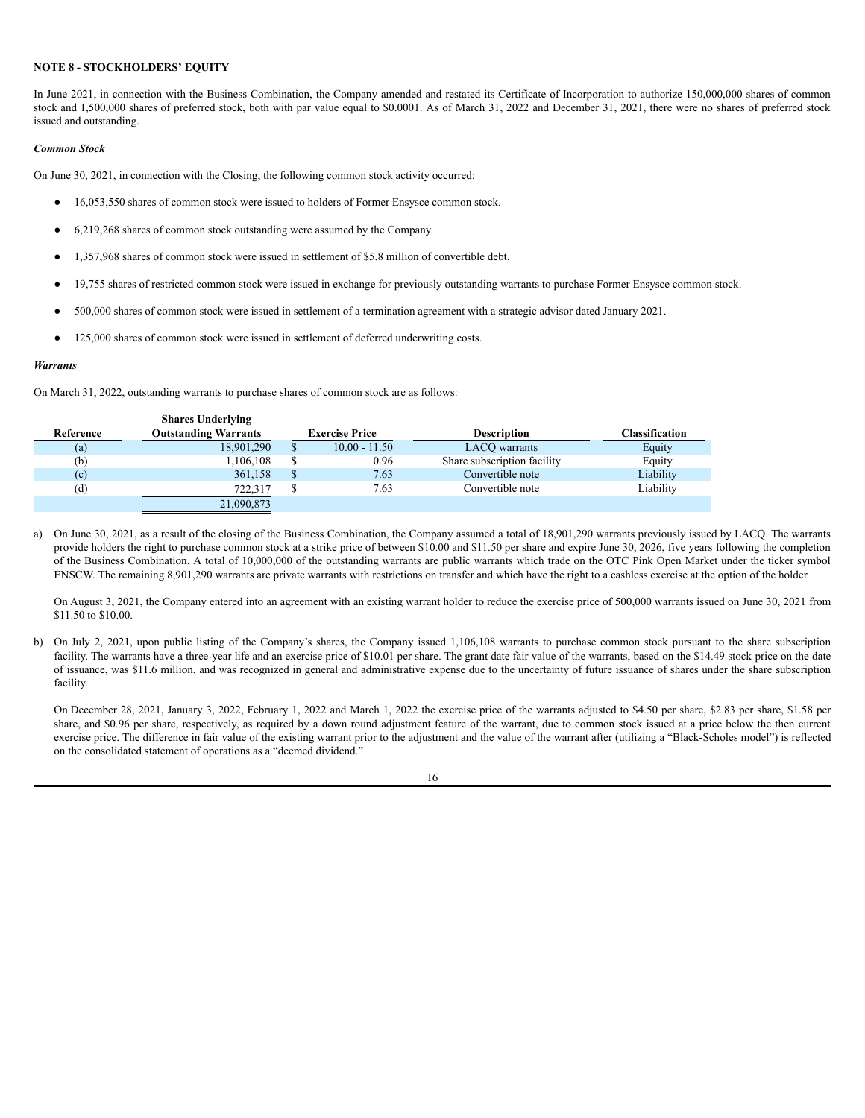# **NOTE 8 - STOCKHOLDERS' EQUITY**

In June 2021, in connection with the Business Combination, the Company amended and restated its Certificate of Incorporation to authorize 150,000,000 shares of common stock and 1,500,000 shares of preferred stock, both with par value equal to \$0.0001. As of March 31, 2022 and December 31, 2021, there were no shares of preferred stock issued and outstanding.

# *Common Stock*

On June 30, 2021, in connection with the Closing, the following common stock activity occurred:

- 16,053,550 shares of common stock were issued to holders of Former Ensysce common stock.
- 6,219,268 shares of common stock outstanding were assumed by the Company.
- 1,357,968 shares of common stock were issued in settlement of \$5.8 million of convertible debt.
- 19,755 shares of restricted common stock were issued in exchange for previously outstanding warrants to purchase Former Ensysce common stock.
- 500,000 shares of common stock were issued in settlement of a termination agreement with a strategic advisor dated January 2021.
- 125,000 shares of common stock were issued in settlement of deferred underwriting costs.

# *Warrants*

On March 31, 2022, outstanding warrants to purchase shares of common stock are as follows:

**Shares Underlying**

|           | Snares Underlying           |                       |                             |                |
|-----------|-----------------------------|-----------------------|-----------------------------|----------------|
| Reference | <b>Outstanding Warrants</b> | <b>Exercise Price</b> | <b>Description</b>          | Classification |
| (a)       | 18,901,290                  | $10.00 - 11.50$       | LACO warrants               | Equity         |
| (b)       | 1.106.108                   | 0.96                  | Share subscription facility | Equity         |
| (c)       | 361,158                     | 7.63                  | Convertible note            | Liability      |
| (d)       | 722.317                     | 7.63                  | Convertible note            | Liability      |
|           | 21,090,873                  |                       |                             |                |

a) On June 30, 2021, as a result of the closing of the Business Combination, the Company assumed a total of 18,901,290 warrants previously issued by LACQ. The warrants provide holders the right to purchase common stock at a strike price of between \$10.00 and \$11.50 per share and expire June 30, 2026, five years following the completion of the Business Combination. A total of 10,000,000 of the outstanding warrants are public warrants which trade on the OTC Pink Open Market under the ticker symbol ENSCW. The remaining 8,901,290 warrants are private warrants with restrictions on transfer and which have the right to a cashless exercise at the option of the holder.

On August 3, 2021, the Company entered into an agreement with an existing warrant holder to reduce the exercise price of 500,000 warrants issued on June 30, 2021 from \$11.50 to \$10.00.

b) On July 2, 2021, upon public listing of the Company's shares, the Company issued 1,106,108 warrants to purchase common stock pursuant to the share subscription facility. The warrants have a three-year life and an exercise price of \$10.01 per share. The grant date fair value of the warrants, based on the \$14.49 stock price on the date of issuance, was \$11.6 million, and was recognized in general and administrative expense due to the uncertainty of future issuance of shares under the share subscription facility.

On December 28, 2021, January 3, 2022, February 1, 2022 and March 1, 2022 the exercise price of the warrants adjusted to \$4.50 per share, \$2.83 per share, \$1.58 per share, and \$0.96 per share, respectively, as required by a down round adjustment feature of the warrant, due to common stock issued at a price below the then current exercise price. The difference in fair value of the existing warrant prior to the adjustment and the value of the warrant after (utilizing a "Black-Scholes model") is reflected on the consolidated statement of operations as a "deemed dividend."

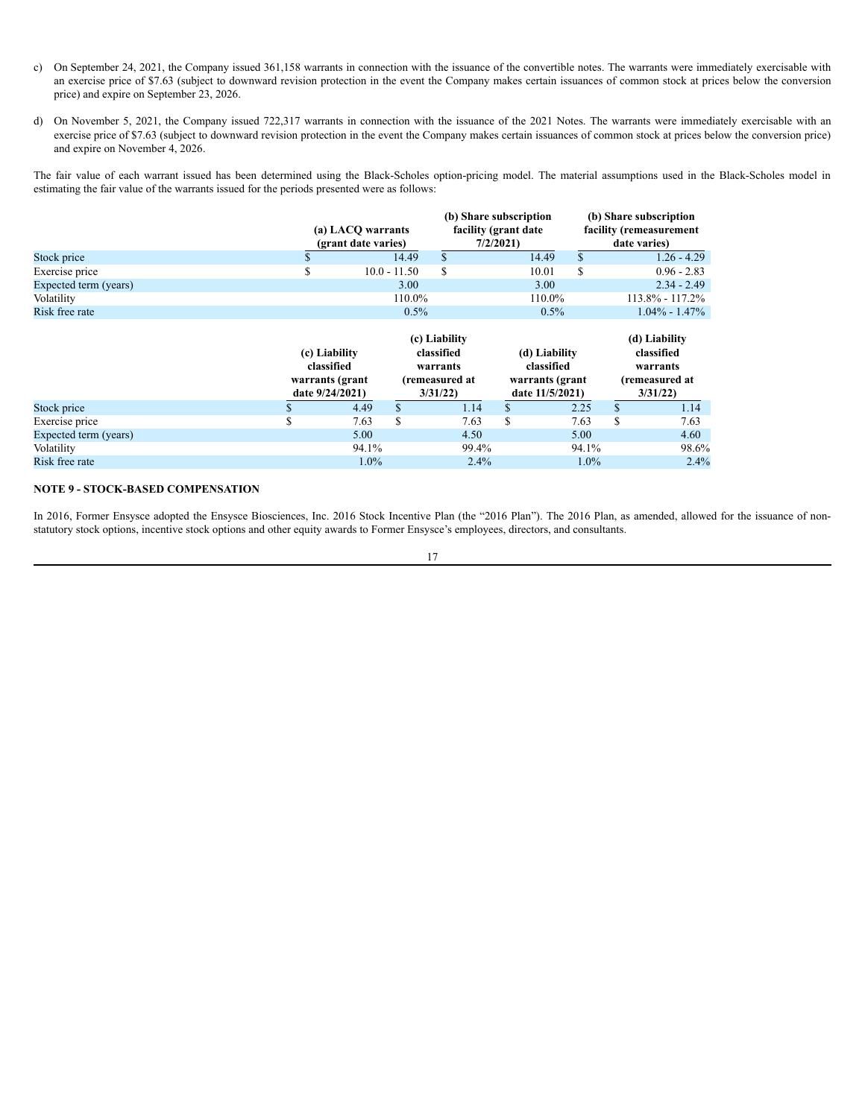- c) On September 24, 2021, the Company issued 361,158 warrants in connection with the issuance of the convertible notes. The warrants were immediately exercisable with an exercise price of \$7.63 (subject to downward revision protection in the event the Company makes certain issuances of common stock at prices below the conversion price) and expire on September 23, 2026.
- d) On November 5, 2021, the Company issued 722,317 warrants in connection with the issuance of the 2021 Notes. The warrants were immediately exercisable with an exercise price of \$7.63 (subject to downward revision protection in the event the Company makes certain issuances of common stock at prices below the conversion price) and expire on November 4, 2026.

The fair value of each warrant issued has been determined using the Black-Scholes option-pricing model. The material assumptions used in the Black-Scholes model in estimating the fair value of the warrants issued for the periods presented were as follows:

|                |                                          |        |                                                             | (b) Share subscription<br>facility (remeasurement<br>date varies) |
|----------------|------------------------------------------|--------|-------------------------------------------------------------|-------------------------------------------------------------------|
| 14.49          |                                          | 14.49  |                                                             | $1.26 - 4.29$                                                     |
| $10.0 - 11.50$ |                                          | 10.01  |                                                             | $0.96 - 2.83$                                                     |
| 3.00           |                                          | 3.00   |                                                             | $2.34 - 2.49$                                                     |
| 110.0%         |                                          | 110.0% |                                                             | $113.8\% - 117.2\%$                                               |
| 0.5%           |                                          | 0.5%   |                                                             | $1.04\% - 1.47\%$                                                 |
|                | (a) LACQ warrants<br>(grant date varies) |        | (b) Share subscription<br>facility (grant date)<br>7/2/2021 |                                                                   |

|                       |  | (c) Liability<br>classified<br>warrants (grant<br>date $9/24/2021$ |       |    | (c) Liability<br>classified<br>warrants<br>(remeasured at<br>3/31/22 |    | (d) Liability<br>classified<br>warrants (grant<br>date 11/5/2021) |    | (d) Liability<br>classified<br>warrants<br>(remeasured at<br>3/31/22 |  |
|-----------------------|--|--------------------------------------------------------------------|-------|----|----------------------------------------------------------------------|----|-------------------------------------------------------------------|----|----------------------------------------------------------------------|--|
| Stock price           |  |                                                                    | 4.49  | S. | 1.14                                                                 | D. | 2.25                                                              |    | 1.14                                                                 |  |
| Exercise price        |  |                                                                    | 7.63  | \$ | 7.63                                                                 | \$ | 7.63                                                              | \$ | 7.63                                                                 |  |
| Expected term (years) |  |                                                                    | 5.00  |    | 4.50                                                                 |    | 5.00                                                              |    | 4.60                                                                 |  |
| Volatility            |  |                                                                    | 94.1% |    | 99.4%                                                                |    | 94.1%                                                             |    | 98.6%                                                                |  |
| Risk free rate        |  |                                                                    | 1.0%  |    | 2.4%                                                                 |    | $1.0\%$                                                           |    | 2.4%                                                                 |  |

# **NOTE 9 - STOCK-BASED COMPENSATION**

In 2016, Former Ensysce adopted the Ensysce Biosciences, Inc. 2016 Stock Incentive Plan (the "2016 Plan"). The 2016 Plan, as amended, allowed for the issuance of nonstatutory stock options, incentive stock options and other equity awards to Former Ensysce's employees, directors, and consultants.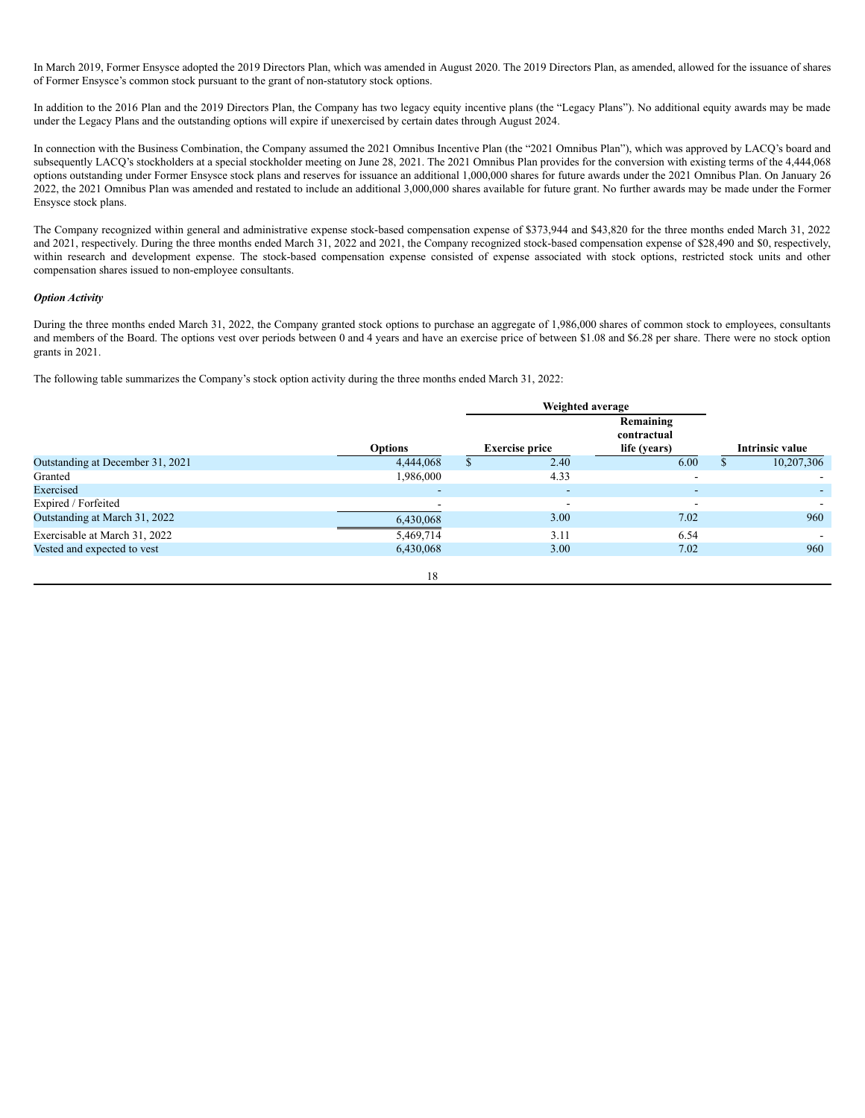In March 2019, Former Ensysce adopted the 2019 Directors Plan, which was amended in August 2020. The 2019 Directors Plan, as amended, allowed for the issuance of shares of Former Ensysce's common stock pursuant to the grant of non-statutory stock options.

In addition to the 2016 Plan and the 2019 Directors Plan, the Company has two legacy equity incentive plans (the "Legacy Plans"). No additional equity awards may be made under the Legacy Plans and the outstanding options will expire if unexercised by certain dates through August 2024.

In connection with the Business Combination, the Company assumed the 2021 Omnibus Incentive Plan (the "2021 Omnibus Plan"), which was approved by LACQ's board and subsequently LACQ's stockholders at a special stockholder meeting on June 28, 2021. The 2021 Omnibus Plan provides for the conversion with existing terms of the 4,444,068 options outstanding under Former Ensysce stock plans and reserves for issuance an additional 1,000,000 shares for future awards under the 2021 Omnibus Plan. On January 26 2022, the 2021 Omnibus Plan was amended and restated to include an additional 3,000,000 shares available for future grant. No further awards may be made under the Former Ensysce stock plans.

The Company recognized within general and administrative expense stock-based compensation expense of \$373,944 and \$43,820 for the three months ended March 31, 2022 and 2021, respectively. During the three months ended March 31, 2022 and 2021, the Company recognized stock-based compensation expense of \$28,490 and \$0, respectively, within research and development expense. The stock-based compensation expense consisted of expense associated with stock options, restricted stock units and other compensation shares issued to non-employee consultants.

# *Option Activity*

During the three months ended March 31, 2022, the Company granted stock options to purchase an aggregate of 1,986,000 shares of common stock to employees, consultants and members of the Board. The options vest over periods between 0 and 4 years and have an exercise price of between \$1.08 and \$6.28 per share. There were no stock option grants in 2021.

The following table summarizes the Company's stock option activity during the three months ended March 31, 2022:

|                                  |                | Weighted average         |                                          |                        |
|----------------------------------|----------------|--------------------------|------------------------------------------|------------------------|
|                                  | <b>Options</b> | <b>Exercise price</b>    | Remaining<br>contractual<br>life (years) | <b>Intrinsic value</b> |
| Outstanding at December 31, 2021 | 4,444,068      | 2.40                     | 6.00                                     | 10,207,306             |
| Granted                          | 1,986,000      | 4.33                     |                                          |                        |
| Exercised                        | -              | $\overline{\phantom{0}}$ | $\overline{\phantom{0}}$                 |                        |
| Expired / Forfeited              |                |                          |                                          |                        |
| Outstanding at March 31, 2022    | 6,430,068      | 3.00                     | 7.02                                     | 960                    |
| Exercisable at March 31, 2022    | 5,469,714      | 3.11                     | 6.54                                     |                        |
| Vested and expected to vest      | 6,430,068      | 3.00                     | 7.02                                     | 960                    |
|                                  | 18             |                          |                                          |                        |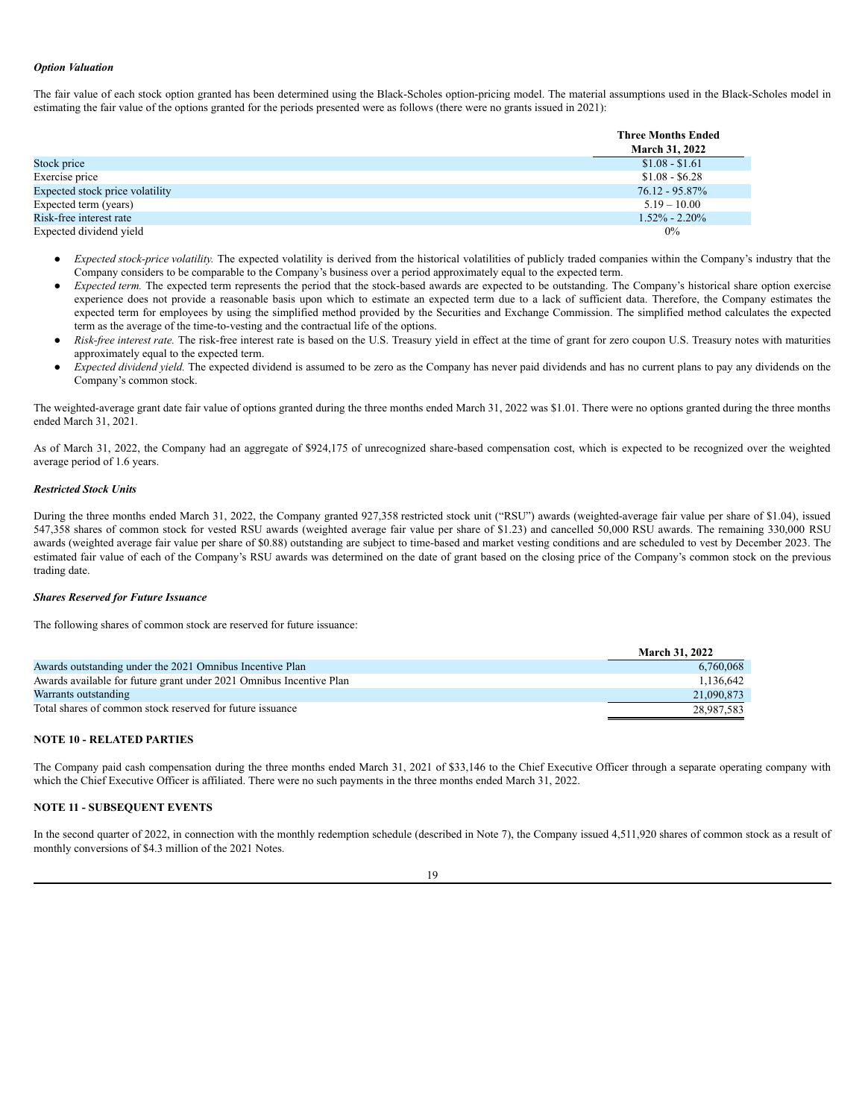# *Option Valuation*

The fair value of each stock option granted has been determined using the Black-Scholes option-pricing model. The material assumptions used in the Black-Scholes model in estimating the fair value of the options granted for the periods presented were as follows (there were no grants issued in 2021):

|                                 | <b>Three Months Ended</b> |
|---------------------------------|---------------------------|
|                                 | <b>March 31, 2022</b>     |
| Stock price                     | $$1.08 - $1.61$           |
| Exercise price                  | $$1.08 - $6.28$           |
| Expected stock price volatility | $76.12 - 95.87\%$         |
| Expected term (years)           | $5.19 - 10.00$            |
| Risk-free interest rate         | $1.52\% - 2.20\%$         |
| Expected dividend yield         | $0\%$                     |

- Expected stock-price volatility. The expected volatility is derived from the historical volatilities of publicly traded companies within the Company's industry that the Company considers to be comparable to the Company's business over a period approximately equal to the expected term.
- *Expected term*. The expected term represents the period that the stock-based awards are expected to be outstanding. The Company's historical share option exercise experience does not provide a reasonable basis upon which to estimate an expected term due to a lack of sufficient data. Therefore, the Company estimates the expected term for employees by using the simplified method provided by the Securities and Exchange Commission. The simplified method calculates the expected term as the average of the time-to-vesting and the contractual life of the options.
- *Risk-free interest rate.* The risk-free interest rate is based on the U.S. Treasury yield in effect at the time of grant for zero coupon U.S. Treasury notes with maturities approximately equal to the expected term.
- Expected dividend yield. The expected dividend is assumed to be zero as the Company has never paid dividends and has no current plans to pay any dividends on the Company's common stock.

The weighted-average grant date fair value of options granted during the three months ended March 31, 2022 was \$1.01. There were no options granted during the three months ended March 31, 2021.

As of March 31, 2022, the Company had an aggregate of \$924,175 of unrecognized share-based compensation cost, which is expected to be recognized over the weighted average period of 1.6 years.

## *Restricted Stock Units*

During the three months ended March 31, 2022, the Company granted 927,358 restricted stock unit ("RSU") awards (weighted-average fair value per share of \$1.04), issued 547,358 shares of common stock for vested RSU awards (weighted average fair value per share of \$1.23) and cancelled 50,000 RSU awards. The remaining 330,000 RSU awards (weighted average fair value per share of \$0.88) outstanding are subject to time-based and market vesting conditions and are scheduled to vest by December 2023. The estimated fair value of each of the Company's RSU awards was determined on the date of grant based on the closing price of the Company's common stock on the previous trading date.

# *Shares Reserved for Future Issuance*

The following shares of common stock are reserved for future issuance:

|                                                                     | <b>March 31, 2022</b> |
|---------------------------------------------------------------------|-----------------------|
| Awards outstanding under the 2021 Omnibus Incentive Plan            | 6,760,068             |
| Awards available for future grant under 2021 Omnibus Incentive Plan | 1.136.642             |
| Warrants outstanding                                                | 21,090,873            |
| Total shares of common stock reserved for future issuance           | 28.987.583            |

# **NOTE 10 - RELATED PARTIES**

The Company paid cash compensation during the three months ended March 31, 2021 of \$33,146 to the Chief Executive Officer through a separate operating company with which the Chief Executive Officer is affiliated. There were no such payments in the three months ended March 31, 2022.

### **NOTE 11 - SUBSEQUENT EVENTS**

In the second quarter of 2022, in connection with the monthly redemption schedule (described in Note 7), the Company issued 4,511,920 shares of common stock as a result of monthly conversions of \$4.3 million of the 2021 Notes.

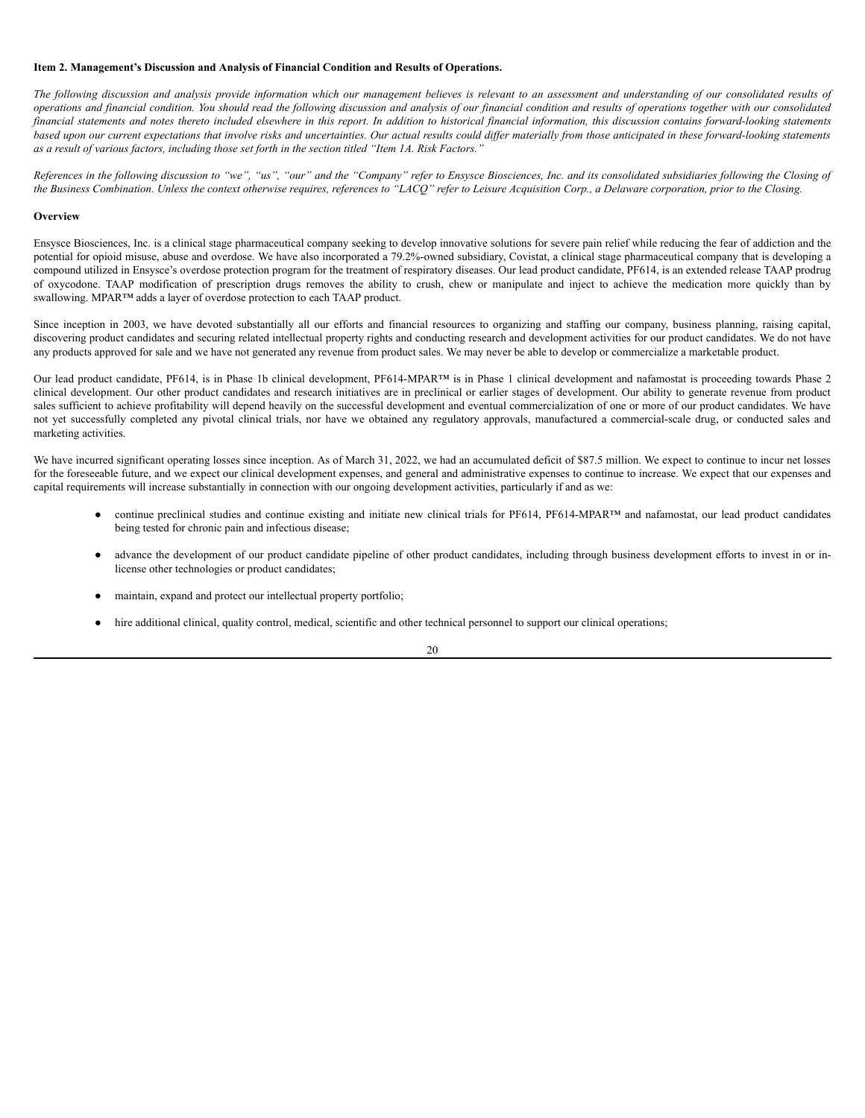# <span id="page-23-0"></span>**Item 2. Management's Discussion and Analysis of Financial Condition and Results of Operations.**

The following discussion and analysis provide information which our management believes is relevant to an assessment and understanding of our consolidated results of operations and financial condition. You should read the following discussion and analysis of our financial condition and results of operations together with our consolidated financial statements and notes thereto included elsewhere in this report. In addition to historical financial information, this discussion contains forward-looking statements based upon our current expectations that involve risks and uncertainties. Our actual results could differ materially from those anticipated in these forward-looking statements as a result of various factors, including those set forth in the section titled "Item 1A. Risk Factors."

References in the following discussion to "we", "us", "our" and the "Company" refer to Ensysce Biosciences, Inc. and its consolidated subsidiaries following the Closing of the Business Combination. Unless the context otherwise requires, references to "LACO" refer to Leisure Acquisition Corp., a Delaware corporation, prior to the Closing.

# **Overview**

Ensysce Biosciences, Inc. is a clinical stage pharmaceutical company seeking to develop innovative solutions for severe pain relief while reducing the fear of addiction and the potential for opioid misuse, abuse and overdose. We have also incorporated a 79.2%-owned subsidiary, Covistat, a clinical stage pharmaceutical company that is developing a compound utilized in Ensysce's overdose protection program for the treatment of respiratory diseases. Our lead product candidate, PF614, is an extended release TAAP prodrug of oxycodone. TAAP modification of prescription drugs removes the ability to crush, chew or manipulate and inject to achieve the medication more quickly than by swallowing. MPAR™ adds a layer of overdose protection to each TAAP product.

Since inception in 2003, we have devoted substantially all our efforts and financial resources to organizing and staffing our company, business planning, raising capital, discovering product candidates and securing related intellectual property rights and conducting research and development activities for our product candidates. We do not have any products approved for sale and we have not generated any revenue from product sales. We may never be able to develop or commercialize a marketable product.

Our lead product candidate, PF614, is in Phase 1b clinical development, PF614-MPAR™ is in Phase 1 clinical development and nafamostat is proceeding towards Phase 2 clinical development. Our other product candidates and research initiatives are in preclinical or earlier stages of development. Our ability to generate revenue from product sales sufficient to achieve profitability will depend heavily on the successful development and eventual commercialization of one or more of our product candidates. We have not yet successfully completed any pivotal clinical trials, nor have we obtained any regulatory approvals, manufactured a commercial-scale drug, or conducted sales and marketing activities.

We have incurred significant operating losses since inception. As of March 31, 2022, we had an accumulated deficit of \$87.5 million. We expect to continue to incur net losses for the foreseeable future, and we expect our clinical development expenses, and general and administrative expenses to continue to increase. We expect that our expenses and capital requirements will increase substantially in connection with our ongoing development activities, particularly if and as we:

- continue preclinical studies and continue existing and initiate new clinical trials for PF614, PF614-MPAR™ and nafamostat, our lead product candidates being tested for chronic pain and infectious disease;
- advance the development of our product candidate pipeline of other product candidates, including through business development efforts to invest in or inlicense other technologies or product candidates;
- maintain, expand and protect our intellectual property portfolio;
- hire additional clinical, quality control, medical, scientific and other technical personnel to support our clinical operations;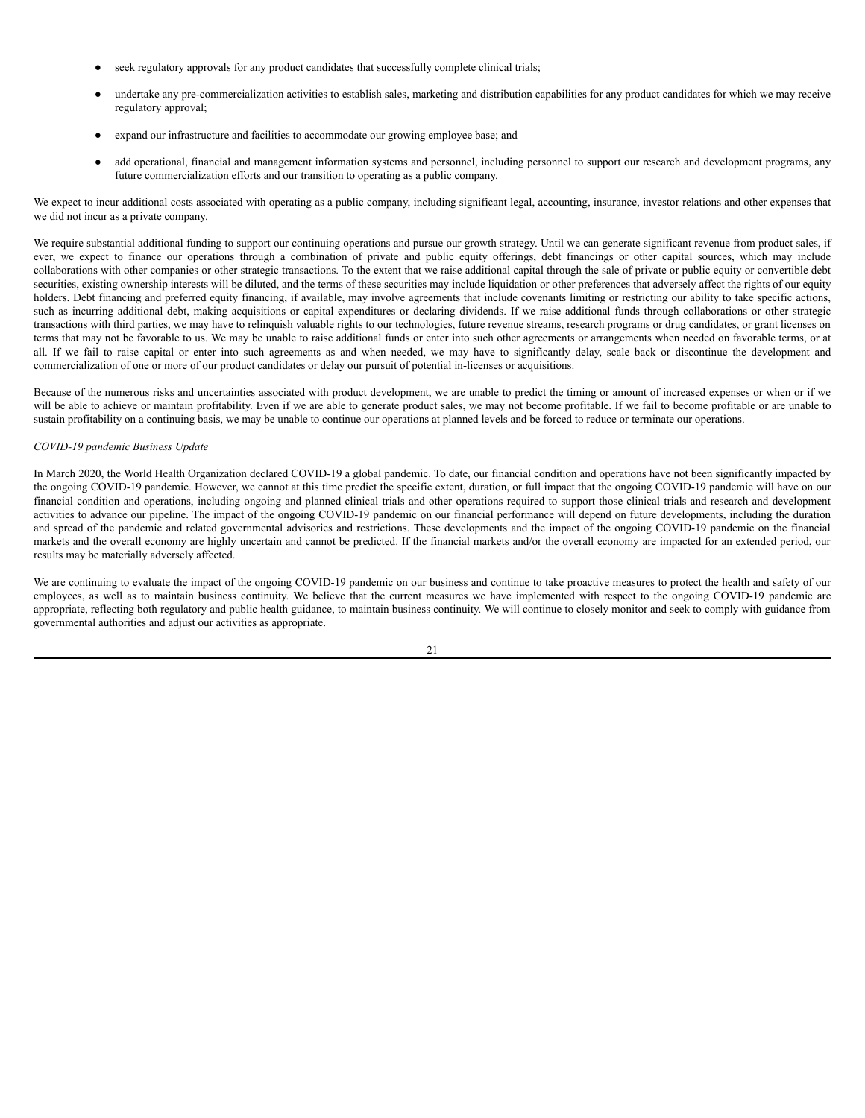- seek regulatory approvals for any product candidates that successfully complete clinical trials;
- undertake any pre-commercialization activities to establish sales, marketing and distribution capabilities for any product candidates for which we may receive regulatory approval;
- expand our infrastructure and facilities to accommodate our growing employee base; and
- add operational, financial and management information systems and personnel, including personnel to support our research and development programs, any future commercialization efforts and our transition to operating as a public company.

We expect to incur additional costs associated with operating as a public company, including significant legal, accounting, insurance, investor relations and other expenses that we did not incur as a private company.

We require substantial additional funding to support our continuing operations and pursue our growth strategy. Until we can generate significant revenue from product sales, if ever, we expect to finance our operations through a combination of private and public equity offerings, debt financings or other capital sources, which may include collaborations with other companies or other strategic transactions. To the extent that we raise additional capital through the sale of private or public equity or convertible debt securities, existing ownership interests will be diluted, and the terms of these securities may include liquidation or other preferences that adversely affect the rights of our equity holders. Debt financing and preferred equity financing, if available, may involve agreements that include covenants limiting or restricting our ability to take specific actions, such as incurring additional debt, making acquisitions or capital expenditures or declaring dividends. If we raise additional funds through collaborations or other strategic transactions with third parties, we may have to relinquish valuable rights to our technologies, future revenue streams, research programs or drug candidates, or grant licenses on terms that may not be favorable to us. We may be unable to raise additional funds or enter into such other agreements or arrangements when needed on favorable terms, or at all. If we fail to raise capital or enter into such agreements as and when needed, we may have to significantly delay, scale back or discontinue the development and commercialization of one or more of our product candidates or delay our pursuit of potential in-licenses or acquisitions.

Because of the numerous risks and uncertainties associated with product development, we are unable to predict the timing or amount of increased expenses or when or if we will be able to achieve or maintain profitability. Even if we are able to generate product sales, we may not become profitable. If we fail to become profitable or are unable to sustain profitability on a continuing basis, we may be unable to continue our operations at planned levels and be forced to reduce or terminate our operations.

#### *COVID-19 pandemic Business Update*

In March 2020, the World Health Organization declared COVID-19 a global pandemic. To date, our financial condition and operations have not been significantly impacted by the ongoing COVID-19 pandemic. However, we cannot at this time predict the specific extent, duration, or full impact that the ongoing COVID-19 pandemic will have on our financial condition and operations, including ongoing and planned clinical trials and other operations required to support those clinical trials and research and development activities to advance our pipeline. The impact of the ongoing COVID-19 pandemic on our financial performance will depend on future developments, including the duration and spread of the pandemic and related governmental advisories and restrictions. These developments and the impact of the ongoing COVID-19 pandemic on the financial markets and the overall economy are highly uncertain and cannot be predicted. If the financial markets and/or the overall economy are impacted for an extended period, our results may be materially adversely affected.

We are continuing to evaluate the impact of the ongoing COVID-19 pandemic on our business and continue to take proactive measures to protect the health and safety of our employees, as well as to maintain business continuity. We believe that the current measures we have implemented with respect to the ongoing COVID-19 pandemic are appropriate, reflecting both regulatory and public health guidance, to maintain business continuity. We will continue to closely monitor and seek to comply with guidance from governmental authorities and adjust our activities as appropriate.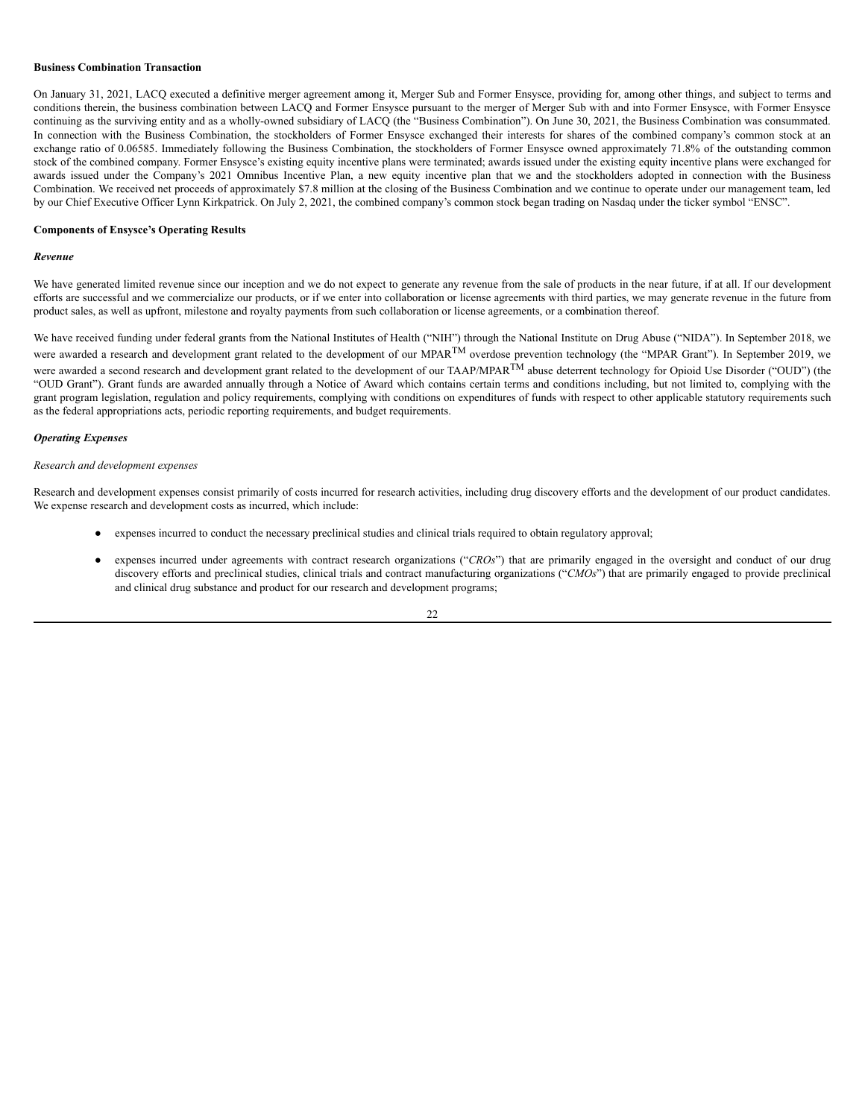# **Business Combination Transaction**

On January 31, 2021, LACQ executed a definitive merger agreement among it, Merger Sub and Former Ensysce, providing for, among other things, and subject to terms and conditions therein, the business combination between LACQ and Former Ensysce pursuant to the merger of Merger Sub with and into Former Ensysce, with Former Ensysce continuing as the surviving entity and as a wholly-owned subsidiary of LACQ (the "Business Combination"). On June 30, 2021, the Business Combination was consummated. In connection with the Business Combination, the stockholders of Former Ensysce exchanged their interests for shares of the combined company's common stock at an exchange ratio of 0.06585. Immediately following the Business Combination, the stockholders of Former Ensysce owned approximately 71.8% of the outstanding common stock of the combined company. Former Ensysce's existing equity incentive plans were terminated; awards issued under the existing equity incentive plans were exchanged for awards issued under the Company's 2021 Omnibus Incentive Plan, a new equity incentive plan that we and the stockholders adopted in connection with the Business Combination. We received net proceeds of approximately \$7.8 million at the closing of the Business Combination and we continue to operate under our management team, led by our Chief Executive Officer Lynn Kirkpatrick. On July 2, 2021, the combined company's common stock began trading on Nasdaq under the ticker symbol "ENSC".

# **Components of Ensysce's Operating Results**

#### *Revenue*

We have generated limited revenue since our inception and we do not expect to generate any revenue from the sale of products in the near future, if at all. If our development efforts are successful and we commercialize our products, or if we enter into collaboration or license agreements with third parties, we may generate revenue in the future from product sales, as well as upfront, milestone and royalty payments from such collaboration or license agreements, or a combination thereof.

We have received funding under federal grants from the National Institutes of Health ("NIH") through the National Institute on Drug Abuse ("NIDA"). In September 2018, we were awarded a research and development grant related to the development of our MPAR<sup>TM</sup> overdose prevention technology (the "MPAR Grant"). In September 2019, we were awarded a second research and development grant related to the development of our TAAP/MPAR<sup>TM</sup> abuse deterrent technology for Opioid Use Disorder ("OUD") (the "OUD Grant"). Grant funds are awarded annually through a Notice of Award which contains certain terms and conditions including, but not limited to, complying with the grant program legislation, regulation and policy requirements, complying with conditions on expenditures of funds with respect to other applicable statutory requirements such as the federal appropriations acts, periodic reporting requirements, and budget requirements.

#### *Operating Expenses*

### *Research and development expenses*

Research and development expenses consist primarily of costs incurred for research activities, including drug discovery efforts and the development of our product candidates. We expense research and development costs as incurred, which include:

- expenses incurred to conduct the necessary preclinical studies and clinical trials required to obtain regulatory approval;
- expenses incurred under agreements with contract research organizations ("CROs") that are primarily engaged in the oversight and conduct of our drug discovery efforts and preclinical studies, clinical trials and contract manufacturing organizations ("*CMOs*") that are primarily engaged to provide preclinical and clinical drug substance and product for our research and development programs;

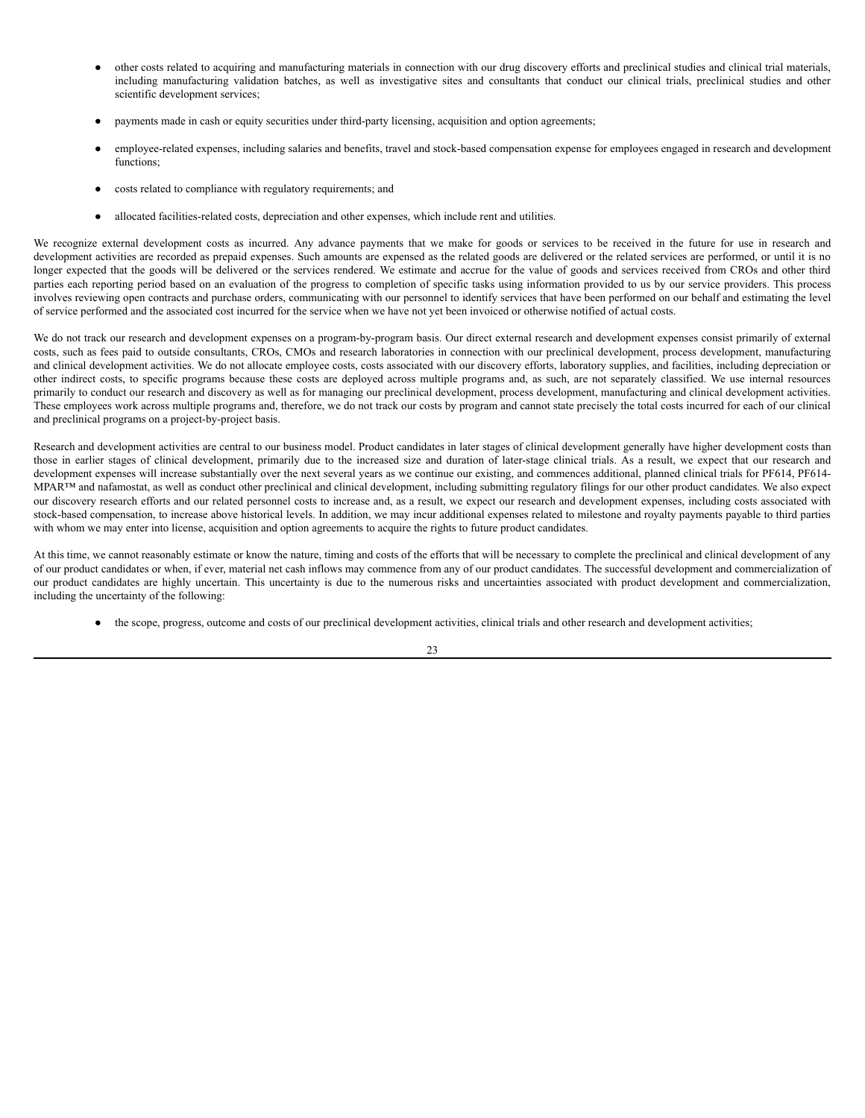- other costs related to acquiring and manufacturing materials in connection with our drug discovery efforts and preclinical studies and clinical trial materials, including manufacturing validation batches, as well as investigative sites and consultants that conduct our clinical trials, preclinical studies and other scientific development services;
- payments made in cash or equity securities under third-party licensing, acquisition and option agreements;
- employee-related expenses, including salaries and benefits, travel and stock-based compensation expense for employees engaged in research and development functions;
- costs related to compliance with regulatory requirements; and
- allocated facilities-related costs, depreciation and other expenses, which include rent and utilities.

We recognize external development costs as incurred. Any advance payments that we make for goods or services to be received in the future for use in research and development activities are recorded as prepaid expenses. Such amounts are expensed as the related goods are delivered or the related services are performed, or until it is no longer expected that the goods will be delivered or the services rendered. We estimate and accrue for the value of goods and services received from CROs and other third parties each reporting period based on an evaluation of the progress to completion of specific tasks using information provided to us by our service providers. This process involves reviewing open contracts and purchase orders, communicating with our personnel to identify services that have been performed on our behalf and estimating the level of service performed and the associated cost incurred for the service when we have not yet been invoiced or otherwise notified of actual costs.

We do not track our research and development expenses on a program-by-program basis. Our direct external research and development expenses consist primarily of external costs, such as fees paid to outside consultants, CROs, CMOs and research laboratories in connection with our preclinical development, process development, manufacturing and clinical development activities. We do not allocate employee costs, costs associated with our discovery efforts, laboratory supplies, and facilities, including depreciation or other indirect costs, to specific programs because these costs are deployed across multiple programs and, as such, are not separately classified. We use internal resources primarily to conduct our research and discovery as well as for managing our preclinical development, process development, manufacturing and clinical development activities. These employees work across multiple programs and, therefore, we do not track our costs by program and cannot state precisely the total costs incurred for each of our clinical and preclinical programs on a project-by-project basis.

Research and development activities are central to our business model. Product candidates in later stages of clinical development generally have higher development costs than those in earlier stages of clinical development, primarily due to the increased size and duration of later-stage clinical trials. As a result, we expect that our research and development expenses will increase substantially over the next several years as we continue our existing, and commences additional, planned clinical trials for PF614, PF614-MPAR™ and nafamostat, as well as conduct other preclinical and clinical development, including submitting regulatory filings for our other product candidates. We also expect our discovery research efforts and our related personnel costs to increase and, as a result, we expect our research and development expenses, including costs associated with stock-based compensation, to increase above historical levels. In addition, we may incur additional expenses related to milestone and royalty payments payable to third parties with whom we may enter into license, acquisition and option agreements to acquire the rights to future product candidates.

At this time, we cannot reasonably estimate or know the nature, timing and costs of the efforts that will be necessary to complete the preclinical and clinical development of any of our product candidates or when, if ever, material net cash inflows may commence from any of our product candidates. The successful development and commercialization of our product candidates are highly uncertain. This uncertainty is due to the numerous risks and uncertainties associated with product development and commercialization, including the uncertainty of the following:

● the scope, progress, outcome and costs of our preclinical development activities, clinical trials and other research and development activities;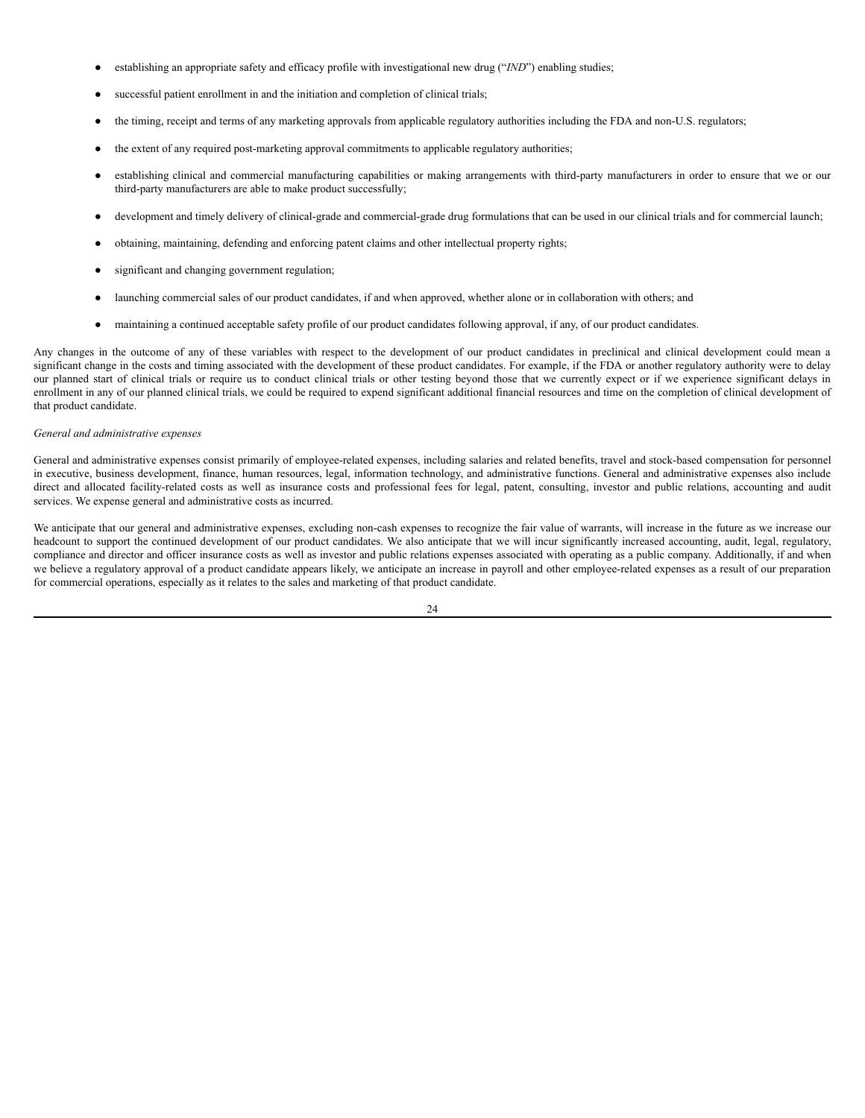- establishing an appropriate safety and efficacy profile with investigational new drug ("*IND*") enabling studies;
- successful patient enrollment in and the initiation and completion of clinical trials;
- the timing, receipt and terms of any marketing approvals from applicable regulatory authorities including the FDA and non-U.S. regulators;
- the extent of any required post-marketing approval commitments to applicable regulatory authorities;
- establishing clinical and commercial manufacturing capabilities or making arrangements with third-party manufacturers in order to ensure that we or our third-party manufacturers are able to make product successfully;
- development and timely delivery of clinical-grade and commercial-grade drug formulations that can be used in our clinical trials and for commercial launch;
- obtaining, maintaining, defending and enforcing patent claims and other intellectual property rights;
- significant and changing government regulation;
- launching commercial sales of our product candidates, if and when approved, whether alone or in collaboration with others; and
- maintaining a continued acceptable safety profile of our product candidates following approval, if any, of our product candidates.

Any changes in the outcome of any of these variables with respect to the development of our product candidates in preclinical and clinical development could mean a significant change in the costs and timing associated with the development of these product candidates. For example, if the FDA or another regulatory authority were to delay our planned start of clinical trials or require us to conduct clinical trials or other testing beyond those that we currently expect or if we experience significant delays in enrollment in any of our planned clinical trials, we could be required to expend significant additional financial resources and time on the completion of clinical development of that product candidate.

# *General and administrative expenses*

General and administrative expenses consist primarily of employee-related expenses, including salaries and related benefits, travel and stock-based compensation for personnel in executive, business development, finance, human resources, legal, information technology, and administrative functions. General and administrative expenses also include direct and allocated facility-related costs as well as insurance costs and professional fees for legal, patent, consulting, investor and public relations, accounting and audit services. We expense general and administrative costs as incurred.

We anticipate that our general and administrative expenses, excluding non-cash expenses to recognize the fair value of warrants, will increase in the future as we increase our headcount to support the continued development of our product candidates. We also anticipate that we will incur significantly increased accounting, audit, legal, regulatory, compliance and director and officer insurance costs as well as investor and public relations expenses associated with operating as a public company. Additionally, if and when we believe a regulatory approval of a product candidate appears likely, we anticipate an increase in payroll and other employee-related expenses as a result of our preparation for commercial operations, especially as it relates to the sales and marketing of that product candidate.

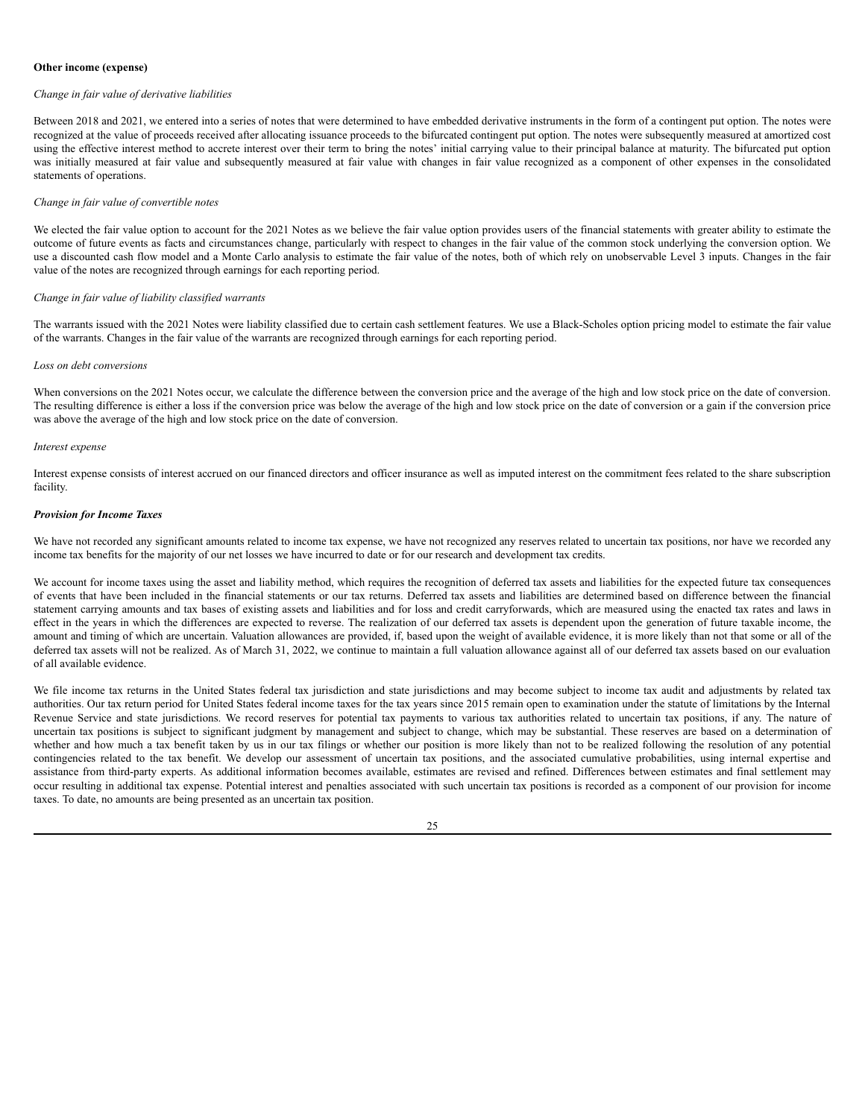# **Other income (expense)**

#### *Change in fair value of derivative liabilities*

Between 2018 and 2021, we entered into a series of notes that were determined to have embedded derivative instruments in the form of a contingent put option. The notes were recognized at the value of proceeds received after allocating issuance proceeds to the bifurcated contingent put option. The notes were subsequently measured at amortized cost using the effective interest method to accrete interest over their term to bring the notes' initial carrying value to their principal balance at maturity. The bifurcated put option was initially measured at fair value and subsequently measured at fair value with changes in fair value recognized as a component of other expenses in the consolidated statements of operations.

### *Change in fair value of convertible notes*

We elected the fair value option to account for the 2021 Notes as we believe the fair value option provides users of the financial statements with greater ability to estimate the outcome of future events as facts and circumstances change, particularly with respect to changes in the fair value of the common stock underlying the conversion option. We use a discounted cash flow model and a Monte Carlo analysis to estimate the fair value of the notes, both of which rely on unobservable Level 3 inputs. Changes in the fair value of the notes are recognized through earnings for each reporting period.

### *Change in fair value of liability classified warrants*

The warrants issued with the 2021 Notes were liability classified due to certain cash settlement features. We use a Black-Scholes option pricing model to estimate the fair value of the warrants. Changes in the fair value of the warrants are recognized through earnings for each reporting period.

# *Loss on debt conversions*

When conversions on the 2021 Notes occur, we calculate the difference between the conversion price and the average of the high and low stock price on the date of conversion. The resulting difference is either a loss if the conversion price was below the average of the high and low stock price on the date of conversion or a gain if the conversion price was above the average of the high and low stock price on the date of conversion.

#### *Interest expense*

Interest expense consists of interest accrued on our financed directors and officer insurance as well as imputed interest on the commitment fees related to the share subscription facility.

### *Provision for Income Taxes*

We have not recorded any significant amounts related to income tax expense, we have not recognized any reserves related to uncertain tax positions, nor have we recorded any income tax benefits for the majority of our net losses we have incurred to date or for our research and development tax credits.

We account for income taxes using the asset and liability method, which requires the recognition of deferred tax assets and liabilities for the expected future tax consequences of events that have been included in the financial statements or our tax returns. Deferred tax assets and liabilities are determined based on difference between the financial statement carrying amounts and tax bases of existing assets and liabilities and for loss and credit carryforwards, which are measured using the enacted tax rates and laws in effect in the years in which the differences are expected to reverse. The realization of our deferred tax assets is dependent upon the generation of future taxable income, the amount and timing of which are uncertain. Valuation allowances are provided, if, based upon the weight of available evidence, it is more likely than not that some or all of the deferred tax assets will not be realized. As of March 31, 2022, we continue to maintain a full valuation allowance against all of our deferred tax assets based on our evaluation of all available evidence.

We file income tax returns in the United States federal tax jurisdiction and state jurisdictions and may become subject to income tax audit and adjustments by related tax authorities. Our tax return period for United States federal income taxes for the tax years since 2015 remain open to examination under the statute of limitations by the Internal Revenue Service and state jurisdictions. We record reserves for potential tax payments to various tax authorities related to uncertain tax positions, if any. The nature of uncertain tax positions is subject to significant judgment by management and subject to change, which may be substantial. These reserves are based on a determination of whether and how much a tax benefit taken by us in our tax filings or whether our position is more likely than not to be realized following the resolution of any potential contingencies related to the tax benefit. We develop our assessment of uncertain tax positions, and the associated cumulative probabilities, using internal expertise and assistance from third-party experts. As additional information becomes available, estimates are revised and refined. Differences between estimates and final settlement may occur resulting in additional tax expense. Potential interest and penalties associated with such uncertain tax positions is recorded as a component of our provision for income taxes. To date, no amounts are being presented as an uncertain tax position.

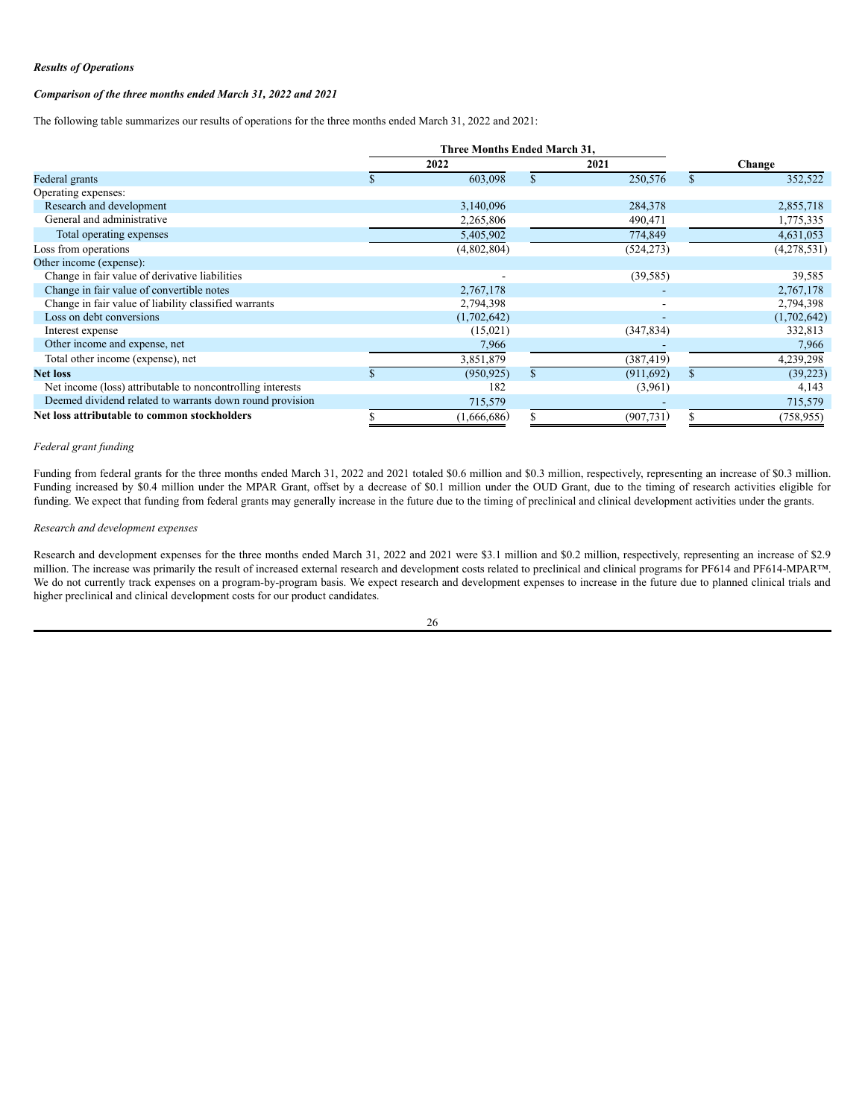# *Results of Operations*

# *Comparison of the three months ended March 31, 2022 and 2021*

The following table summarizes our results of operations for the three months ended March 31, 2022 and 2021:

|                                                            | <b>Three Months Ended March 31.</b> |             |            |              |             |
|------------------------------------------------------------|-------------------------------------|-------------|------------|--------------|-------------|
|                                                            |                                     | 2022        | 2021       |              | Change      |
| Federal grants                                             |                                     | 603,098     | 250,576    | $\mathbf{s}$ | 352,522     |
| Operating expenses:                                        |                                     |             |            |              |             |
| Research and development                                   |                                     | 3,140,096   | 284,378    |              | 2,855,718   |
| General and administrative                                 |                                     | 2,265,806   | 490,471    |              | 1,775,335   |
| Total operating expenses                                   |                                     | 5,405,902   | 774,849    |              | 4,631,053   |
| Loss from operations                                       |                                     | (4,802,804) | (524, 273) |              | (4,278,531) |
| Other income (expense):                                    |                                     |             |            |              |             |
| Change in fair value of derivative liabilities             |                                     |             | (39, 585)  |              | 39,585      |
| Change in fair value of convertible notes                  |                                     | 2,767,178   |            |              | 2,767,178   |
| Change in fair value of liability classified warrants      |                                     | 2,794,398   |            |              | 2,794,398   |
| Loss on debt conversions                                   |                                     | (1,702,642) | ٠          |              | (1,702,642) |
| Interest expense                                           |                                     | (15,021)    | (347, 834) |              | 332,813     |
| Other income and expense, net                              |                                     | 7,966       |            |              | 7,966       |
| Total other income (expense), net                          |                                     | 3,851,879   | (387, 419) |              | 4,239,298   |
| <b>Net loss</b>                                            |                                     | (950, 925)  | (911,692)  | $\mathbf{s}$ | (39,223)    |
| Net income (loss) attributable to noncontrolling interests |                                     | 182         | (3,961)    |              | 4,143       |
| Deemed dividend related to warrants down round provision   |                                     | 715,579     |            |              | 715,579     |
| Net loss attributable to common stockholders               |                                     | (1,666,686) | (907, 731) |              | (758, 955)  |

# *Federal grant funding*

Funding from federal grants for the three months ended March 31, 2022 and 2021 totaled \$0.6 million and \$0.3 million, respectively, representing an increase of \$0.3 million. Funding increased by \$0.4 million under the MPAR Grant, offset by a decrease of \$0.1 million under the OUD Grant, due to the timing of research activities eligible for funding. We expect that funding from federal grants may generally increase in the future due to the timing of preclinical and clinical development activities under the grants.

### *Research and development expenses*

Research and development expenses for the three months ended March 31, 2022 and 2021 were \$3.1 million and \$0.2 million, respectively, representing an increase of \$2.9 million. The increase was primarily the result of increased external research and development costs related to preclinical and clinical programs for PF614 and PF614-MPAR™. We do not currently track expenses on a program-by-program basis. We expect research and development expenses to increase in the future due to planned clinical trials and higher preclinical and clinical development costs for our product candidates.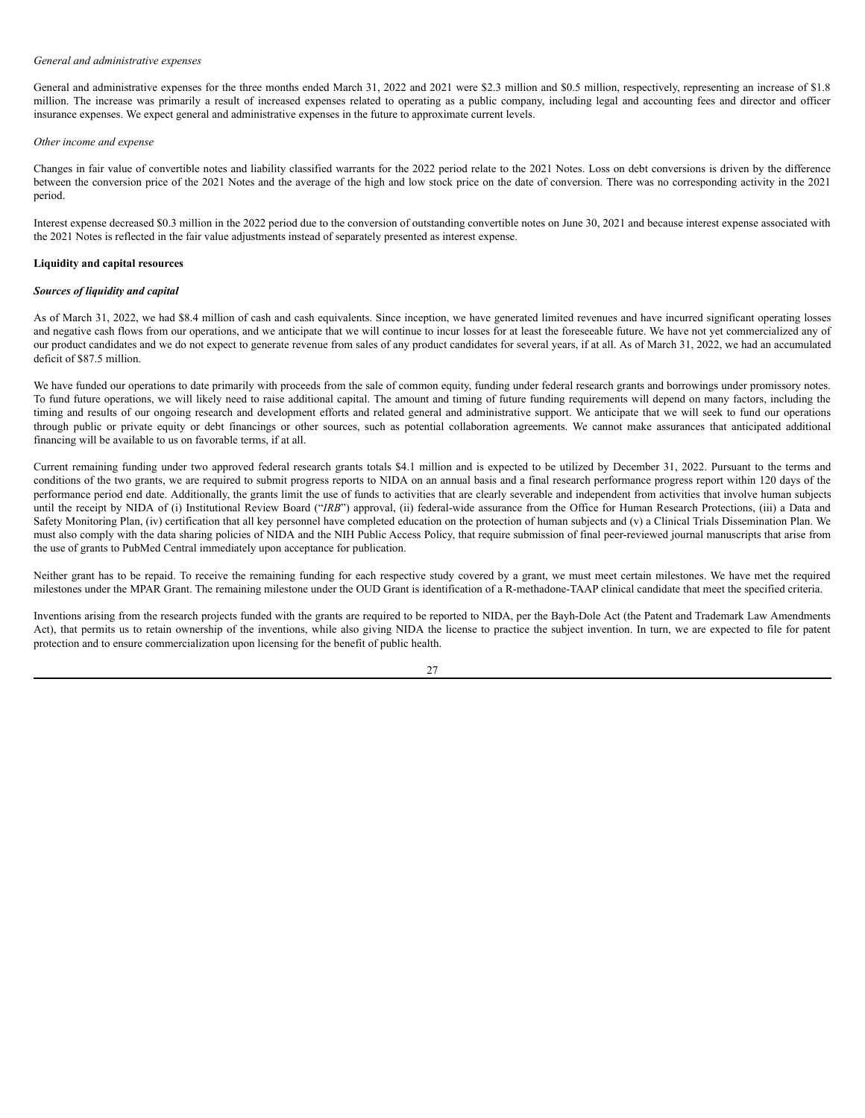### *General and administrative expenses*

General and administrative expenses for the three months ended March 31, 2022 and 2021 were \$2.3 million and \$0.5 million, respectively, representing an increase of \$1.8 million. The increase was primarily a result of increased expenses related to operating as a public company, including legal and accounting fees and director and officer insurance expenses. We expect general and administrative expenses in the future to approximate current levels.

# *Other income and expense*

Changes in fair value of convertible notes and liability classified warrants for the 2022 period relate to the 2021 Notes. Loss on debt conversions is driven by the difference between the conversion price of the 2021 Notes and the average of the high and low stock price on the date of conversion. There was no corresponding activity in the 2021 period.

Interest expense decreased \$0.3 million in the 2022 period due to the conversion of outstanding convertible notes on June 30, 2021 and because interest expense associated with the 2021 Notes is reflected in the fair value adjustments instead of separately presented as interest expense.

### **Liquidity and capital resources**

# *Sources of liquidity and capital*

As of March 31, 2022, we had \$8.4 million of cash and cash equivalents. Since inception, we have generated limited revenues and have incurred significant operating losses and negative cash flows from our operations, and we anticipate that we will continue to incur losses for at least the foreseeable future. We have not yet commercialized any of our product candidates and we do not expect to generate revenue from sales of any product candidates for several years, if at all. As of March 31, 2022, we had an accumulated deficit of \$87.5 million.

We have funded our operations to date primarily with proceeds from the sale of common equity, funding under federal research grants and borrowings under promissory notes. To fund future operations, we will likely need to raise additional capital. The amount and timing of future funding requirements will depend on many factors, including the timing and results of our ongoing research and development efforts and related general and administrative support. We anticipate that we will seek to fund our operations through public or private equity or debt financings or other sources, such as potential collaboration agreements. We cannot make assurances that anticipated additional financing will be available to us on favorable terms, if at all.

Current remaining funding under two approved federal research grants totals \$4.1 million and is expected to be utilized by December 31, 2022. Pursuant to the terms and conditions of the two grants, we are required to submit progress reports to NIDA on an annual basis and a final research performance progress report within 120 days of the performance period end date. Additionally, the grants limit the use of funds to activities that are clearly severable and independent from activities that involve human subjects until the receipt by NIDA of (i) Institutional Review Board ("*IRB*") approval, (ii) federal-wide assurance from the Office for Human Research Protections, (iii) a Data and Safety Monitoring Plan, (iv) certification that all key personnel have completed education on the protection of human subjects and (v) a Clinical Trials Dissemination Plan. We must also comply with the data sharing policies of NIDA and the NIH Public Access Policy, that require submission of final peer-reviewed journal manuscripts that arise from the use of grants to PubMed Central immediately upon acceptance for publication.

Neither grant has to be repaid. To receive the remaining funding for each respective study covered by a grant, we must meet certain milestones. We have met the required milestones under the MPAR Grant. The remaining milestone under the OUD Grant is identification of a R-methadone-TAAP clinical candidate that meet the specified criteria.

Inventions arising from the research projects funded with the grants are required to be reported to NIDA, per the Bayh-Dole Act (the Patent and Trademark Law Amendments Act), that permits us to retain ownership of the inventions, while also giving NIDA the license to practice the subject invention. In turn, we are expected to file for patent protection and to ensure commercialization upon licensing for the benefit of public health.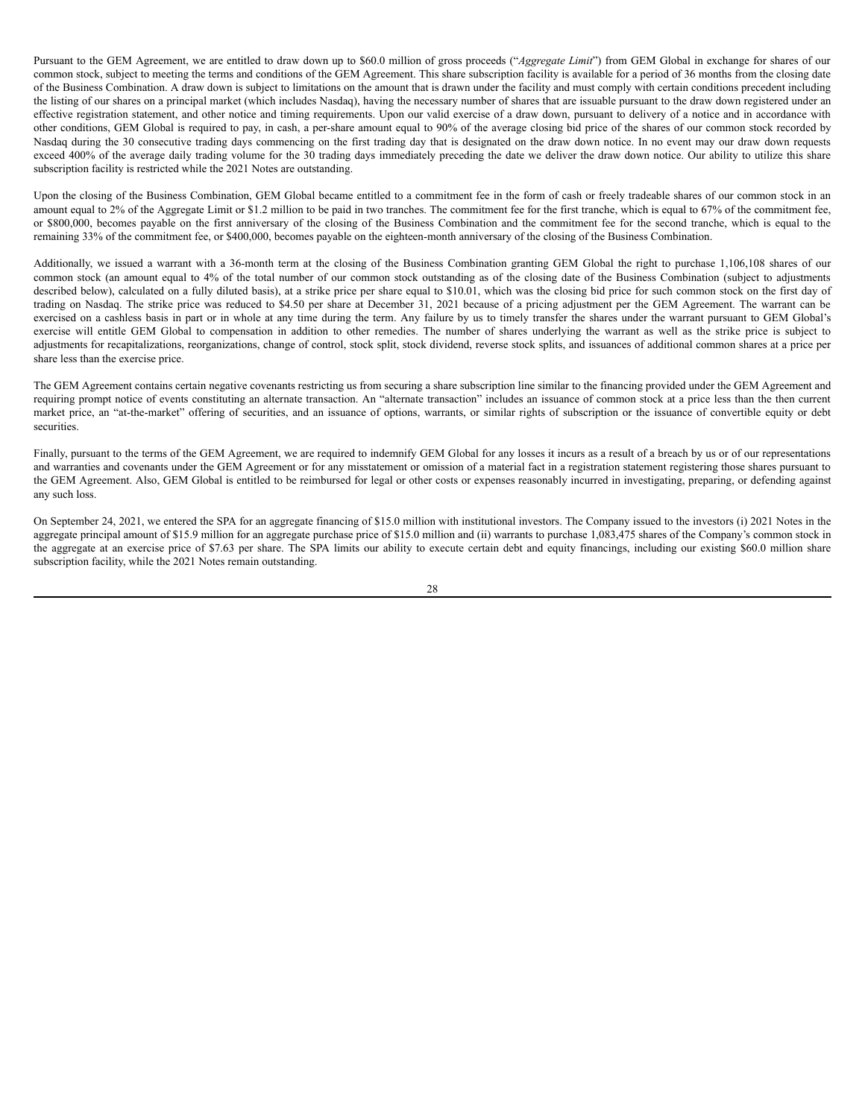Pursuant to the GEM Agreement, we are entitled to draw down up to \$60.0 million of gross proceeds ("*Aggregate Limit*") from GEM Global in exchange for shares of our common stock, subject to meeting the terms and conditions of the GEM Agreement. This share subscription facility is available for a period of 36 months from the closing date of the Business Combination. A draw down is subject to limitations on the amount that is drawn under the facility and must comply with certain conditions precedent including the listing of our shares on a principal market (which includes Nasdaq), having the necessary number of shares that are issuable pursuant to the draw down registered under an effective registration statement, and other notice and timing requirements. Upon our valid exercise of a draw down, pursuant to delivery of a notice and in accordance with other conditions, GEM Global is required to pay, in cash, a per-share amount equal to 90% of the average closing bid price of the shares of our common stock recorded by Nasdaq during the 30 consecutive trading days commencing on the first trading day that is designated on the draw down notice. In no event may our draw down requests exceed 400% of the average daily trading volume for the 30 trading days immediately preceding the date we deliver the draw down notice. Our ability to utilize this share subscription facility is restricted while the 2021 Notes are outstanding.

Upon the closing of the Business Combination, GEM Global became entitled to a commitment fee in the form of cash or freely tradeable shares of our common stock in an amount equal to 2% of the Aggregate Limit or \$1.2 million to be paid in two tranches. The commitment fee for the first tranche, which is equal to 67% of the commitment fee, or \$800,000, becomes payable on the first anniversary of the closing of the Business Combination and the commitment fee for the second tranche, which is equal to the remaining 33% of the commitment fee, or \$400,000, becomes payable on the eighteen-month anniversary of the closing of the Business Combination.

Additionally, we issued a warrant with a 36-month term at the closing of the Business Combination granting GEM Global the right to purchase 1,106,108 shares of our common stock (an amount equal to 4% of the total number of our common stock outstanding as of the closing date of the Business Combination (subject to adjustments described below), calculated on a fully diluted basis), at a strike price per share equal to \$10.01, which was the closing bid price for such common stock on the first day of trading on Nasdaq. The strike price was reduced to \$4.50 per share at December 31, 2021 because of a pricing adjustment per the GEM Agreement. The warrant can be exercised on a cashless basis in part or in whole at any time during the term. Any failure by us to timely transfer the shares under the warrant pursuant to GEM Global's exercise will entitle GEM Global to compensation in addition to other remedies. The number of shares underlying the warrant as well as the strike price is subject to adjustments for recapitalizations, reorganizations, change of control, stock split, stock dividend, reverse stock splits, and issuances of additional common shares at a price per share less than the exercise price.

The GEM Agreement contains certain negative covenants restricting us from securing a share subscription line similar to the financing provided under the GEM Agreement and requiring prompt notice of events constituting an alternate transaction. An "alternate transaction" includes an issuance of common stock at a price less than the then current market price, an "at-the-market" offering of securities, and an issuance of options, warrants, or similar rights of subscription or the issuance of convertible equity or debt securities.

Finally, pursuant to the terms of the GEM Agreement, we are required to indemnify GEM Global for any losses it incurs as a result of a breach by us or of our representations and warranties and covenants under the GEM Agreement or for any misstatement or omission of a material fact in a registration statement registering those shares pursuant to the GEM Agreement. Also, GEM Global is entitled to be reimbursed for legal or other costs or expenses reasonably incurred in investigating, preparing, or defending against any such loss.

On September 24, 2021, we entered the SPA for an aggregate financing of \$15.0 million with institutional investors. The Company issued to the investors (i) 2021 Notes in the aggregate principal amount of \$15.9 million for an aggregate purchase price of \$15.0 million and (ii) warrants to purchase 1,083,475 shares of the Company's common stock in the aggregate at an exercise price of \$7.63 per share. The SPA limits our ability to execute certain debt and equity financings, including our existing \$60.0 million share subscription facility, while the 2021 Notes remain outstanding.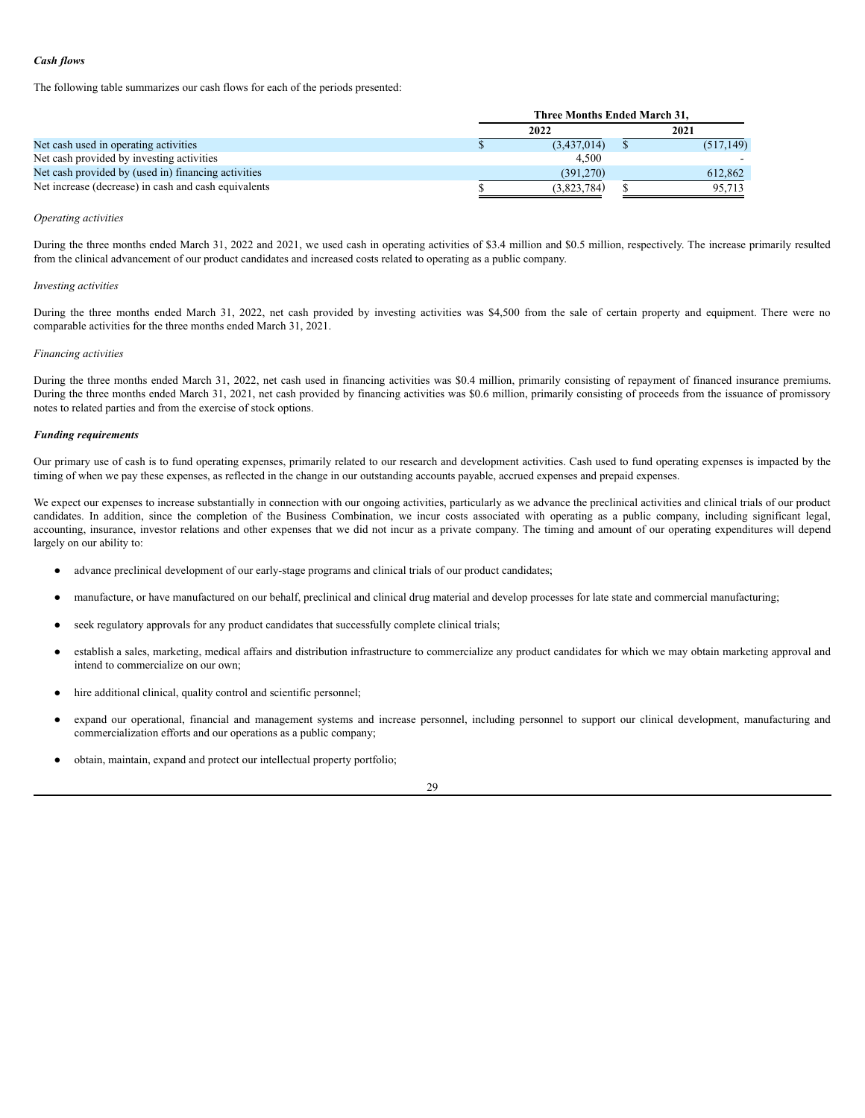# *Cash flows*

The following table summarizes our cash flows for each of the periods presented:

|                                                      | Three Months Ended March 31. |  |            |
|------------------------------------------------------|------------------------------|--|------------|
|                                                      | 2022                         |  | 2021       |
| Net cash used in operating activities                | (3,437,014)                  |  | (517, 149) |
| Net cash provided by investing activities            | 4.500                        |  |            |
| Net cash provided by (used in) financing activities  | (391.270)                    |  | 612.862    |
| Net increase (decrease) in cash and cash equivalents | (3,823,784)                  |  | 95.713     |

## *Operating activities*

During the three months ended March 31, 2022 and 2021, we used cash in operating activities of \$3.4 million and \$0.5 million, respectively. The increase primarily resulted from the clinical advancement of our product candidates and increased costs related to operating as a public company.

### *Investing activities*

During the three months ended March 31, 2022, net cash provided by investing activities was \$4,500 from the sale of certain property and equipment. There were no comparable activities for the three months ended March 31, 2021.

#### *Financing activities*

During the three months ended March 31, 2022, net cash used in financing activities was \$0.4 million, primarily consisting of repayment of financed insurance premiums. During the three months ended March 31, 2021, net cash provided by financing activities was \$0.6 million, primarily consisting of proceeds from the issuance of promissory notes to related parties and from the exercise of stock options.

### *Funding requirements*

Our primary use of cash is to fund operating expenses, primarily related to our research and development activities. Cash used to fund operating expenses is impacted by the timing of when we pay these expenses, as reflected in the change in our outstanding accounts payable, accrued expenses and prepaid expenses.

We expect our expenses to increase substantially in connection with our ongoing activities, particularly as we advance the preclinical activities and clinical trials of our product candidates. In addition, since the completion of the Business Combination, we incur costs associated with operating as a public company, including significant legal, accounting, insurance, investor relations and other expenses that we did not incur as a private company. The timing and amount of our operating expenditures will depend largely on our ability to:

- advance preclinical development of our early-stage programs and clinical trials of our product candidates;
- manufacture, or have manufactured on our behalf, preclinical and clinical drug material and develop processes for late state and commercial manufacturing;
- seek regulatory approvals for any product candidates that successfully complete clinical trials;
- establish a sales, marketing, medical affairs and distribution infrastructure to commercialize any product candidates for which we may obtain marketing approval and intend to commercialize on our own;
- hire additional clinical, quality control and scientific personnel;
- expand our operational, financial and management systems and increase personnel, including personnel to support our clinical development, manufacturing and commercialization efforts and our operations as a public company;
- obtain, maintain, expand and protect our intellectual property portfolio;

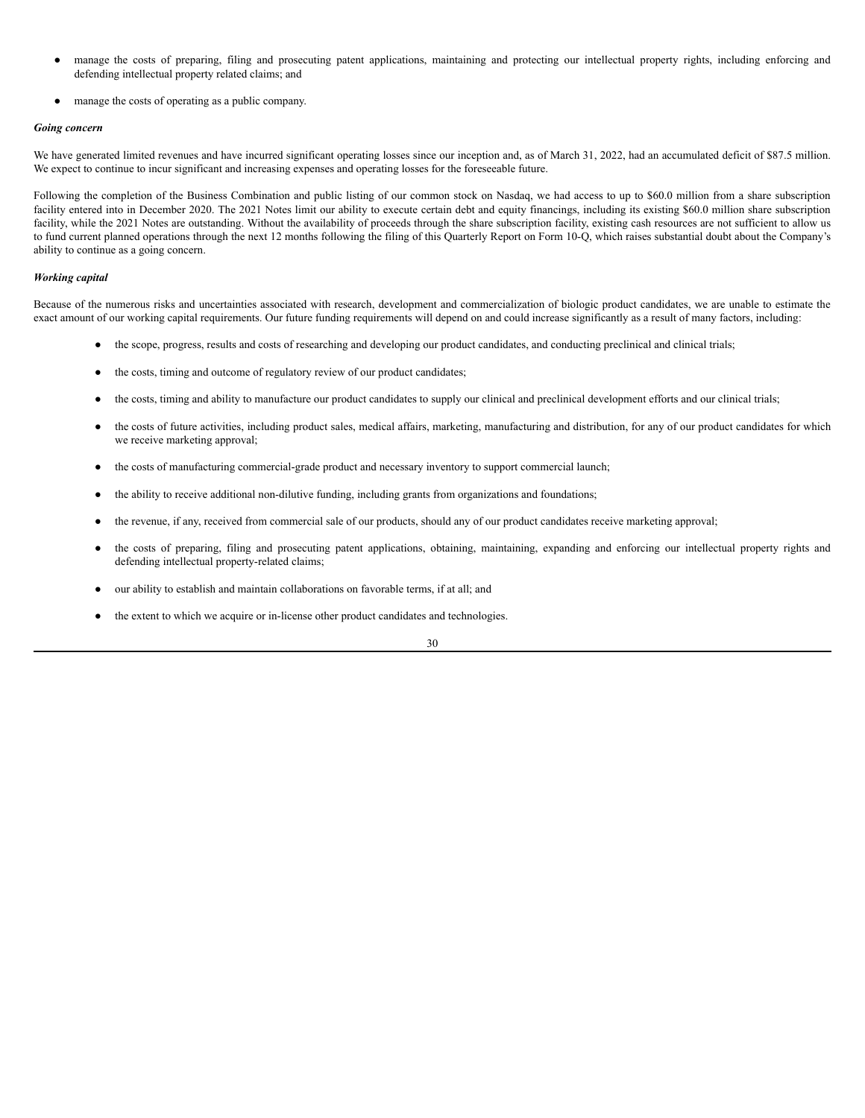- manage the costs of preparing, filing and prosecuting patent applications, maintaining and protecting our intellectual property rights, including enforcing and defending intellectual property related claims; and
- manage the costs of operating as a public company.

# *Going concern*

We have generated limited revenues and have incurred significant operating losses since our inception and, as of March 31, 2022, had an accumulated deficit of \$87.5 million. We expect to continue to incur significant and increasing expenses and operating losses for the foreseeable future.

Following the completion of the Business Combination and public listing of our common stock on Nasdaq, we had access to up to \$60.0 million from a share subscription facility entered into in December 2020. The 2021 Notes limit our ability to execute certain debt and equity financings, including its existing \$60.0 million share subscription facility, while the 2021 Notes are outstanding. Without the availability of proceeds through the share subscription facility, existing cash resources are not sufficient to allow us to fund current planned operations through the next 12 months following the filing of this Quarterly Report on Form 10-Q, which raises substantial doubt about the Company's ability to continue as a going concern.

# *Working capital*

Because of the numerous risks and uncertainties associated with research, development and commercialization of biologic product candidates, we are unable to estimate the exact amount of our working capital requirements. Our future funding requirements will depend on and could increase significantly as a result of many factors, including:

- the scope, progress, results and costs of researching and developing our product candidates, and conducting preclinical and clinical trials;
- the costs, timing and outcome of regulatory review of our product candidates;
- the costs, timing and ability to manufacture our product candidates to supply our clinical and preclinical development efforts and our clinical trials;
- the costs of future activities, including product sales, medical affairs, marketing, manufacturing and distribution, for any of our product candidates for which we receive marketing approval;
- the costs of manufacturing commercial-grade product and necessary inventory to support commercial launch;
- the ability to receive additional non-dilutive funding, including grants from organizations and foundations;
- the revenue, if any, received from commercial sale of our products, should any of our product candidates receive marketing approval;
- the costs of preparing, filing and prosecuting patent applications, obtaining, maintaining, expanding and enforcing our intellectual property rights and defending intellectual property-related claims;
- our ability to establish and maintain collaborations on favorable terms, if at all; and
- the extent to which we acquire or in-license other product candidates and technologies.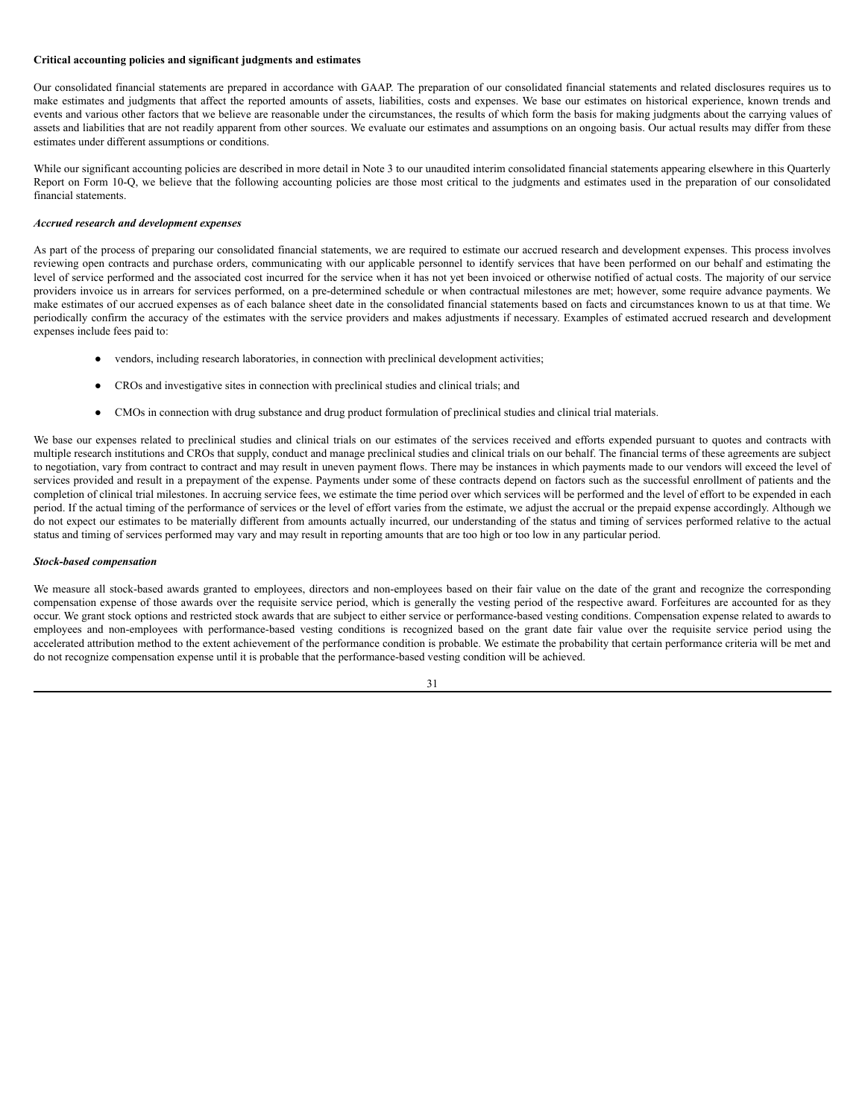# **Critical accounting policies and significant judgments and estimates**

Our consolidated financial statements are prepared in accordance with GAAP. The preparation of our consolidated financial statements and related disclosures requires us to make estimates and judgments that affect the reported amounts of assets, liabilities, costs and expenses. We base our estimates on historical experience, known trends and events and various other factors that we believe are reasonable under the circumstances, the results of which form the basis for making judgments about the carrying values of assets and liabilities that are not readily apparent from other sources. We evaluate our estimates and assumptions on an ongoing basis. Our actual results may differ from these estimates under different assumptions or conditions.

While our significant accounting policies are described in more detail in Note 3 to our unaudited interim consolidated financial statements appearing elsewhere in this Quarterly Report on Form 10-Q, we believe that the following accounting policies are those most critical to the judgments and estimates used in the preparation of our consolidated financial statements.

# *Accrued research and development expenses*

As part of the process of preparing our consolidated financial statements, we are required to estimate our accrued research and development expenses. This process involves reviewing open contracts and purchase orders, communicating with our applicable personnel to identify services that have been performed on our behalf and estimating the level of service performed and the associated cost incurred for the service when it has not yet been invoiced or otherwise notified of actual costs. The majority of our service providers invoice us in arrears for services performed, on a pre-determined schedule or when contractual milestones are met; however, some require advance payments. We make estimates of our accrued expenses as of each balance sheet date in the consolidated financial statements based on facts and circumstances known to us at that time. We periodically confirm the accuracy of the estimates with the service providers and makes adjustments if necessary. Examples of estimated accrued research and development expenses include fees paid to:

- vendors, including research laboratories, in connection with preclinical development activities;
- CROs and investigative sites in connection with preclinical studies and clinical trials; and
- CMOs in connection with drug substance and drug product formulation of preclinical studies and clinical trial materials.

We base our expenses related to preclinical studies and clinical trials on our estimates of the services received and efforts expended pursuant to quotes and contracts with multiple research institutions and CROs that supply, conduct and manage preclinical studies and clinical trials on our behalf. The financial terms of these agreements are subject to negotiation, vary from contract to contract and may result in uneven payment flows. There may be instances in which payments made to our vendors will exceed the level of services provided and result in a prepayment of the expense. Payments under some of these contracts depend on factors such as the successful enrollment of patients and the completion of clinical trial milestones. In accruing service fees, we estimate the time period over which services will be performed and the level of effort to be expended in each period. If the actual timing of the performance of services or the level of effort varies from the estimate, we adjust the accrual or the prepaid expense accordingly. Although we do not expect our estimates to be materially different from amounts actually incurred, our understanding of the status and timing of services performed relative to the actual status and timing of services performed may vary and may result in reporting amounts that are too high or too low in any particular period.

#### *Stock-based compensation*

We measure all stock-based awards granted to employees, directors and non-employees based on their fair value on the date of the grant and recognize the corresponding compensation expense of those awards over the requisite service period, which is generally the vesting period of the respective award. Forfeitures are accounted for as they occur. We grant stock options and restricted stock awards that are subject to either service or performance-based vesting conditions. Compensation expense related to awards to employees and non-employees with performance-based vesting conditions is recognized based on the grant date fair value over the requisite service period using the accelerated attribution method to the extent achievement of the performance condition is probable. We estimate the probability that certain performance criteria will be met and do not recognize compensation expense until it is probable that the performance-based vesting condition will be achieved.

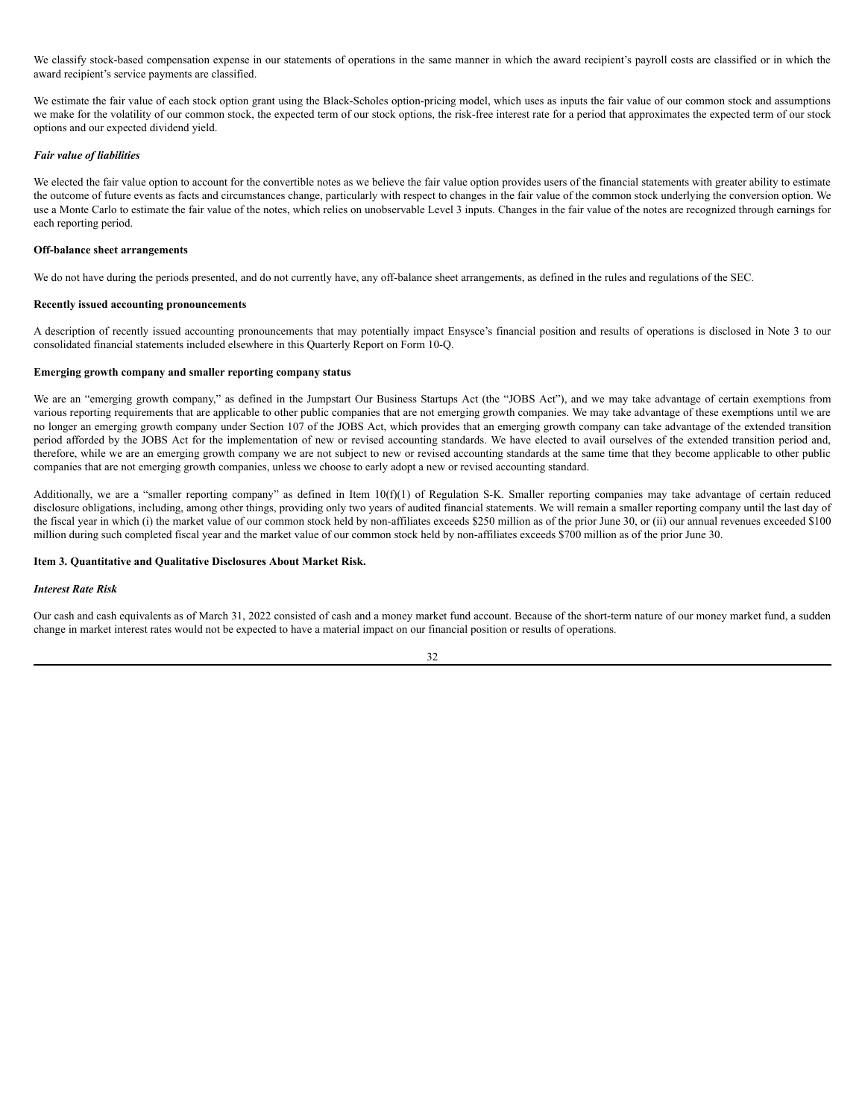We classify stock-based compensation expense in our statements of operations in the same manner in which the award recipient's payroll costs are classified or in which the award recipient's service payments are classified.

We estimate the fair value of each stock option grant using the Black-Scholes option-pricing model, which uses as inputs the fair value of our common stock and assumptions we make for the volatility of our common stock, the expected term of our stock options, the risk-free interest rate for a period that approximates the expected term of our stock options and our expected dividend yield.

### *Fair value of liabilities*

We elected the fair value option to account for the convertible notes as we believe the fair value option provides users of the financial statements with greater ability to estimate the outcome of future events as facts and circumstances change, particularly with respect to changes in the fair value of the common stock underlying the conversion option. We use a Monte Carlo to estimate the fair value of the notes, which relies on unobservable Level 3 inputs. Changes in the fair value of the notes are recognized through earnings for each reporting period.

# **Off-balance sheet arrangements**

We do not have during the periods presented, and do not currently have, any off-balance sheet arrangements, as defined in the rules and regulations of the SEC.

#### **Recently issued accounting pronouncements**

A description of recently issued accounting pronouncements that may potentially impact Ensysce's financial position and results of operations is disclosed in Note 3 to our consolidated financial statements included elsewhere in this Quarterly Report on Form 10-Q.

### **Emerging growth company and smaller reporting company status**

We are an "emerging growth company," as defined in the Jumpstart Our Business Startups Act (the "JOBS Act"), and we may take advantage of certain exemptions from various reporting requirements that are applicable to other public companies that are not emerging growth companies. We may take advantage of these exemptions until we are no longer an emerging growth company under Section 107 of the JOBS Act, which provides that an emerging growth company can take advantage of the extended transition period afforded by the JOBS Act for the implementation of new or revised accounting standards. We have elected to avail ourselves of the extended transition period and, therefore, while we are an emerging growth company we are not subject to new or revised accounting standards at the same time that they become applicable to other public companies that are not emerging growth companies, unless we choose to early adopt a new or revised accounting standard.

Additionally, we are a "smaller reporting company" as defined in Item 10(f)(1) of Regulation S-K. Smaller reporting companies may take advantage of certain reduced disclosure obligations, including, among other things, providing only two years of audited financial statements. We will remain a smaller reporting company until the last day of the fiscal year in which (i) the market value of our common stock held by non-affiliates exceeds \$250 million as of the prior June 30, or (ii) our annual revenues exceeded \$100 million during such completed fiscal year and the market value of our common stock held by non-affiliates exceeds \$700 million as of the prior June 30.

# <span id="page-35-0"></span>**Item 3. Quantitative and Qualitative Disclosures About Market Risk.**

# *Interest Rate Risk*

Our cash and cash equivalents as of March 31, 2022 consisted of cash and a money market fund account. Because of the short-term nature of our money market fund, a sudden change in market interest rates would not be expected to have a material impact on our financial position or results of operations.

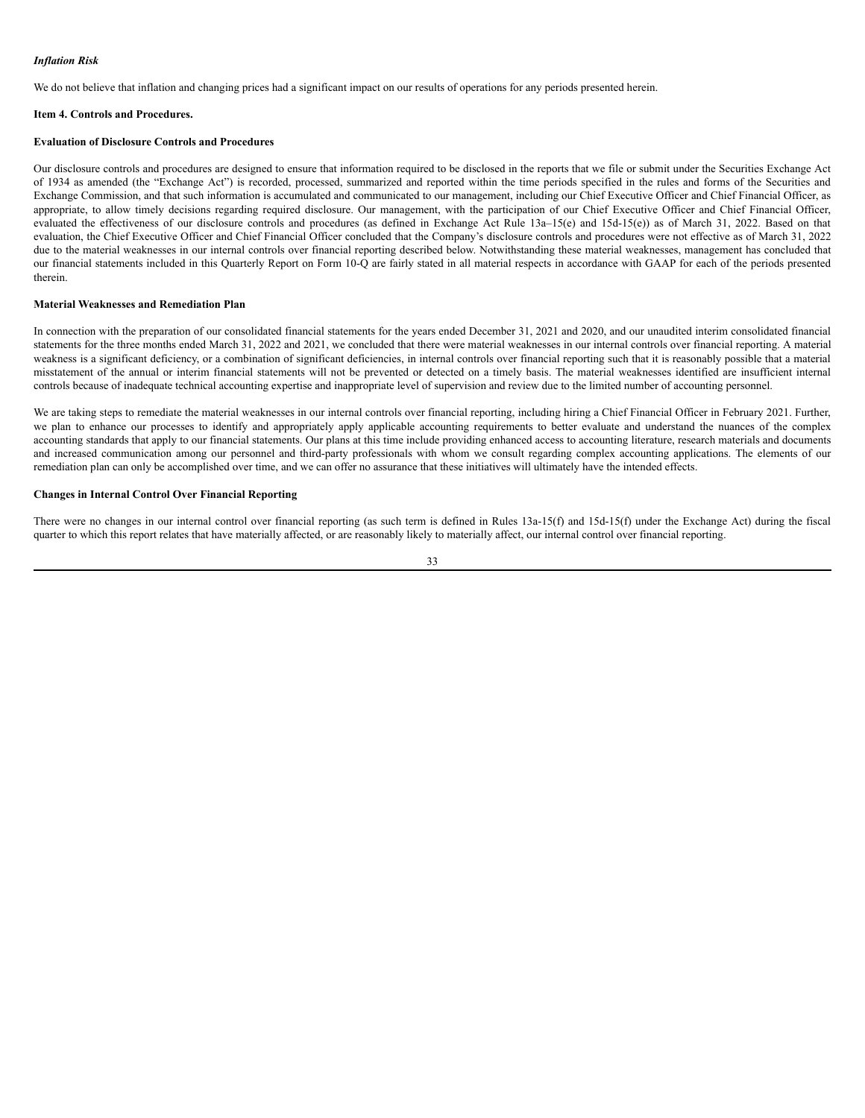# *Inflation Risk*

We do not believe that inflation and changing prices had a significant impact on our results of operations for any periods presented herein.

#### <span id="page-36-0"></span>**Item 4. Controls and Procedures.**

# **Evaluation of Disclosure Controls and Procedures**

Our disclosure controls and procedures are designed to ensure that information required to be disclosed in the reports that we file or submit under the Securities Exchange Act of 1934 as amended (the "Exchange Act") is recorded, processed, summarized and reported within the time periods specified in the rules and forms of the Securities and Exchange Commission, and that such information is accumulated and communicated to our management, including our Chief Executive Officer and Chief Financial Officer, as appropriate, to allow timely decisions regarding required disclosure. Our management, with the participation of our Chief Executive Officer and Chief Financial Officer, evaluated the effectiveness of our disclosure controls and procedures (as defined in Exchange Act Rule 13a-15(e) and 15d-15(e)) as of March 31, 2022. Based on that evaluation, the Chief Executive Officer and Chief Financial Officer concluded that the Company's disclosure controls and procedures were not effective as of March 31, 2022 due to the material weaknesses in our internal controls over financial reporting described below. Notwithstanding these material weaknesses, management has concluded that our financial statements included in this Quarterly Report on Form 10-Q are fairly stated in all material respects in accordance with GAAP for each of the periods presented therein.

### **Material Weaknesses and Remediation Plan**

In connection with the preparation of our consolidated financial statements for the years ended December 31, 2021 and 2020, and our unaudited interim consolidated financial statements for the three months ended March 31, 2022 and 2021, we concluded that there were material weaknesses in our internal controls over financial reporting. A material weakness is a significant deficiency, or a combination of significant deficiencies, in internal controls over financial reporting such that it is reasonably possible that a material misstatement of the annual or interim financial statements will not be prevented or detected on a timely basis. The material weaknesses identified are insufficient internal controls because of inadequate technical accounting expertise and inappropriate level of supervision and review due to the limited number of accounting personnel.

We are taking steps to remediate the material weaknesses in our internal controls over financial reporting, including hiring a Chief Financial Officer in February 2021. Further, we plan to enhance our processes to identify and appropriately apply applicable accounting requirements to better evaluate and understand the nuances of the complex accounting standards that apply to our financial statements. Our plans at this time include providing enhanced access to accounting literature, research materials and documents and increased communication among our personnel and third-party professionals with whom we consult regarding complex accounting applications. The elements of our remediation plan can only be accomplished over time, and we can offer no assurance that these initiatives will ultimately have the intended effects.

# **Changes in Internal Control Over Financial Reporting**

There were no changes in our internal control over financial reporting (as such term is defined in Rules 13a-15(f) and 15d-15(f) under the Exchange Act) during the fiscal quarter to which this report relates that have materially affected, or are reasonably likely to materially affect, our internal control over financial reporting.

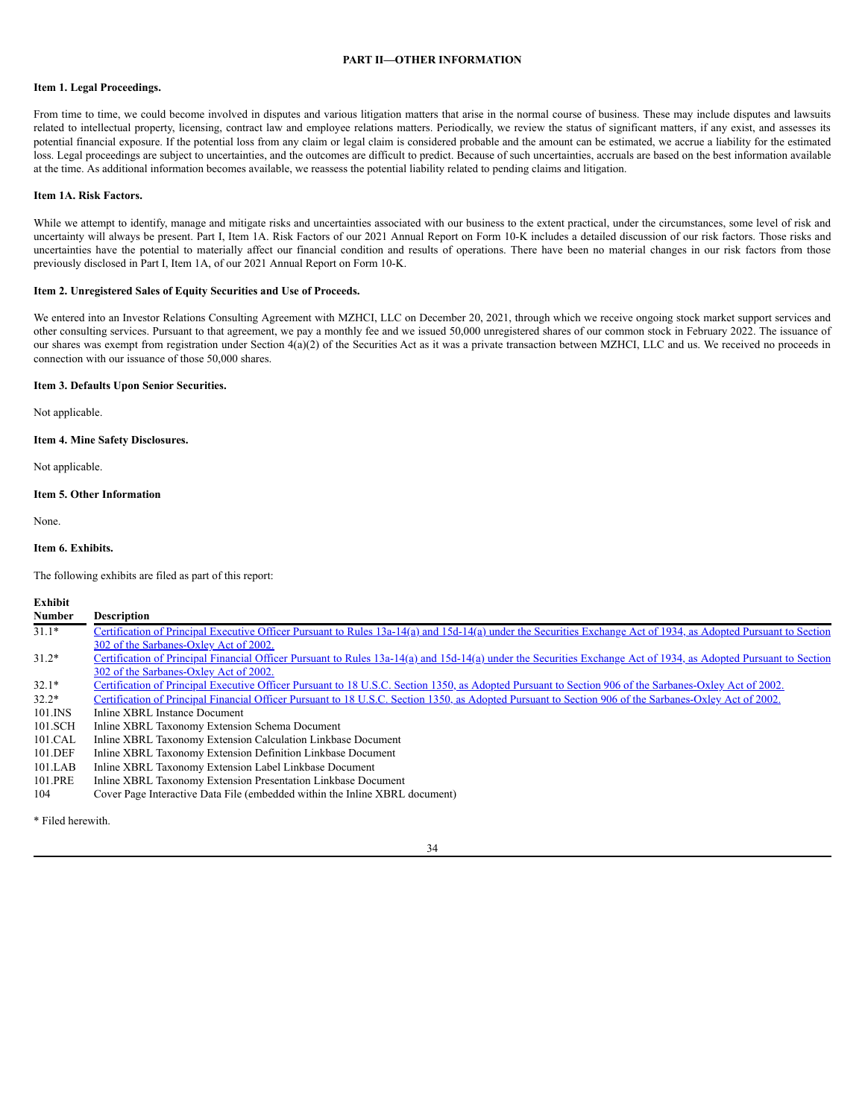# **PART II—OTHER INFORMATION**

# <span id="page-37-1"></span><span id="page-37-0"></span>**Item 1. Legal Proceedings.**

From time to time, we could become involved in disputes and various litigation matters that arise in the normal course of business. These may include disputes and lawsuits related to intellectual property, licensing, contract law and employee relations matters. Periodically, we review the status of significant matters, if any exist, and assesses its potential financial exposure. If the potential loss from any claim or legal claim is considered probable and the amount can be estimated, we accrue a liability for the estimated loss. Legal proceedings are subject to uncertainties, and the outcomes are difficult to predict. Because of such uncertainties, accruals are based on the best information available at the time. As additional information becomes available, we reassess the potential liability related to pending claims and litigation.

### <span id="page-37-2"></span>**Item 1A. Risk Factors.**

While we attempt to identify, manage and mitigate risks and uncertainties associated with our business to the extent practical, under the circumstances, some level of risk and uncertainty will always be present. Part I, Item 1A. Risk Factors of our 2021 Annual Report on Form 10-K includes a detailed discussion of our risk factors. Those risks and uncertainties have the potential to materially affect our financial condition and results of operations. There have been no material changes in our risk factors from those previously disclosed in Part I, Item 1A, of our 2021 Annual Report on Form 10-K.

### <span id="page-37-3"></span>**Item 2. Unregistered Sales of Equity Securities and Use of Proceeds.**

We entered into an Investor Relations Consulting Agreement with MZHCI, LLC on December 20, 2021, through which we receive ongoing stock market support services and other consulting services. Pursuant to that agreement, we pay a monthly fee and we issued 50,000 unregistered shares of our common stock in February 2022. The issuance of our shares was exempt from registration under Section 4(a)(2) of the Securities Act as it was a private transaction between MZHCI, LLC and us. We received no proceeds in connection with our issuance of those 50,000 shares.

# <span id="page-37-4"></span>**Item 3. Defaults Upon Senior Securities.**

Not applicable.

# <span id="page-37-5"></span>**Item 4. Mine Safety Disclosures.**

Not applicable.

# <span id="page-37-6"></span>**Item 5. Other Information**

None.

### <span id="page-37-7"></span>**Item 6. Exhibits.**

The following exhibits are filed as part of this report:

#### **Exhibit**

| <b>Number</b> | <b>Description</b>                                                                                                                                               |
|---------------|------------------------------------------------------------------------------------------------------------------------------------------------------------------|
| $31.1*$       | Certification of Principal Executive Officer Pursuant to Rules 13a-14(a) and 15d-14(a) under the Securities Exchange Act of 1934, as Adopted Pursuant to Section |
|               | 302 of the Sarbanes-Oxley Act of 2002.                                                                                                                           |
| $31.2*$       | Certification of Principal Financial Officer Pursuant to Rules 13a-14(a) and 15d-14(a) under the Securities Exchange Act of 1934, as Adopted Pursuant to Section |
|               | 302 of the Sarbanes-Oxley Act of 2002.                                                                                                                           |
| $32.1*$       | Certification of Principal Executive Officer Pursuant to 18 U.S.C. Section 1350, as Adopted Pursuant to Section 906 of the Sarbanes-Oxley Act of 2002.           |
| $32.2*$       | Certification of Principal Financial Officer Pursuant to 18 U.S.C. Section 1350, as Adopted Pursuant to Section 906 of the Sarbanes-Oxley Act of 2002.           |
| $101$ . INS   | Inline XBRL Instance Document                                                                                                                                    |
| 101.SCH       | Inline XBRL Taxonomy Extension Schema Document                                                                                                                   |
| 101.CAL       | Inline XBRL Taxonomy Extension Calculation Linkbase Document                                                                                                     |
| 101.DEF       | Inline XBRL Taxonomy Extension Definition Linkbase Document                                                                                                      |
| $101$ .LAB    | Inline XBRL Taxonomy Extension Label Linkbase Document                                                                                                           |
| 101.PRE       | Inline XBRL Taxonomy Extension Presentation Linkbase Document                                                                                                    |
| 104           | Cover Page Interactive Data File (embedded within the Inline XBRL document)                                                                                      |

\* Filed herewith.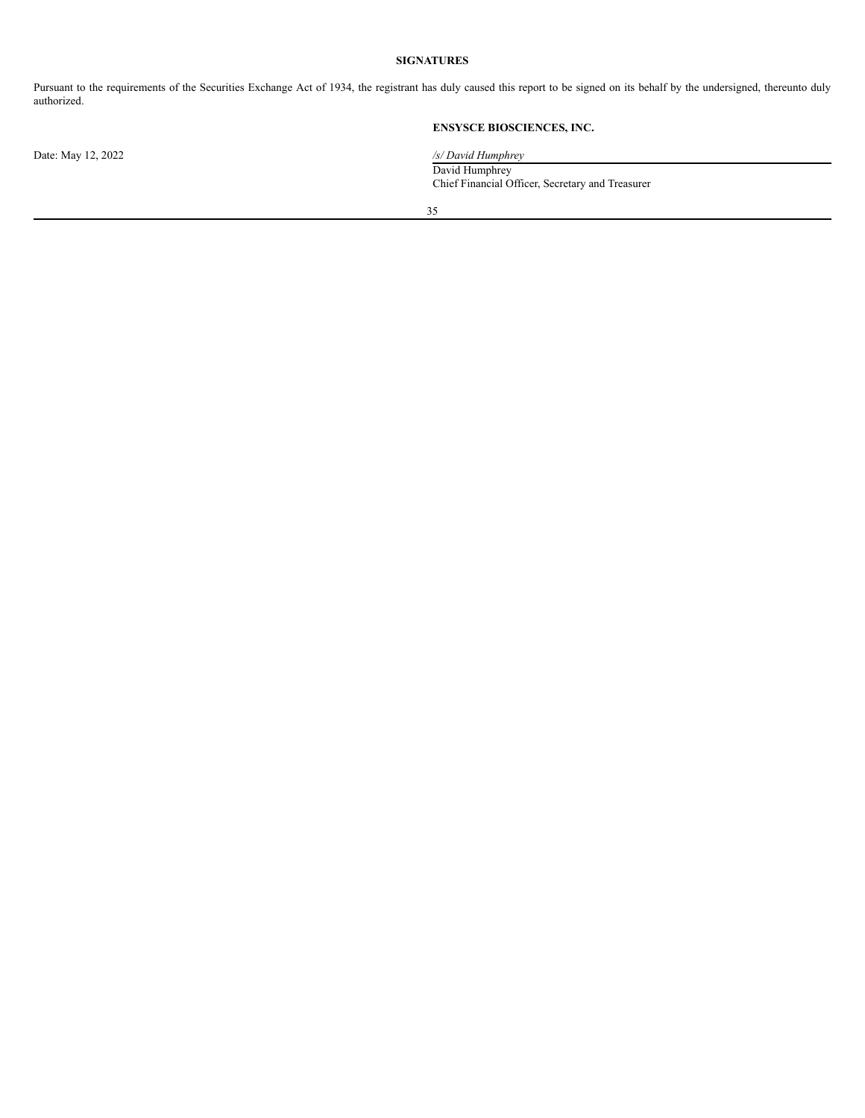# **SIGNATURES**

<span id="page-38-0"></span>Pursuant to the requirements of the Securities Exchange Act of 1934, the registrant has duly caused this report to be signed on its behalf by the undersigned, thereunto duly authorized.

# **ENSYSCE BIOSCIENCES, INC.**

Date: May 12, 2022 */s/ David Humphrey*

David Humphrey Chief Financial Officer, Secretary and Treasurer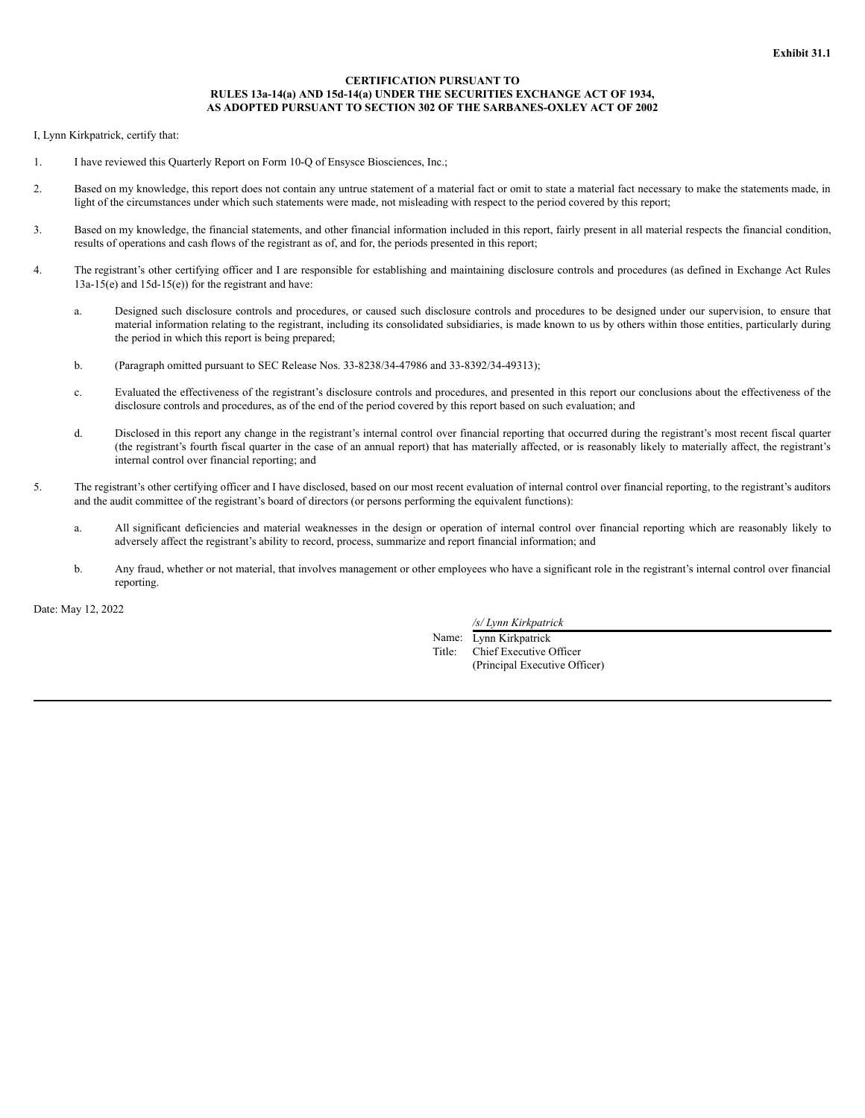# **CERTIFICATION PURSUANT TO RULES 13a-14(a) AND 15d-14(a) UNDER THE SECURITIES EXCHANGE ACT OF 1934, AS ADOPTED PURSUANT TO SECTION 302 OF THE SARBANES-OXLEY ACT OF 2002**

I, Lynn Kirkpatrick, certify that:

- 1. I have reviewed this Quarterly Report on Form 10-Q of Ensysce Biosciences, Inc.;
- 2. Based on my knowledge, this report does not contain any untrue statement of a material fact or omit to state a material fact necessary to make the statements made, in light of the circumstances under which such statements were made, not misleading with respect to the period covered by this report;
- 3. Based on my knowledge, the financial statements, and other financial information included in this report, fairly present in all material respects the financial condition, results of operations and cash flows of the registrant as of, and for, the periods presented in this report;
- 4. The registrant's other certifying officer and I are responsible for establishing and maintaining disclosure controls and procedures (as defined in Exchange Act Rules  $13a-15(e)$  and  $15d-15(e)$  for the registrant and have:
	- a. Designed such disclosure controls and procedures, or caused such disclosure controls and procedures to be designed under our supervision, to ensure that material information relating to the registrant, including its consolidated subsidiaries, is made known to us by others within those entities, particularly during the period in which this report is being prepared;
	- b. (Paragraph omitted pursuant to SEC Release Nos. 33-8238/34-47986 and 33-8392/34-49313);
	- c. Evaluated the effectiveness of the registrant's disclosure controls and procedures, and presented in this report our conclusions about the effectiveness of the disclosure controls and procedures, as of the end of the period covered by this report based on such evaluation; and
	- d. Disclosed in this report any change in the registrant's internal control over financial reporting that occurred during the registrant's most recent fiscal quarter (the registrant's fourth fiscal quarter in the case of an annual report) that has materially affected, or is reasonably likely to materially affect, the registrant's internal control over financial reporting; and
- 5. The registrant's other certifying officer and I have disclosed, based on our most recent evaluation of internal control over financial reporting, to the registrant's auditors and the audit committee of the registrant's board of directors (or persons performing the equivalent functions):
	- a. All significant deficiencies and material weaknesses in the design or operation of internal control over financial reporting which are reasonably likely to adversely affect the registrant's ability to record, process, summarize and report financial information; and
	- b. Any fraud, whether or not material, that involves management or other employees who have a significant role in the registrant's internal control over financial reporting.

Date: May 12, 2022

*/s/ Lynn Kirkpatrick*

Name: Lynn Kirkpatrick Title: Chief Executive Officer (Principal Executive Officer)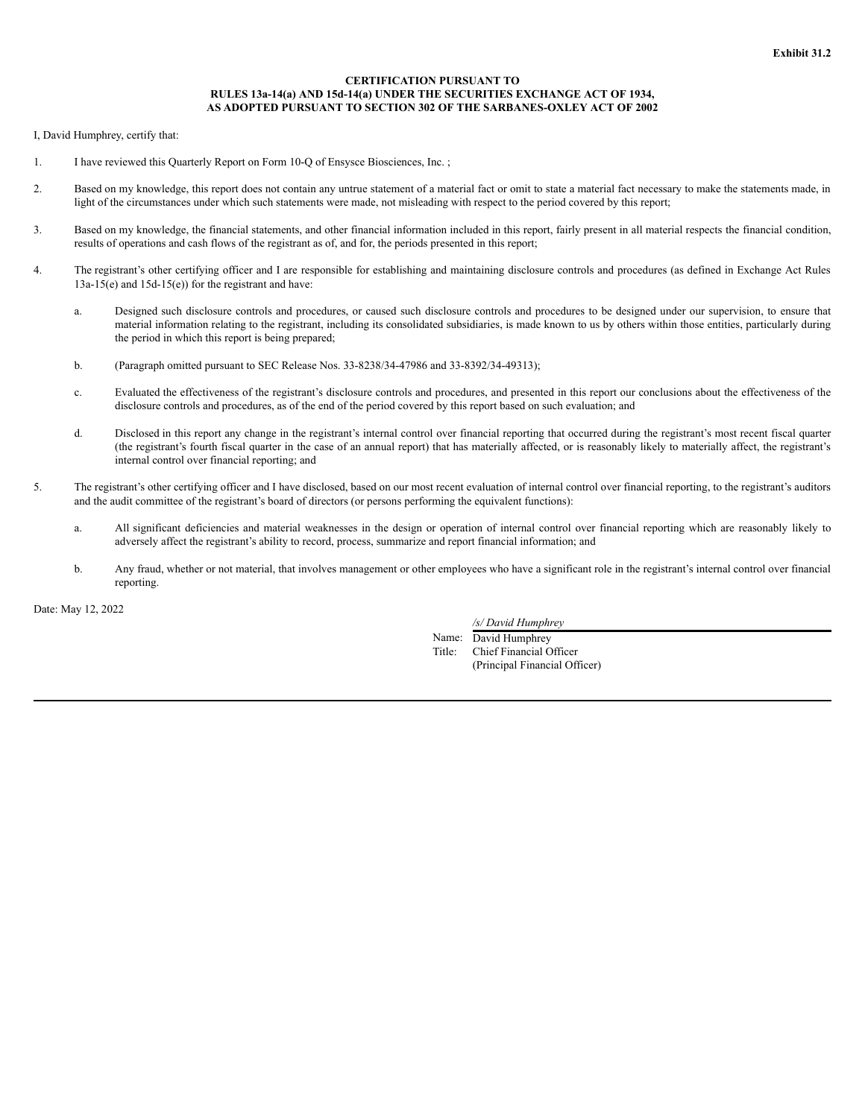# **CERTIFICATION PURSUANT TO RULES 13a-14(a) AND 15d-14(a) UNDER THE SECURITIES EXCHANGE ACT OF 1934, AS ADOPTED PURSUANT TO SECTION 302 OF THE SARBANES-OXLEY ACT OF 2002**

I, David Humphrey, certify that:

- 1. I have reviewed this Quarterly Report on Form 10-Q of Ensysce Biosciences, Inc. ;
- 2. Based on my knowledge, this report does not contain any untrue statement of a material fact or omit to state a material fact necessary to make the statements made, in light of the circumstances under which such statements were made, not misleading with respect to the period covered by this report;
- 3. Based on my knowledge, the financial statements, and other financial information included in this report, fairly present in all material respects the financial condition, results of operations and cash flows of the registrant as of, and for, the periods presented in this report;
- 4. The registrant's other certifying officer and I are responsible for establishing and maintaining disclosure controls and procedures (as defined in Exchange Act Rules  $13a-15(e)$  and  $15d-15(e)$  for the registrant and have:
	- a. Designed such disclosure controls and procedures, or caused such disclosure controls and procedures to be designed under our supervision, to ensure that material information relating to the registrant, including its consolidated subsidiaries, is made known to us by others within those entities, particularly during the period in which this report is being prepared;
	- b. (Paragraph omitted pursuant to SEC Release Nos. 33-8238/34-47986 and 33-8392/34-49313);
	- c. Evaluated the effectiveness of the registrant's disclosure controls and procedures, and presented in this report our conclusions about the effectiveness of the disclosure controls and procedures, as of the end of the period covered by this report based on such evaluation; and
	- d. Disclosed in this report any change in the registrant's internal control over financial reporting that occurred during the registrant's most recent fiscal quarter (the registrant's fourth fiscal quarter in the case of an annual report) that has materially affected, or is reasonably likely to materially affect, the registrant's internal control over financial reporting; and
- 5. The registrant's other certifying officer and I have disclosed, based on our most recent evaluation of internal control over financial reporting, to the registrant's auditors and the audit committee of the registrant's board of directors (or persons performing the equivalent functions):
	- a. All significant deficiencies and material weaknesses in the design or operation of internal control over financial reporting which are reasonably likely to adversely affect the registrant's ability to record, process, summarize and report financial information; and
	- b. Any fraud, whether or not material, that involves management or other employees who have a significant role in the registrant's internal control over financial reporting.

Date: May 12, 2022

*/s/ David Humphrey*

Name: David Humphrey Title: Chief Financial Officer (Principal Financial Officer)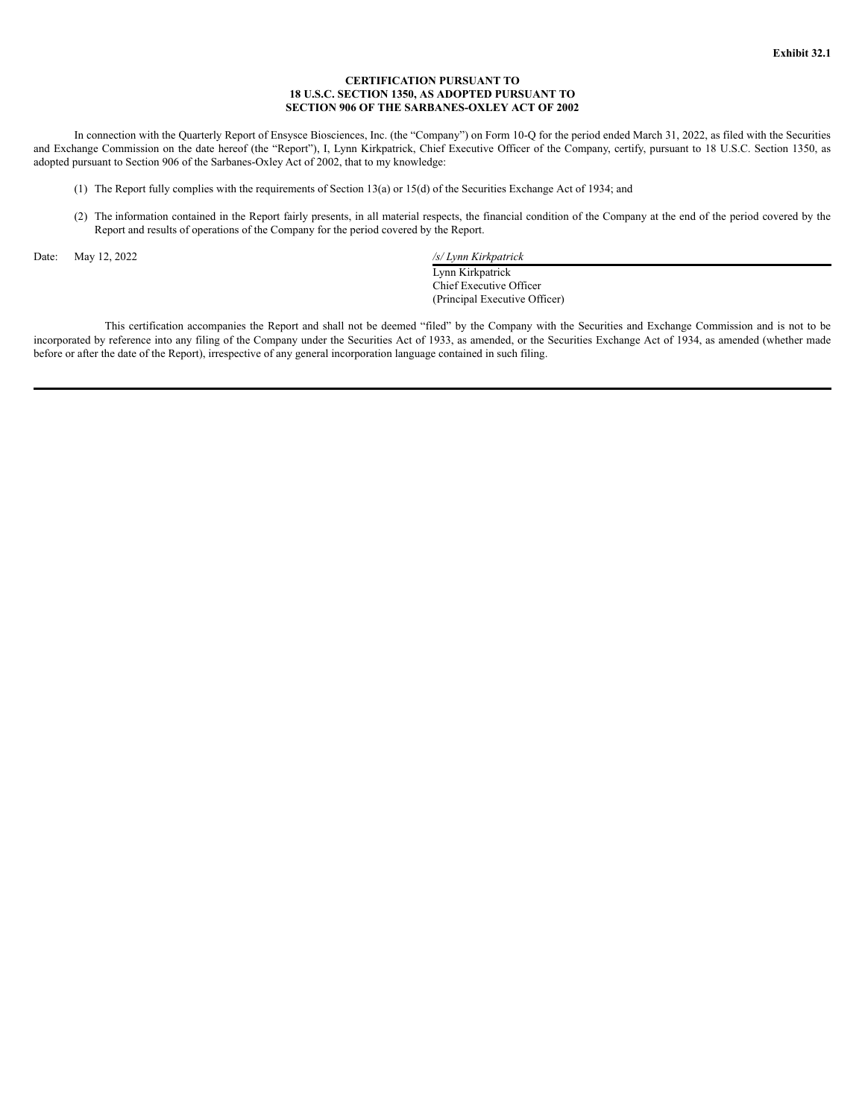# **CERTIFICATION PURSUANT TO 18 U.S.C. SECTION 1350, AS ADOPTED PURSUANT TO SECTION 906 OF THE SARBANES-OXLEY ACT OF 2002**

In connection with the Quarterly Report of Ensysce Biosciences, Inc. (the "Company") on Form 10-Q for the period ended March 31, 2022, as filed with the Securities and Exchange Commission on the date hereof (the "Report"), I, Lynn Kirkpatrick, Chief Executive Officer of the Company, certify, pursuant to 18 U.S.C. Section 1350, as adopted pursuant to Section 906 of the Sarbanes-Oxley Act of 2002, that to my knowledge:

- (1) The Report fully complies with the requirements of Section 13(a) or 15(d) of the Securities Exchange Act of 1934; and
- (2) The information contained in the Report fairly presents, in all material respects, the financial condition of the Company at the end of the period covered by the Report and results of operations of the Company for the period covered by the Report.

Date: May 12, 2022 */s/ Lynn Kirkpatrick* Lynn Kirkpatrick Chief Executive Officer (Principal Executive Officer)

This certification accompanies the Report and shall not be deemed "filed" by the Company with the Securities and Exchange Commission and is not to be incorporated by reference into any filing of the Company under the Securities Act of 1933, as amended, or the Securities Exchange Act of 1934, as amended (whether made before or after the date of the Report), irrespective of any general incorporation language contained in such filing.